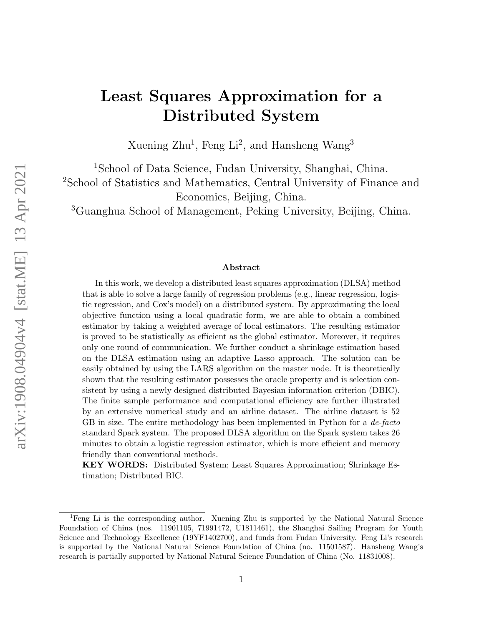# Least Squares Approximation for a Distributed System

Xuening Zhu<sup>1</sup>, Feng Li<sup>2</sup>, and Hansheng Wang<sup>3</sup>

<sup>1</sup>School of Data Science, Fudan University, Shanghai, China. <sup>2</sup>School of Statistics and Mathematics, Central University of Finance and Economics, Beijing, China.

<sup>3</sup>Guanghua School of Management, Peking University, Beijing, China.

#### Abstract

In this work, we develop a distributed least squares approximation (DLSA) method that is able to solve a large family of regression problems (e.g., linear regression, logistic regression, and Cox's model) on a distributed system. By approximating the local objective function using a local quadratic form, we are able to obtain a combined estimator by taking a weighted average of local estimators. The resulting estimator is proved to be statistically as efficient as the global estimator. Moreover, it requires only one round of communication. We further conduct a shrinkage estimation based on the DLSA estimation using an adaptive Lasso approach. The solution can be easily obtained by using the LARS algorithm on the master node. It is theoretically shown that the resulting estimator possesses the oracle property and is selection consistent by using a newly designed distributed Bayesian information criterion (DBIC). The finite sample performance and computational efficiency are further illustrated by an extensive numerical study and an airline dataset. The airline dataset is 52 GB in size. The entire methodology has been implemented in Python for a *de-facto* standard Spark system. The proposed DLSA algorithm on the Spark system takes 26 minutes to obtain a logistic regression estimator, which is more efficient and memory friendly than conventional methods.

KEY WORDS: Distributed System; Least Squares Approximation; Shrinkage Estimation; Distributed BIC.

<sup>&</sup>lt;sup>1</sup>Feng Li is the corresponding author. Xuening Zhu is supported by the National Natural Science Foundation of China (nos. 11901105, 71991472, U1811461), the Shanghai Sailing Program for Youth Science and Technology Excellence (19YF1402700), and funds from Fudan University. Feng Li's research is supported by the National Natural Science Foundation of China (no. 11501587). Hansheng Wang's research is partially supported by National Natural Science Foundation of China (No. 11831008).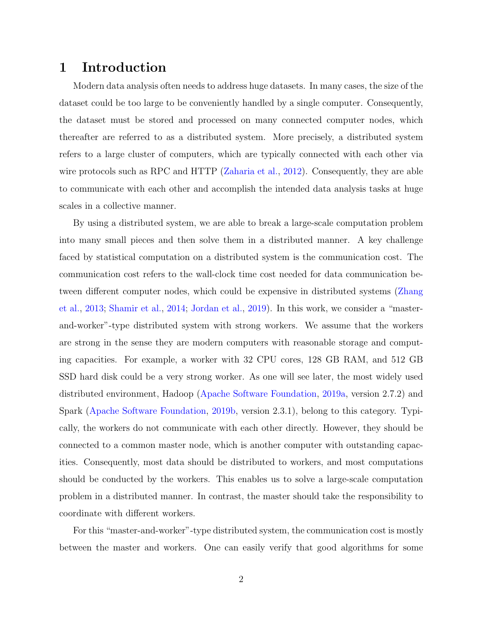# 1 Introduction

Modern data analysis often needs to address huge datasets. In many cases, the size of the dataset could be too large to be conveniently handled by a single computer. Consequently, the dataset must be stored and processed on many connected computer nodes, which thereafter are referred to as a distributed system. More precisely, a distributed system refers to a large cluster of computers, which are typically connected with each other via wire protocols such as RPC and HTTP [\(Zaharia et al.,](#page-36-0) [2012\)](#page-36-0). Consequently, they are able to communicate with each other and accomplish the intended data analysis tasks at huge scales in a collective manner.

By using a distributed system, we are able to break a large-scale computation problem into many small pieces and then solve them in a distributed manner. A key challenge faced by statistical computation on a distributed system is the communication cost. The communication cost refers to the wall-clock time cost needed for data communication between different computer nodes, which could be expensive in distributed systems [\(Zhang](#page-36-1) [et al.,](#page-36-1) [2013;](#page-36-1) [Shamir et al.,](#page-35-0) [2014;](#page-35-0) [Jordan et al.,](#page-34-0) [2019\)](#page-34-0). In this work, we consider a "masterand-worker"-type distributed system with strong workers. We assume that the workers are strong in the sense they are modern computers with reasonable storage and computing capacities. For example, a worker with 32 CPU cores, 128 GB RAM, and 512 GB SSD hard disk could be a very strong worker. As one will see later, the most widely used distributed environment, Hadoop [\(Apache Software Foundation,](#page-33-0) [2019a,](#page-33-0) version 2.7.2) and Spark [\(Apache Software Foundation,](#page-33-1) [2019b,](#page-33-1) version 2.3.1), belong to this category. Typically, the workers do not communicate with each other directly. However, they should be connected to a common master node, which is another computer with outstanding capacities. Consequently, most data should be distributed to workers, and most computations should be conducted by the workers. This enables us to solve a large-scale computation problem in a distributed manner. In contrast, the master should take the responsibility to coordinate with different workers.

For this "master-and-worker"-type distributed system, the communication cost is mostly between the master and workers. One can easily verify that good algorithms for some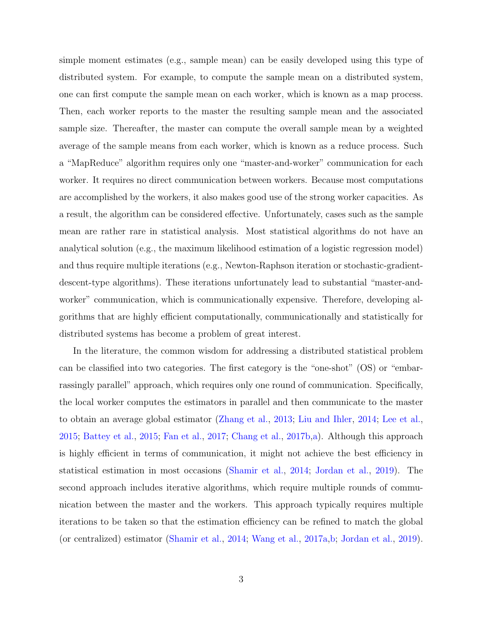simple moment estimates (e.g., sample mean) can be easily developed using this type of distributed system. For example, to compute the sample mean on a distributed system, one can first compute the sample mean on each worker, which is known as a map process. Then, each worker reports to the master the resulting sample mean and the associated sample size. Thereafter, the master can compute the overall sample mean by a weighted average of the sample means from each worker, which is known as a reduce process. Such a "MapReduce" algorithm requires only one "master-and-worker" communication for each worker. It requires no direct communication between workers. Because most computations are accomplished by the workers, it also makes good use of the strong worker capacities. As a result, the algorithm can be considered effective. Unfortunately, cases such as the sample mean are rather rare in statistical analysis. Most statistical algorithms do not have an analytical solution (e.g., the maximum likelihood estimation of a logistic regression model) and thus require multiple iterations (e.g., Newton-Raphson iteration or stochastic-gradientdescent-type algorithms). These iterations unfortunately lead to substantial "master-andworker" communication, which is communicationally expensive. Therefore, developing algorithms that are highly efficient computationally, communicationally and statistically for distributed systems has become a problem of great interest.

In the literature, the common wisdom for addressing a distributed statistical problem can be classified into two categories. The first category is the "one-shot" (OS) or "embarrassingly parallel" approach, which requires only one round of communication. Specifically, the local worker computes the estimators in parallel and then communicate to the master to obtain an average global estimator [\(Zhang et al.,](#page-36-1) [2013;](#page-36-1) [Liu and Ihler,](#page-35-1) [2014;](#page-35-1) [Lee et al.,](#page-34-1) [2015;](#page-34-1) [Battey et al.,](#page-33-2) [2015;](#page-33-2) [Fan et al.,](#page-34-2) [2017;](#page-34-2) [Chang et al.,](#page-33-3) [2017b,](#page-33-3)[a\)](#page-33-4). Although this approach is highly efficient in terms of communication, it might not achieve the best efficiency in statistical estimation in most occasions [\(Shamir et al.,](#page-35-0) [2014;](#page-35-0) [Jordan et al.,](#page-34-0) [2019\)](#page-34-0). The second approach includes iterative algorithms, which require multiple rounds of communication between the master and the workers. This approach typically requires multiple iterations to be taken so that the estimation efficiency can be refined to match the global (or centralized) estimator [\(Shamir et al.,](#page-35-0) [2014;](#page-35-0) [Wang et al.,](#page-36-2) [2017a,](#page-36-2)[b;](#page-36-3) [Jordan et al.,](#page-34-0) [2019\)](#page-34-0).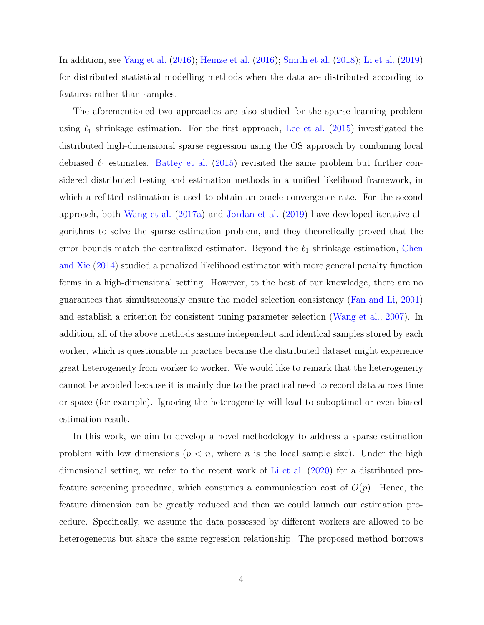In addition, see [Yang et al.](#page-36-4) [\(2016\)](#page-36-4); [Heinze et al.](#page-34-3) [\(2016\)](#page-34-3); [Smith et al.](#page-35-2) [\(2018\)](#page-35-2); [Li et al.](#page-35-3) [\(2019\)](#page-35-3) for distributed statistical modelling methods when the data are distributed according to features rather than samples.

The aforementioned two approaches are also studied for the sparse learning problem using  $\ell_1$  shrinkage estimation. For the first approach, [Lee et al.](#page-34-1) [\(2015\)](#page-34-1) investigated the distributed high-dimensional sparse regression using the OS approach by combining local debiased  $\ell_1$  estimates. [Battey et al.](#page-33-2) [\(2015\)](#page-33-2) revisited the same problem but further considered distributed testing and estimation methods in a unified likelihood framework, in which a refitted estimation is used to obtain an oracle convergence rate. For the second approach, both [Wang et al.](#page-36-2) [\(2017a\)](#page-36-2) and [Jordan et al.](#page-34-0) [\(2019\)](#page-34-0) have developed iterative algorithms to solve the sparse estimation problem, and they theoretically proved that the error bounds match the centralized estimator. Beyond the  $\ell_1$  shrinkage estimation, [Chen](#page-33-5) [and Xie](#page-33-5) [\(2014\)](#page-33-5) studied a penalized likelihood estimator with more general penalty function forms in a high-dimensional setting. However, to the best of our knowledge, there are no guarantees that simultaneously ensure the model selection consistency [\(Fan and Li,](#page-34-4) [2001\)](#page-34-4) and establish a criterion for consistent tuning parameter selection [\(Wang et al.,](#page-35-4) [2007\)](#page-35-4). In addition, all of the above methods assume independent and identical samples stored by each worker, which is questionable in practice because the distributed dataset might experience great heterogeneity from worker to worker. We would like to remark that the heterogeneity cannot be avoided because it is mainly due to the practical need to record data across time or space (for example). Ignoring the heterogeneity will lead to suboptimal or even biased estimation result.

In this work, we aim to develop a novel methodology to address a sparse estimation problem with low dimensions ( $p < n$ , where n is the local sample size). Under the high dimensional setting, we refer to the recent work of [Li et al.](#page-35-5) [\(2020\)](#page-35-5) for a distributed prefeature screening procedure, which consumes a communication cost of  $O(p)$ . Hence, the feature dimension can be greatly reduced and then we could launch our estimation procedure. Specifically, we assume the data possessed by different workers are allowed to be heterogeneous but share the same regression relationship. The proposed method borrows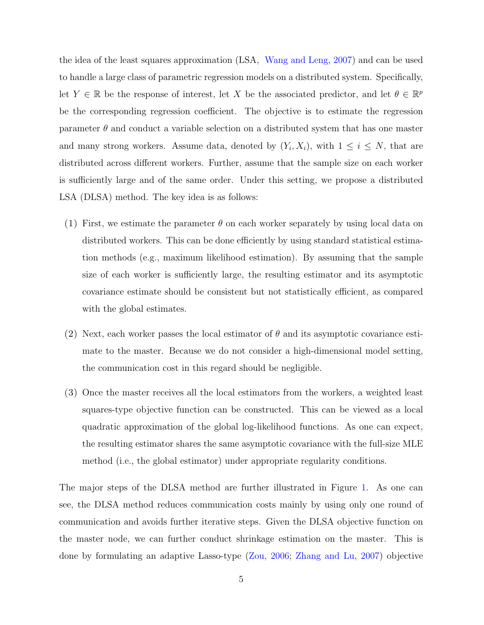the idea of the least squares approximation (LSA, [Wang and Leng,](#page-35-6) [2007\)](#page-35-6) and can be used to handle a large class of parametric regression models on a distributed system. Specifically, let  $Y \in \mathbb{R}$  be the response of interest, let X be the associated predictor, and let  $\theta \in \mathbb{R}^p$ be the corresponding regression coefficient. The objective is to estimate the regression parameter  $\theta$  and conduct a variable selection on a distributed system that has one master and many strong workers. Assume data, denoted by  $(Y_i, X_i)$ , with  $1 \leq i \leq N$ , that are distributed across different workers. Further, assume that the sample size on each worker is sufficiently large and of the same order. Under this setting, we propose a distributed LSA (DLSA) method. The key idea is as follows:

- (1) First, we estimate the parameter  $\theta$  on each worker separately by using local data on distributed workers. This can be done efficiently by using standard statistical estimation methods (e.g., maximum likelihood estimation). By assuming that the sample size of each worker is sufficiently large, the resulting estimator and its asymptotic covariance estimate should be consistent but not statistically efficient, as compared with the global estimates.
- (2) Next, each worker passes the local estimator of  $\theta$  and its asymptotic covariance estimate to the master. Because we do not consider a high-dimensional model setting, the communication cost in this regard should be negligible.
- (3) Once the master receives all the local estimators from the workers, a weighted least squares-type objective function can be constructed. This can be viewed as a local quadratic approximation of the global log-likelihood functions. As one can expect, the resulting estimator shares the same asymptotic covariance with the full-size MLE method (i.e., the global estimator) under appropriate regularity conditions.

The major steps of the DLSA method are further illustrated in Figure [1.](#page-5-0) As one can see, the DLSA method reduces communication costs mainly by using only one round of communication and avoids further iterative steps. Given the DLSA objective function on the master node, we can further conduct shrinkage estimation on the master. This is done by formulating an adaptive Lasso-type [\(Zou,](#page-37-0) [2006;](#page-37-0) [Zhang and Lu,](#page-36-5) [2007\)](#page-36-5) objective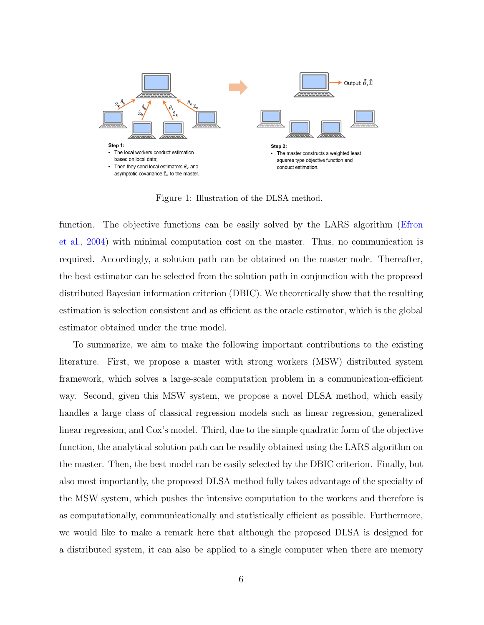

<span id="page-5-0"></span>Figure 1: Illustration of the DLSA method.

function. The objective functions can be easily solved by the LARS algorithm [\(Efron](#page-33-6) [et al.,](#page-33-6) [2004\)](#page-33-6) with minimal computation cost on the master. Thus, no communication is required. Accordingly, a solution path can be obtained on the master node. Thereafter, the best estimator can be selected from the solution path in conjunction with the proposed distributed Bayesian information criterion (DBIC). We theoretically show that the resulting estimation is selection consistent and as efficient as the oracle estimator, which is the global estimator obtained under the true model.

To summarize, we aim to make the following important contributions to the existing literature. First, we propose a master with strong workers (MSW) distributed system framework, which solves a large-scale computation problem in a communication-efficient way. Second, given this MSW system, we propose a novel DLSA method, which easily handles a large class of classical regression models such as linear regression, generalized linear regression, and Cox's model. Third, due to the simple quadratic form of the objective function, the analytical solution path can be readily obtained using the LARS algorithm on the master. Then, the best model can be easily selected by the DBIC criterion. Finally, but also most importantly, the proposed DLSA method fully takes advantage of the specialty of the MSW system, which pushes the intensive computation to the workers and therefore is as computationally, communicationally and statistically efficient as possible. Furthermore, we would like to make a remark here that although the proposed DLSA is designed for a distributed system, it can also be applied to a single computer when there are memory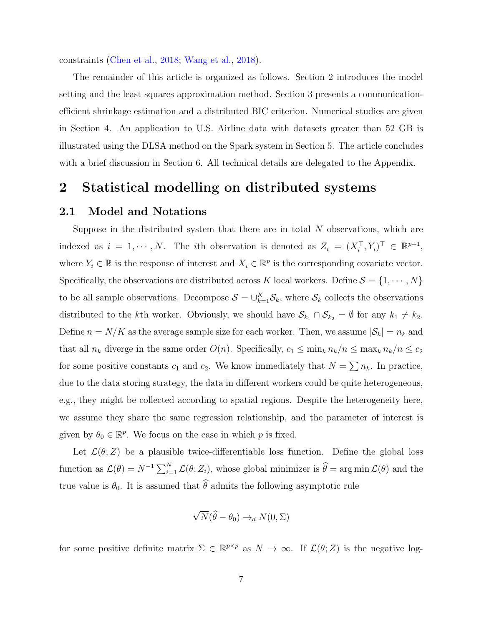constraints [\(Chen et al.,](#page-33-7) [2018;](#page-33-7) [Wang et al.,](#page-36-6) [2018\)](#page-36-6).

The remainder of this article is organized as follows. Section 2 introduces the model setting and the least squares approximation method. Section 3 presents a communicationefficient shrinkage estimation and a distributed BIC criterion. Numerical studies are given in Section 4. An application to U.S. Airline data with datasets greater than 52 GB is illustrated using the DLSA method on the Spark system in Section 5. The article concludes with a brief discussion in Section 6. All technical details are delegated to the Appendix.

### 2 Statistical modelling on distributed systems

#### 2.1 Model and Notations

Suppose in the distributed system that there are in total  $N$  observations, which are indexed as  $i = 1, \dots, N$ . The *i*th observation is denoted as  $Z_i = (X_i^{\top}, Y_i)^{\top} \in \mathbb{R}^{p+1}$ , where  $Y_i \in \mathbb{R}$  is the response of interest and  $X_i \in \mathbb{R}^p$  is the corresponding covariate vector. Specifically, the observations are distributed across K local workers. Define  $S = \{1, \dots, N\}$ to be all sample observations. Decompose  $S = \bigcup_{k=1}^{K} S_k$ , where  $S_k$  collects the observations distributed to the kth worker. Obviously, we should have  $\mathcal{S}_{k_1} \cap \mathcal{S}_{k_2} = \emptyset$  for any  $k_1 \neq k_2$ . Define  $n = N/K$  as the average sample size for each worker. Then, we assume  $|\mathcal{S}_k| = n_k$  and that all  $n_k$  diverge in the same order  $O(n)$ . Specifically,  $c_1 \le \min_k n_k/n \le \max_k n_k/n \le c_2$ for some positive constants  $c_1$  and  $c_2$ . We know immediately that  $N = \sum n_k$ . In practice, due to the data storing strategy, the data in different workers could be quite heterogeneous, e.g., they might be collected according to spatial regions. Despite the heterogeneity here, we assume they share the same regression relationship, and the parameter of interest is given by  $\theta_0 \in \mathbb{R}^p$ . We focus on the case in which p is fixed.

Let  $\mathcal{L}(\theta;Z)$  be a plausible twice-differentiable loss function. Define the global loss function as  $\mathcal{L}(\theta) = N^{-1} \sum_{i=1}^{N} \mathcal{L}(\theta; Z_i)$ , whose global minimizer is  $\widehat{\theta} = \arg \min \mathcal{L}(\theta)$  and the true value is  $\theta_0$ . It is assumed that  $\widehat{\theta}$  admits the following asymptotic rule

<span id="page-6-0"></span>
$$
\sqrt{N}(\widehat{\theta}-\theta_0) \to_d N(0,\Sigma)
$$

for some positive definite matrix  $\Sigma \in \mathbb{R}^{p \times p}$  as  $N \to \infty$ . If  $\mathcal{L}(\theta; Z)$  is the negative log-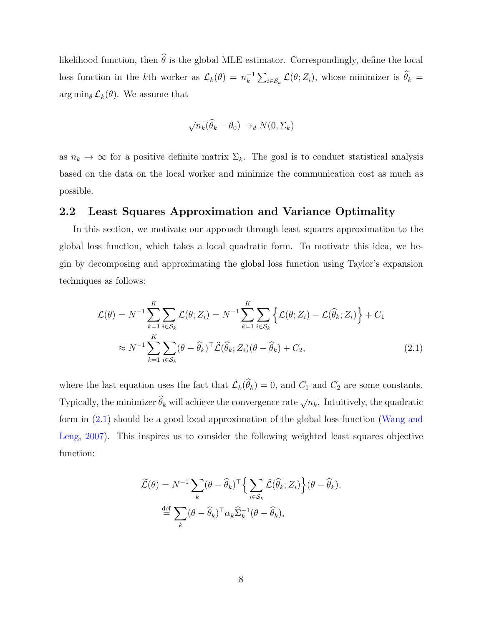likelihood function, then  $\widehat{\theta}$  is the global MLE estimator. Correspondingly, define the local loss function in the k<sup>th</sup> worker as  $\mathcal{L}_k(\theta) = n_k^{-1}$  $\int_k^{-1} \sum_{i \in S_k} \mathcal{L}(\theta; Z_i)$ , whose minimizer is  $\theta_k =$  $\arg \min_{\theta} \mathcal{L}_k(\theta)$ . We assume that

$$
\sqrt{n_k}(\widehat{\theta}_k - \theta_0) \to_d N(0, \Sigma_k)
$$

as  $n_k \to \infty$  for a positive definite matrix  $\Sigma_k$ . The goal is to conduct statistical analysis based on the data on the local worker and minimize the communication cost as much as possible.

#### 2.2 Least Squares Approximation and Variance Optimality

In this section, we motivate our approach through least squares approximation to the global loss function, which takes a local quadratic form. To motivate this idea, we begin by decomposing and approximating the global loss function using Taylor's expansion techniques as follows:

$$
\mathcal{L}(\theta) = N^{-1} \sum_{k=1}^{K} \sum_{i \in S_k} \mathcal{L}(\theta; Z_i) = N^{-1} \sum_{k=1}^{K} \sum_{i \in S_k} \left\{ \mathcal{L}(\theta; Z_i) - \mathcal{L}(\widehat{\theta}_k; Z_i) \right\} + C_1
$$
  

$$
\approx N^{-1} \sum_{k=1}^{K} \sum_{i \in S_k} (\theta - \widehat{\theta}_k)^{\top} \mathcal{L}(\widehat{\theta}_k; Z_i) (\theta - \widehat{\theta}_k) + C_2,
$$
 (2.1)

where the last equation uses the fact that  $\mathcal{L}_k(\widehat{\theta}_k) = 0$ , and  $C_1$  and  $C_2$  are some constants. Typically, the minimizer  $\widehat{\theta}_k$  will achieve the convergence rate  $\sqrt{n_k}$ . Intuitively, the quadratic form in [\(2.1\)](#page-6-0) should be a good local approximation of the global loss function [\(Wang and](#page-35-6) [Leng,](#page-35-6) [2007\)](#page-35-6). This inspires us to consider the following weighted least squares objective function:

$$
\widetilde{\mathcal{L}}(\theta) = N^{-1} \sum_{k} (\theta - \widehat{\theta}_{k})^{\top} \Big\{ \sum_{i \in S_{k}} \widetilde{\mathcal{L}}(\widehat{\theta}_{k}; Z_{i}) \Big\} (\theta - \widehat{\theta}_{k}),
$$

$$
\stackrel{\text{def}}{=} \sum_{k} (\theta - \widehat{\theta}_{k})^{\top} \alpha_{k} \widehat{\Sigma}_{k}^{-1} (\theta - \widehat{\theta}_{k}),
$$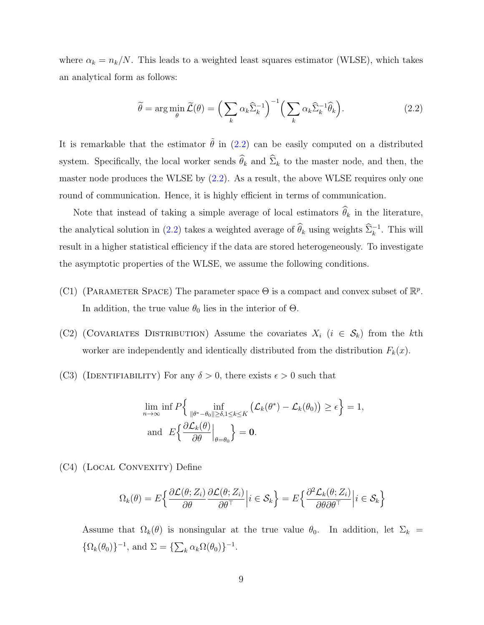where  $\alpha_k = n_k/N$ . This leads to a weighted least squares estimator (WLSE), which takes an analytical form as follows:

<span id="page-8-0"></span>
$$
\widetilde{\theta} = \arg\min_{\theta} \widetilde{\mathcal{L}}(\theta) = \left(\sum_{k} \alpha_k \widehat{\Sigma}_{k}^{-1}\right)^{-1} \left(\sum_{k} \alpha_k \widehat{\Sigma}_{k}^{-1} \widehat{\theta}_{k}\right).
$$
\n(2.2)

It is remarkable that the estimator  $\tilde{\theta}$  in [\(2.2\)](#page-8-0) can be easily computed on a distributed system. Specifically, the local worker sends  $\widehat{\theta}_k$  and  $\widehat{\Sigma}_k$  to the master node, and then, the master node produces the WLSE by  $(2.2)$ . As a result, the above WLSE requires only one round of communication. Hence, it is highly efficient in terms of communication.

Note that instead of taking a simple average of local estimators  $\widehat{\theta}_k$  in the literature, the analytical solution in [\(2.2\)](#page-8-0) takes a weighted average of  $\hat{\theta}_k$  using weights  $\hat{\Sigma}_k^{-1}$ . This will result in a higher statistical efficiency if the data are stored heterogeneously. To investigate the asymptotic properties of the WLSE, we assume the following conditions.

- (C1) (PARAMETER SPACE) The parameter space  $\Theta$  is a compact and convex subset of  $\mathbb{R}^p$ . In addition, the true value  $\theta_0$  lies in the interior of  $\Theta$ .
- (C2) (COVARIATES DISTRIBUTION) Assume the covariates  $X_i$  ( $i \in S_k$ ) from the kth worker are independently and identically distributed from the distribution  $F_k(x)$ .
- (C3) (IDENTIFIABILITY) For any  $\delta > 0$ , there exists  $\epsilon > 0$  such that

$$
\lim_{n \to \infty} \inf P \Big\{ \inf_{\|\theta^* - \theta_0\| \ge \delta, 1 \le k \le K} \big( \mathcal{L}_k(\theta^*) - \mathcal{L}_k(\theta_0) \big) \ge \epsilon \Big\} = 1,
$$
\nand\n
$$
E \Big\{ \frac{\partial \mathcal{L}_k(\theta)}{\partial \theta} \Big|_{\theta = \theta_0} \Big\} = \mathbf{0}.
$$

(C4) (Local Convexity) Define

$$
\Omega_k(\theta) = E\left\{ \frac{\partial \mathcal{L}(\theta; Z_i)}{\partial \theta} \frac{\partial \mathcal{L}(\theta; Z_i)}{\partial \theta^{\top}} \middle| i \in \mathcal{S}_k \right\} = E\left\{ \frac{\partial^2 \mathcal{L}_k(\theta; Z_i)}{\partial \theta \partial \theta^{\top}} \middle| i \in \mathcal{S}_k \right\}
$$

Assume that  $\Omega_k(\theta)$  is nonsingular at the true value  $\theta_0$ . In addition, let  $\Sigma_k =$  $\{\Omega_k(\theta_0)\}^{-1}$ , and  $\Sigma = \{\sum_k \alpha_k \Omega(\theta_0)\}^{-1}$ .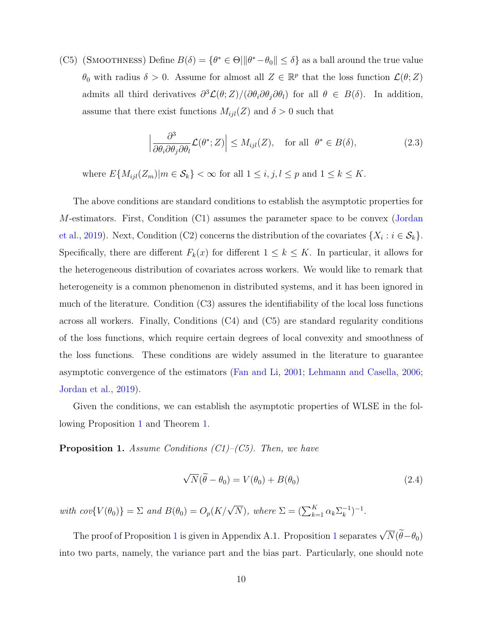(C5) (SMOOTHNESS) Define  $B(\delta) = \{ \theta^* \in \Theta | ||\theta^* - \theta_0|| \leq \delta \}$  as a ball around the true value  $\theta_0$  with radius  $\delta > 0$ . Assume for almost all  $Z \in \mathbb{R}^p$  that the loss function  $\mathcal{L}(\theta; Z)$ admits all third derivatives  $\partial^3 \mathcal{L}(\theta;Z) / (\partial \theta_i \partial \theta_j \partial \theta_l)$  for all  $\theta \in B(\delta)$ . In addition, assume that there exist functions  $M_{ijl}(Z)$  and  $\delta > 0$  such that

$$
\left|\frac{\partial^3}{\partial \theta_i \partial \theta_j \partial \theta_l} \mathcal{L}(\theta^*; Z)\right| \le M_{ijl}(Z), \quad \text{for all } \theta^* \in B(\delta), \tag{2.3}
$$

where  $E\{M_{ijl}(Z_m)|m\in\mathcal{S}_k\}<\infty$  for all  $1\leq i,j,l\leq p$  and  $1\leq k\leq K$ .

The above conditions are standard conditions to establish the asymptotic properties for M-estimators. First, Condition (C1) assumes the parameter space to be convex [\(Jordan](#page-34-0) [et al.,](#page-34-0) [2019\)](#page-34-0). Next, Condition (C2) concerns the distribution of the covariates  $\{X_i : i \in \mathcal{S}_k\}.$ Specifically, there are different  $F_k(x)$  for different  $1 \leq k \leq K$ . In particular, it allows for the heterogeneous distribution of covariates across workers. We would like to remark that heterogeneity is a common phenomenon in distributed systems, and it has been ignored in much of the literature. Condition (C3) assures the identifiability of the local loss functions across all workers. Finally, Conditions (C4) and (C5) are standard regularity conditions of the loss functions, which require certain degrees of local convexity and smoothness of the loss functions. These conditions are widely assumed in the literature to guarantee asymptotic convergence of the estimators [\(Fan and Li,](#page-34-4) [2001;](#page-34-4) [Lehmann and Casella,](#page-34-5) [2006;](#page-34-5) [Jordan et al.,](#page-34-0) [2019\)](#page-34-0).

Given the conditions, we can establish the asymptotic properties of WLSE in the following Proposition [1](#page-9-0) and Theorem [1.](#page-10-0)

<span id="page-9-0"></span>**Proposition 1.** Assume Conditions  $(C1)$ – $(C5)$ . Then, we have

<span id="page-9-1"></span>
$$
\sqrt{N}(\widetilde{\theta} - \theta_0) = V(\theta_0) + B(\theta_0)
$$
\n(2.4)

with  $cov\{V(\theta_0)\} = \sum$  and  $B(\theta_0) = O_p(K/\sqrt{N})$ , where  $\Sigma = (\sum_{k=1}^{K} \alpha_k \Sigma_k^{-1})$  $\binom{-1}{k}$ -1.

The proof of Proposition [1](#page-10-0) is given in Appendix A.1. Proposition 1 separates  $\sqrt{N}(\widetilde{\theta}-\theta_0)$ into two parts, namely, the variance part and the bias part. Particularly, one should note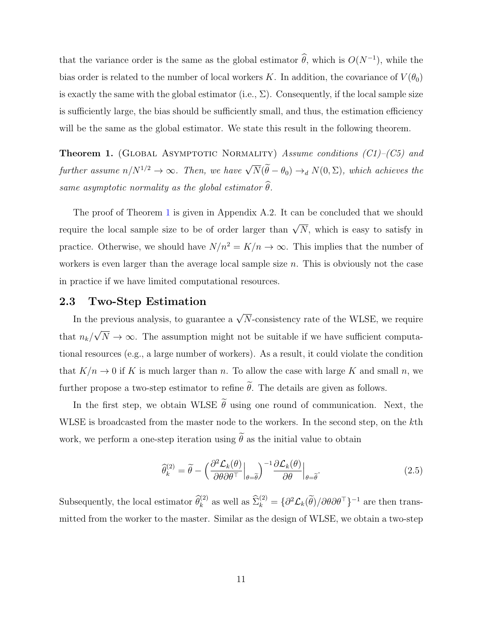that the variance order is the same as the global estimator  $\hat{\theta}$ , which is  $O(N^{-1})$ , while the bias order is related to the number of local workers K. In addition, the covariance of  $V(\theta_0)$ is exactly the same with the global estimator (i.e.,  $\Sigma$ ). Consequently, if the local sample size is sufficiently large, the bias should be sufficiently small, and thus, the estimation efficiency will be the same as the global estimator. We state this result in the following theorem.

<span id="page-10-0"></span>**Theorem 1.** (GLOBAL ASYMPTOTIC NORMALITY) Assume conditions  $(C1)$ – $(C5)$  and further assume  $n/N^{1/2} \to \infty$ . Then, we have  $\sqrt{N}(\widetilde{\theta}-\theta_0) \to_d N(0,\Sigma)$ , which achieves the same asymptotic normality as the global estimator  $\widehat{\theta}$ .

The proof of Theorem [1](#page-10-0) is given in Appendix A.2. It can be concluded that we should require the local sample size to be of order larger than  $\sqrt{N}$ , which is easy to satisfy in practice. Otherwise, we should have  $N/n^2 = K/n \to \infty$ . This implies that the number of workers is even larger than the average local sample size  $n$ . This is obviously not the case in practice if we have limited computational resources.

#### 2.3 Two-Step Estimation

In the previous analysis, to guarantee a  $\sqrt{N}$ -consistency rate of the WLSE, we require that  $n_k/$ √  $N \to \infty$ . The assumption might not be suitable if we have sufficient computational resources (e.g., a large number of workers). As a result, it could violate the condition that  $K/n \to 0$  if K is much larger than n. To allow the case with large K and small n, we further propose a two-step estimator to refine  $\tilde{\theta}$ . The details are given as follows.

In the first step, we obtain WLSE  $\tilde{\theta}$  using one round of communication. Next, the WLSE is broadcasted from the master node to the workers. In the second step, on the kth work, we perform a one-step iteration using  $\tilde{\theta}$  as the initial value to obtain

<span id="page-10-1"></span>
$$
\widehat{\theta}_{k}^{(2)} = \widetilde{\theta} - \left(\frac{\partial^2 \mathcal{L}_k(\theta)}{\partial \theta \partial \theta^\top}\Big|_{\theta=\widetilde{\theta}}\right)^{-1} \frac{\partial \mathcal{L}_k(\theta)}{\partial \theta}\Big|_{\theta=\widetilde{\theta}}.
$$
\n(2.5)

Subsequently, the local estimator  $\widehat{\theta}_k^{(2)}$  as well as  $\widehat{\Sigma}_k^{(2)} = \{\partial^2 \mathcal{L}_k(\widetilde{\theta}) / \partial \theta \partial \theta^\top\}^{-1}$  are then transmitted from the worker to the master. Similar as the design of WLSE, we obtain a two-step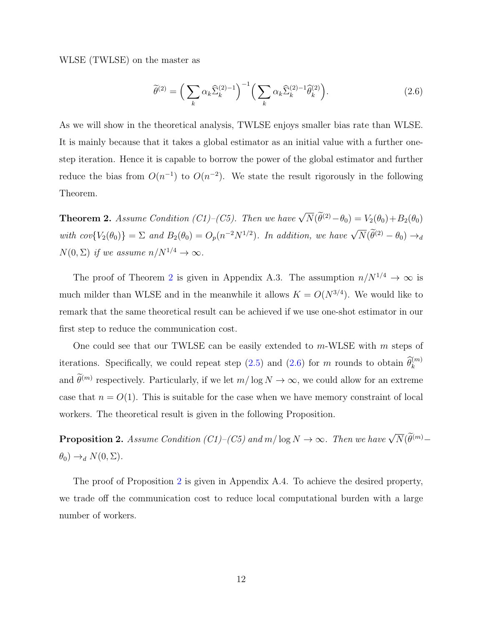WLSE (TWLSE) on the master as

<span id="page-11-1"></span>
$$
\widetilde{\theta}^{(2)} = \left(\sum_{k} \alpha_k \widehat{\Sigma}_{k}^{(2)-1}\right)^{-1} \left(\sum_{k} \alpha_k \widehat{\Sigma}_{k}^{(2)-1} \widehat{\theta}_{k}^{(2)}\right).
$$
\n(2.6)

As we will show in the theoretical analysis, TWLSE enjoys smaller bias rate than WLSE. It is mainly because that it takes a global estimator as an initial value with a further onestep iteration. Hence it is capable to borrow the power of the global estimator and further reduce the bias from  $O(n^{-1})$  to  $O(n^{-2})$ . We state the result rigorously in the following Theorem.

<span id="page-11-0"></span>**Theorem 2.** Assume Condition (C1)–(C5). Then we have  $\sqrt{N}(\tilde{\theta}^{(2)} - \theta_0) = V_2(\theta_0) + B_2(\theta_0)$ with  $cov\{V_2(\theta_0)\} = \sum$  and  $B_2(\theta_0) = O_p(n^{-2}N^{1/2})$ . In addition, we have  $\sqrt{N}(\widetilde{\theta}^{(2)} - \theta_0) \rightarrow_d$  $N(0, \Sigma)$  if we assume  $n/N^{1/4} \to \infty$ .

The proof of Theorem [2](#page-11-0) is given in Appendix A.3. The assumption  $n/N^{1/4} \to \infty$  is much milder than WLSE and in the meanwhile it allows  $K = O(N^{3/4})$ . We would like to remark that the same theoretical result can be achieved if we use one-shot estimator in our first step to reduce the communication cost.

One could see that our TWLSE can be easily extended to  $m$ -WLSE with  $m$  steps of iterations. Specifically, we could repeat step [\(2.5\)](#page-10-1) and [\(2.6\)](#page-11-1) for m rounds to obtain  $\widehat{\theta}_k^{(m)}$ and  $\hat{\theta}^{(m)}$  respectively. Particularly, if we let  $m/\log N \to \infty$ , we could allow for an extreme case that  $n = O(1)$ . This is suitable for the case when we have memory constraint of local workers. The theoretical result is given in the following Proposition.

<span id="page-11-2"></span>**Proposition 2.** Assume Condition (C1)–(C5) and  $m/\log N \to \infty$ . Then we have  $\sqrt{N}(\widetilde{\theta}^{(m)} \theta_0$ )  $\rightarrow_d N(0,\Sigma)$ .

The proof of Proposition [2](#page-11-2) is given in Appendix A.4. To achieve the desired property, we trade off the communication cost to reduce local computational burden with a large number of workers.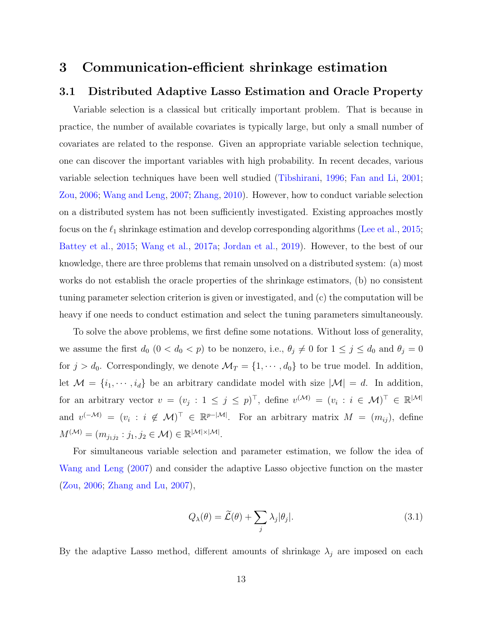### 3 Communication-efficient shrinkage estimation

#### 3.1 Distributed Adaptive Lasso Estimation and Oracle Property

Variable selection is a classical but critically important problem. That is because in practice, the number of available covariates is typically large, but only a small number of covariates are related to the response. Given an appropriate variable selection technique, one can discover the important variables with high probability. In recent decades, various variable selection techniques have been well studied [\(Tibshirani,](#page-35-7) [1996;](#page-35-7) [Fan and Li,](#page-34-4) [2001;](#page-34-4) [Zou,](#page-37-0) [2006;](#page-37-0) [Wang and Leng,](#page-35-6) [2007;](#page-35-6) [Zhang,](#page-36-7) [2010\)](#page-36-7). However, how to conduct variable selection on a distributed system has not been sufficiently investigated. Existing approaches mostly focus on the  $\ell_1$  shrinkage estimation and develop corresponding algorithms [\(Lee et al.,](#page-34-1) [2015;](#page-34-1) [Battey et al.,](#page-33-2) [2015;](#page-33-2) [Wang et al.,](#page-36-2) [2017a;](#page-36-2) [Jordan et al.,](#page-34-0) [2019\)](#page-34-0). However, to the best of our knowledge, there are three problems that remain unsolved on a distributed system: (a) most works do not establish the oracle properties of the shrinkage estimators, (b) no consistent tuning parameter selection criterion is given or investigated, and (c) the computation will be heavy if one needs to conduct estimation and select the tuning parameters simultaneously.

To solve the above problems, we first define some notations. Without loss of generality, we assume the first  $d_0$   $(0 < d_0 < p)$  to be nonzero, i.e.,  $\theta_j \neq 0$  for  $1 \leq j \leq d_0$  and  $\theta_j = 0$ for  $j > d_0$ . Correspondingly, we denote  $\mathcal{M}_T = \{1, \dots, d_0\}$  to be true model. In addition, let  $\mathcal{M} = \{i_1, \dots, i_d\}$  be an arbitrary candidate model with size  $|\mathcal{M}| = d$ . In addition, for an arbitrary vector  $v = (v_j : 1 \le j \le p)^\top$ , define  $v^{(\mathcal{M})} = (v_i : i \in \mathcal{M})^\top \in \mathbb{R}^{|\mathcal{M}|}$ and  $v^{(-\mathcal{M})} = (v_i : i \notin \mathcal{M})^{\top} \in \mathbb{R}^{p-|\mathcal{M}|}$ . For an arbitrary matrix  $M = (m_{ij})$ , define  $M^{(\mathcal{M})} = (m_{j_1j_2} : j_1, j_2 \in \mathcal{M}) \in \mathbb{R}^{|\mathcal{M}| \times |\mathcal{M}|}.$ 

For simultaneous variable selection and parameter estimation, we follow the idea of [Wang and Leng](#page-35-6) [\(2007\)](#page-35-6) and consider the adaptive Lasso objective function on the master [\(Zou,](#page-37-0) [2006;](#page-37-0) [Zhang and Lu,](#page-36-5) [2007\)](#page-36-5),

<span id="page-12-0"></span>
$$
Q_{\lambda}(\theta) = \widetilde{\mathcal{L}}(\theta) + \sum_{j} \lambda_{j} |\theta_{j}|.
$$
 (3.1)

By the adaptive Lasso method, different amounts of shrinkage  $\lambda_j$  are imposed on each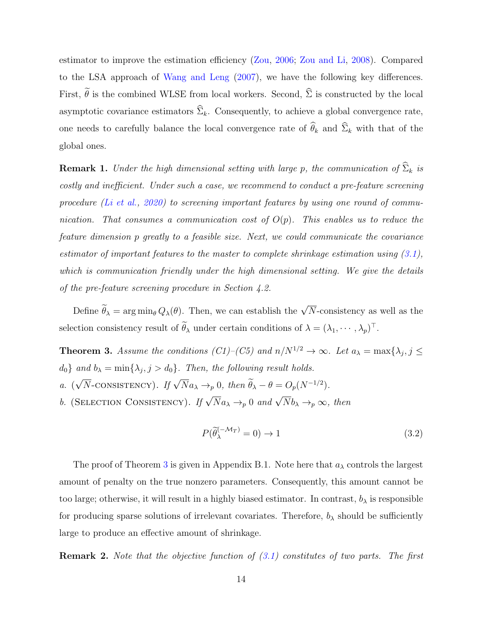estimator to improve the estimation efficiency [\(Zou,](#page-37-0) [2006;](#page-37-0) [Zou and Li,](#page-37-1) [2008\)](#page-37-1). Compared to the LSA approach of [Wang and Leng](#page-35-6) [\(2007\)](#page-35-6), we have the following key differences. First,  $\tilde{\theta}$  is the combined WLSE from local workers. Second,  $\hat{\Sigma}$  is constructed by the local asymptotic covariance estimators  $\widehat{\Sigma}_k$ . Consequently, to achieve a global convergence rate, one needs to carefully balance the local convergence rate of  $\widehat{\theta}_k$  and  $\widehat{\Sigma}_k$  with that of the global ones.

**Remark 1.** Under the high dimensional setting with large p, the communication of  $\widehat{\Sigma}_k$  is costly and inefficient. Under such a case, we recommend to conduct a pre-feature screening procedure [\(Li et al.,](#page-35-5)  $2020$ ) to screening important features by using one round of communication. That consumes a communication cost of  $O(p)$ . This enables us to reduce the feature dimension p greatly to a feasible size. Next, we could communicate the covariance estimator of important features to the master to complete shrinkage estimation using  $(3.1)$ , which is communication friendly under the high dimensional setting. We give the details of the pre-feature screening procedure in Section 4.2.

Define  $\widetilde{\theta}_{\lambda} = \arg \min_{\theta} Q_{\lambda}(\theta)$ . Then, we can establish the  $\sqrt{N}$ -consistency as well as the selection consistency result of  $\hat{\theta}_{\lambda}$  under certain conditions of  $\lambda = (\lambda_1, \dots, \lambda_p)^\top$ .

<span id="page-13-0"></span>**Theorem 3.** Assume the conditions  $(Cl)$ – $(C5)$  and  $n/N^{1/2} \rightarrow \infty$ . Let  $a_{\lambda} = \max\{\lambda_j, j \leq \lambda_j\}$  $d_0$  and  $b_\lambda = \min\{\lambda_j, j > d_0\}$ . Then, the following result holds. a. ( $\sqrt{N}$ -CONSISTENCY). If  $\sqrt{N}a_{\lambda} \rightarrow_p 0$ , then  $\widetilde{\theta}_{\lambda} - \theta = O_p(N^{-1/2})$ . b. (SELECTION CONSISTENCY). If  $\sqrt{N}a_{\lambda} \rightarrow_{p} 0$  and  $\sqrt{N}b_{\lambda} \rightarrow_{p} \infty$ , then

$$
P(\widetilde{\theta}_{\lambda}^{(-\mathcal{M}_T)} = 0) \to 1 \tag{3.2}
$$

The proof of Theorem [3](#page-13-0) is given in Appendix B.1. Note here that  $a_{\lambda}$  controls the largest amount of penalty on the true nonzero parameters. Consequently, this amount cannot be too large; otherwise, it will result in a highly biased estimator. In contrast,  $b_{\lambda}$  is responsible for producing sparse solutions of irrelevant covariates. Therefore,  $b_{\lambda}$  should be sufficiently large to produce an effective amount of shrinkage.

**Remark 2.** Note that the objective function of  $(3.1)$  constitutes of two parts. The first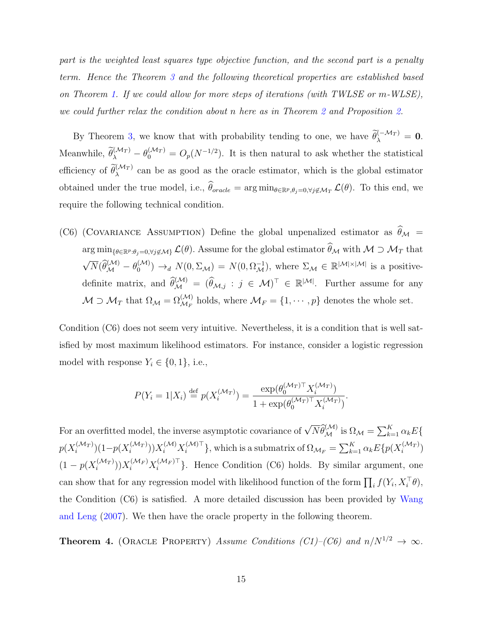part is the weighted least squares type objective function, and the second part is a penalty term. Hence the Theorem [3](#page-13-0) and the following theoretical properties are established based on Theorem [1.](#page-10-0) If we could allow for more steps of iterations (with TWLSE or m-WLSE), we could further relax the condition about n here as in Theorem [2](#page-11-0) and Proposition [2.](#page-11-2)

By Theorem [3,](#page-13-0) we know that with probability tending to one, we have  $\tilde{\theta}_{\lambda}^{(-\mathcal{M}_T)} = \mathbf{0}$ . Meanwhile,  $\tilde{\theta}_{\lambda}^{(\mathcal{M}_T)} - \theta_0^{(\mathcal{M}_T)} = O_p(N^{-1/2})$ . It is then natural to ask whether the statistical efficiency of  $\tilde{\theta}_{\lambda}^{(\mathcal{M}_T)}$  can be as good as the oracle estimator, which is the global estimator obtained under the true model, i.e.,  $\hat{\theta}_{oracle} = \arg \min_{\theta \in \mathbb{R}^p, \theta_j = 0, \forall j \notin \mathcal{M}_T} \mathcal{L}(\theta)$ . To this end, we require the following technical condition.

(C6) (COVARIANCE ASSUMPTION) Define the global unpenalized estimator as  $\widehat{\theta}_{\mathcal{M}} =$  $\arg\min_{\{\theta \in \mathbb{R}^p : \theta_j = 0, \forall j \notin \mathcal{M}\}} \mathcal{L}(\theta)$ . Assume for the global estimator  $\widehat{\theta}_{\mathcal{M}}$  with  $\mathcal{M} \supset \mathcal{M}_T$  that  $\sqrt{N}(\widehat{\theta}_{\mathcal{M}}^{(\mathcal{M})} - \theta_{0}^{(\mathcal{M})})$  $\mathcal{O}_{0}^{(\mathcal{M})}) \rightarrow_d N(0, \Sigma_{\mathcal{M}}) = N(0, \Omega_{\mathcal{M}}^{-1}),$  where  $\Sigma_{\mathcal{M}} \in \mathbb{R}^{|\mathcal{M}| \times |\mathcal{M}|}$  is a positivedefinite matrix, and  $\widehat{\theta}_{\mathcal{M}}^{(\mathcal{M})} = (\widehat{\theta}_{\mathcal{M},j} : j \in \mathcal{M})^{\top} \in \mathbb{R}^{|\mathcal{M}|}$ . Further assume for any  $M \supset M_T$  that  $\Omega_M = \Omega_{\mathcal{M}_F}^{(\mathcal{M})}$  holds, where  $\mathcal{M}_F = \{1, \cdots, p\}$  denotes the whole set.

Condition (C6) does not seem very intuitive. Nevertheless, it is a condition that is well satisfied by most maximum likelihood estimators. For instance, consider a logistic regression model with response  $Y_i \in \{0, 1\}$ , i.e.,

$$
P(Y_i = 1 | X_i) \stackrel{\text{def}}{=} p(X_i^{(\mathcal{M}_T)}) = \frac{\exp(\theta_0^{(\mathcal{M}_T) \top} X_i^{(\mathcal{M}_T)})}{1 + \exp(\theta_0^{(\mathcal{M}_T) \top} X_i^{(\mathcal{M}_T)})}.
$$

For an overfitted model, the inverse asymptotic covariance of  $\sqrt{N} \hat{\theta}_{\mathcal{M}}^{(\mathcal{M})}$  is  $\Omega_{\mathcal{M}} = \sum_{k=1}^{K} \alpha_k E\{$  $p(X_i^{(\mathcal{M}_T)}$  $\binom{(\mathcal{M}_T)}{i} (1-p(X_i^{(\mathcal{M}_T)})$  $\{(\mathcal{M}_T)\}_{i})\}X_i^{(\mathcal{M})}X_i^{(\mathcal{M})\top}$  $\{e^{(\mathcal{M})\top}\},$  which is a submatrix of  $\Omega_{\mathcal{M}_F} = \sum_{k=1}^K \alpha_k E\{p(X_i^{(\mathcal{M}_T)}\)}$  $i^{(\mathcal{M}_T)}$  $(1-p(X_i^{(\mathcal{M}_T)})$  $\big(X^{(\mathcal{M}_T)}_{i})\big)X^{(\mathcal{M}_F)}_{i}X^{(\mathcal{M}_F)\top}_{i}$  $\{e^{(\mathcal{M}_F)^T}\}\$ . Hence Condition (C6) holds. By similar argument, one can show that for any regression model with likelihood function of the form  $\prod_i f(Y_i, X_i^{\top} \theta)$ , the Condition (C6) is satisfied. A more detailed discussion has been provided by [Wang](#page-35-6) [and Leng](#page-35-6) [\(2007\)](#page-35-6). We then have the oracle property in the following theorem.

<span id="page-14-0"></span>**Theorem 4.** (ORACLE PROPERTY) Assume Conditions (C1)–(C6) and  $n/N^{1/2} \rightarrow \infty$ .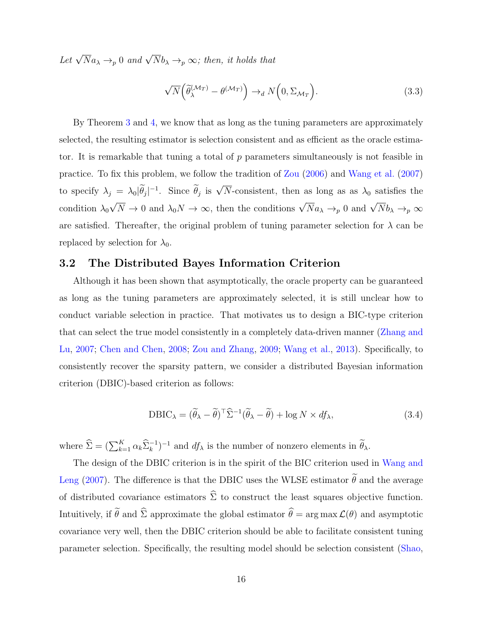Let  $\sqrt{N}a_{\lambda} \rightarrow_{p} 0$  and  $\sqrt{N}b_{\lambda} \rightarrow_{p} \infty$ ; then, it holds that

$$
\sqrt{N}\left(\tilde{\theta}_{\lambda}^{(\mathcal{M}_T)} - \theta^{(\mathcal{M}_T)}\right) \to_d N\left(0, \Sigma_{\mathcal{M}_T}\right). \tag{3.3}
$$

By Theorem [3](#page-13-0) and [4,](#page-14-0) we know that as long as the tuning parameters are approximately selected, the resulting estimator is selection consistent and as efficient as the oracle estimator. It is remarkable that tuning a total of  $p$  parameters simultaneously is not feasible in practice. To fix this problem, we follow the tradition of [Zou](#page-37-0) [\(2006\)](#page-37-0) and [Wang et al.](#page-35-4) [\(2007\)](#page-35-4) to specify  $\lambda_j = \lambda_0 |\tilde{\theta}_j|^{-1}$ . Since  $\tilde{\theta}_j$  is  $\sqrt{N}$ -consistent, then as long as as  $\lambda_0$  satisfies the condition  $\lambda_0$  $\sqrt{N} \to 0$  and  $\lambda_0 N \to \infty$ , then the conditions  $\sqrt{N} a_\lambda \to_p 0$  and  $\sqrt{N} b_\lambda \to_p \infty$ are satisfied. Thereafter, the original problem of tuning parameter selection for  $\lambda$  can be replaced by selection for  $\lambda_0$ .

#### 3.2 The Distributed Bayes Information Criterion

Although it has been shown that asymptotically, the oracle property can be guaranteed as long as the tuning parameters are approximately selected, it is still unclear how to conduct variable selection in practice. That motivates us to design a BIC-type criterion that can select the true model consistently in a completely data-driven manner [\(Zhang and](#page-36-5) [Lu,](#page-36-5) [2007;](#page-36-5) [Chen and Chen,](#page-33-8) [2008;](#page-33-8) [Zou and Zhang,](#page-37-2) [2009;](#page-37-2) [Wang et al.,](#page-36-8) [2013\)](#page-36-8). Specifically, to consistently recover the sparsity pattern, we consider a distributed Bayesian information criterion (DBIC)-based criterion as follows:

<span id="page-15-0"></span>
$$
DBIC_{\lambda} = (\widetilde{\theta}_{\lambda} - \widetilde{\theta})^{\top} \widehat{\Sigma}^{-1} (\widetilde{\theta}_{\lambda} - \widetilde{\theta}) + \log N \times df_{\lambda}, \qquad (3.4)
$$

where  $\widehat{\Sigma} = (\sum_{k=1}^K \alpha_k \widehat{\Sigma}_k^{-1})^{-1}$  and  $df_{\lambda}$  is the number of nonzero elements in  $\widetilde{\theta}_{\lambda}$ .

The design of the DBIC criterion is in the spirit of the BIC criterion used in [Wang and](#page-35-6) [Leng](#page-35-6) [\(2007\)](#page-35-6). The difference is that the DBIC uses the WLSE estimator  $\tilde{\theta}$  and the average of distributed covariance estimators  $\hat{\Sigma}$  to construct the least squares objective function. Intuitively, if  $\tilde{\theta}$  and  $\hat{\Sigma}$  approximate the global estimator  $\hat{\theta} = \arg \max \mathcal{L}(\theta)$  and asymptotic covariance very well, then the DBIC criterion should be able to facilitate consistent tuning parameter selection. Specifically, the resulting model should be selection consistent [\(Shao,](#page-35-8)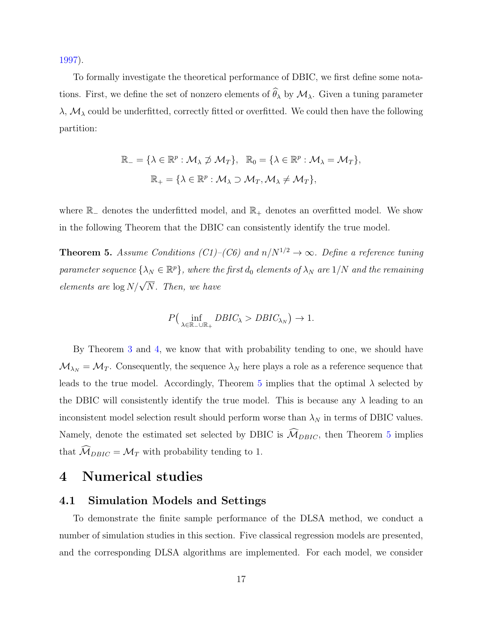[1997\)](#page-35-8).

To formally investigate the theoretical performance of DBIC, we first define some notations. First, we define the set of nonzero elements of  $\widehat{\theta}_{\lambda}$  by  $\mathcal{M}_{\lambda}$ . Given a tuning parameter  $\lambda$ ,  $\mathcal{M}_{\lambda}$  could be underfitted, correctly fitted or overfitted. We could then have the following partition:

$$
\mathbb{R}_{-} = \{ \lambda \in \mathbb{R}^{p} : \mathcal{M}_{\lambda} \not\supset \mathcal{M}_{T} \}, \quad \mathbb{R}_{0} = \{ \lambda \in \mathbb{R}^{p} : \mathcal{M}_{\lambda} = \mathcal{M}_{T} \},
$$

$$
\mathbb{R}_{+} = \{ \lambda \in \mathbb{R}^{p} : \mathcal{M}_{\lambda} \supset \mathcal{M}_{T}, \mathcal{M}_{\lambda} \neq \mathcal{M}_{T} \},
$$

where  $\mathbb{R}_-$  denotes the underfitted model, and  $\mathbb{R}_+$  denotes an overfitted model. We show in the following Theorem that the DBIC can consistently identify the true model.

<span id="page-16-0"></span>**Theorem 5.** Assume Conditions (C1)–(C6) and  $n/N^{1/2} \rightarrow \infty$ . Define a reference tuning parameter sequence  $\{\lambda_N\in\mathbb{R}^p\}$ , where the first  $d_0$  elements of  $\lambda_N$  are  $1/N$  and the remaining elements are  $\log N/\sqrt{N}$ . Then, we have

$$
P\left(\inf_{\lambda \in \mathbb{R}_+ \cup \mathbb{R}_+} DBIC_{\lambda} > DBIC_{\lambda_N}\right) \to 1.
$$

By Theorem [3](#page-13-0) and [4,](#page-14-0) we know that with probability tending to one, we should have  $M_{\lambda_N} = M_T$ . Consequently, the sequence  $\lambda_N$  here plays a role as a reference sequence that leads to the true model. Accordingly, Theorem [5](#page-16-0) implies that the optimal  $\lambda$  selected by the DBIC will consistently identify the true model. This is because any  $\lambda$  leading to an inconsistent model selection result should perform worse than  $\lambda_N$  in terms of DBIC values. Namely, denote the estimated set selected by DBIC is  $\widehat{M}_{DBIC}$ , then Theorem [5](#page-16-0) implies that  $\mathcal{M}_{DBIC} = \mathcal{M}_T$  with probability tending to 1.

### 4 Numerical studies

#### 4.1 Simulation Models and Settings

To demonstrate the finite sample performance of the DLSA method, we conduct a number of simulation studies in this section. Five classical regression models are presented, and the corresponding DLSA algorithms are implemented. For each model, we consider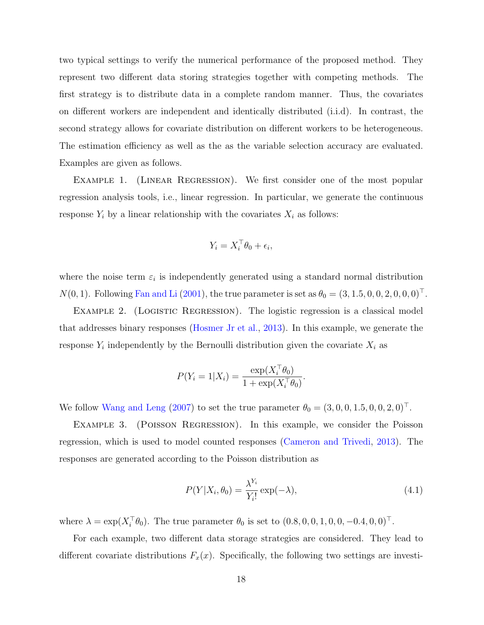two typical settings to verify the numerical performance of the proposed method. They represent two different data storing strategies together with competing methods. The first strategy is to distribute data in a complete random manner. Thus, the covariates on different workers are independent and identically distributed (i.i.d). In contrast, the second strategy allows for covariate distribution on different workers to be heterogeneous. The estimation efficiency as well as the as the variable selection accuracy are evaluated. Examples are given as follows.

Example 1. (Linear Regression). We first consider one of the most popular regression analysis tools, i.e., linear regression. In particular, we generate the continuous response  $Y_i$  by a linear relationship with the covariates  $X_i$  as follows:

$$
Y_i = X_i^{\top} \theta_0 + \epsilon_i,
$$

where the noise term  $\varepsilon_i$  is independently generated using a standard normal distribution  $N(0, 1)$ . Following [Fan and Li](#page-34-4) [\(2001\)](#page-34-4), the true parameter is set as  $\theta_0 = (3, 1.5, 0, 0, 2, 0, 0, 0)$ <sup>T</sup>.

EXAMPLE 2. (LOGISTIC REGRESSION). The logistic regression is a classical model that addresses binary responses [\(Hosmer Jr et al.,](#page-34-6) [2013\)](#page-34-6). In this example, we generate the response  $Y_i$  independently by the Bernoulli distribution given the covariate  $X_i$  as

$$
P(Y_i = 1 | X_i) = \frac{\exp(X_i^{\top} \theta_0)}{1 + \exp(X_i^{\top} \theta_0)}.
$$

We follow [Wang and Leng](#page-35-6) [\(2007\)](#page-35-6) to set the true parameter  $\theta_0 = (3, 0, 0, 1.5, 0, 0, 2, 0)$ <sup>T</sup>.

EXAMPLE 3. (POISSON REGRESSION). In this example, we consider the Poisson regression, which is used to model counted responses [\(Cameron and Trivedi,](#page-33-9) [2013\)](#page-33-9). The responses are generated according to the Poisson distribution as

$$
P(Y|X_i, \theta_0) = \frac{\lambda^{Y_i}}{Y_i!} \exp(-\lambda), \qquad (4.1)
$$

where  $\lambda = \exp(X_i^{\top} \theta_0)$ . The true parameter  $\theta_0$  is set to  $(0.8, 0, 0, 1, 0, 0, -0.4, 0, 0)^{\top}$ .

For each example, two different data storage strategies are considered. They lead to different covariate distributions  $F_x(x)$ . Specifically, the following two settings are investi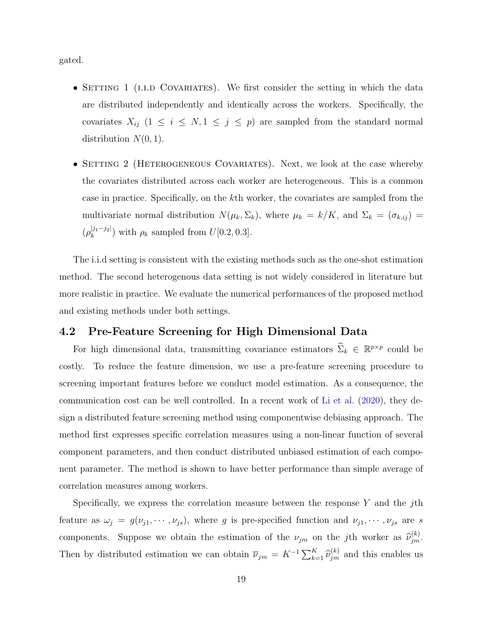gated.

- SETTING 1 (I.I.D COVARIATES). We first consider the setting in which the data are distributed independently and identically across the workers. Specifically, the covariates  $X_{ij}$  (1  $\leq i \leq N, 1 \leq j \leq p$ ) are sampled from the standard normal distribution  $N(0, 1)$ .
- SETTING 2 (HETEROGENEOUS COVARIATES). Next, we look at the case whereby the covariates distributed across each worker are heterogeneous. This is a common case in practice. Specifically, on the kth worker, the covariates are sampled from the multivariate normal distribution  $N(\mu_k, \Sigma_k)$ , where  $\mu_k = k/K$ , and  $\Sigma_k = (\sigma_{k, ij})$  $(\rho_k^{|j_1-j_2|})$  $\binom{[j_1-j_2]}{k}$  with  $\rho_k$  sampled from  $U[0.2, 0.3]$ .

The i.i.d setting is consistent with the existing methods such as the one-shot estimation method. The second heterogenous data setting is not widely considered in literature but more realistic in practice. We evaluate the numerical performances of the proposed method and existing methods under both settings.

#### 4.2 Pre-Feature Screening for High Dimensional Data

For high dimensional data, transmitting covariance estimators  $\hat{\Sigma}_k \in \mathbb{R}^{p \times p}$  could be costly. To reduce the feature dimension, we use a pre-feature screening procedure to screening important features before we conduct model estimation. As a consequence, the communication cost can be well controlled. In a recent work of [Li et al.](#page-35-5) [\(2020\)](#page-35-5), they design a distributed feature screening method using componentwise debiasing approach. The method first expresses specific correlation measures using a non-linear function of several component parameters, and then conduct distributed unbiased estimation of each component parameter. The method is shown to have better performance than simple average of correlation measures among workers.

Specifically, we express the correlation measure between the response  $Y$  and the jth feature as  $\omega_j = g(\nu_{j1}, \dots, \nu_{js})$ , where g is pre-specified function and  $\nu_{j1}, \dots, \nu_{js}$  are s components. Suppose we obtain the estimation of the  $\nu_{jm}$  on the jth worker as  $\hat{\nu}_{jm}^{(k)}$ . Then by distributed estimation we can obtain  $\overline{\nu}_{jm} = K^{-1} \sum_{k=1}^{K} \widehat{\nu}_{jm}^{(k)}$  and this enables us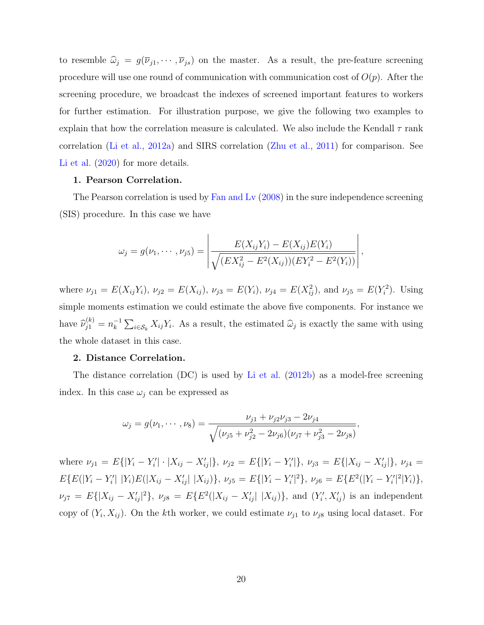to resemble  $\hat{\omega}_j = g(\overline{\nu}_{j1}, \cdots, \overline{\nu}_{js})$  on the master. As a result, the pre-feature screening procedure will use one round of communication with communication cost of  $O(p)$ . After the screening procedure, we broadcast the indexes of screened important features to workers for further estimation. For illustration purpose, we give the following two examples to explain that how the correlation measure is calculated. We also include the Kendall  $\tau$  rank correlation [\(Li et al.,](#page-34-7) [2012a\)](#page-34-7) and SIRS correlation [\(Zhu et al.,](#page-37-3) [2011\)](#page-37-3) for comparison. See [Li et al.](#page-35-5)  $(2020)$  for more details.

#### 1. Pearson Correlation.

The Pearson correlation is used by [Fan and Lv](#page-34-8) [\(2008\)](#page-34-8) in the sure independence screening (SIS) procedure. In this case we have

$$
\omega_j = g(\nu_1, \cdots, \nu_{j5}) = \left| \frac{E(X_{ij}Y_i) - E(X_{ij})E(Y_i)}{\sqrt{(EX_{ij}^2 - E^2(X_{ij}))(EY_i^2 - E^2(Y_i))}} \right|,
$$

where  $\nu_{j1} = E(X_{ij}Y_i)$ ,  $\nu_{j2} = E(X_{ij})$ ,  $\nu_{j3} = E(Y_i)$ ,  $\nu_{j4} = E(X_{ij}^2)$ , and  $\nu_{j5} = E(Y_i^2)$ . Using simple moments estimation we could estimate the above five components. For instance we have  $\widehat{\nu}_{j1}^{(k)} = n_k^{-1}$  $\sum_{i\in\mathcal{S}_k} X_{ij} Y_i$ . As a result, the estimated  $\widehat{\omega}_j$  is exactly the same with using the whole dataset in this case.

#### 2. Distance Correlation.

The distance correlation (DC) is used by [Li et al.](#page-34-9) [\(2012b\)](#page-34-9) as a model-free screening index. In this case  $\omega_i$  can be expressed as

$$
\omega_j = g(\nu_1, \cdots, \nu_8) = \frac{\nu_{j1} + \nu_{j2}\nu_{j3} - 2\nu_{j4}}{\sqrt{(\nu_{j5} + \nu_{j2}^2 - 2\nu_{j6})(\nu_{j7} + \nu_{j3}^2 - 2\nu_{j8})}},
$$

where  $\nu_{j1} = E\{|Y_i - Y'_i| \cdot |X_{ij} - X'_{ij}|\}, \nu_{j2} = E\{|Y_i - Y'_i|\}, \nu_{j3} = E\{|X_{ij} - X'_{ij}|\}, \nu_{j4} =$  $E\{E(|Y_i - Y_i'| |Y_i)E(|X_{ij} - X_{ij}'| |X_{ij})\}, \nu_{j5} = E\{|Y_i - Y_i'|^2\}, \nu_{j6} = E\{E^2(|Y_i - Y_i'|^2 |Y_i)\},$  $\nu_{j7} = E\{|X_{ij} - X'_{ij}|^2\}, \ \nu_{j8} = E\{E^2(|X_{ij} - X'_{ij}| |X_{ij})\}, \text{ and } (Y'_i, X'_{ij}) \text{ is an independent}$ copy of  $(Y_i, X_{ij})$ . On the kth worker, we could estimate  $\nu_{j1}$  to  $\nu_{j8}$  using local dataset. For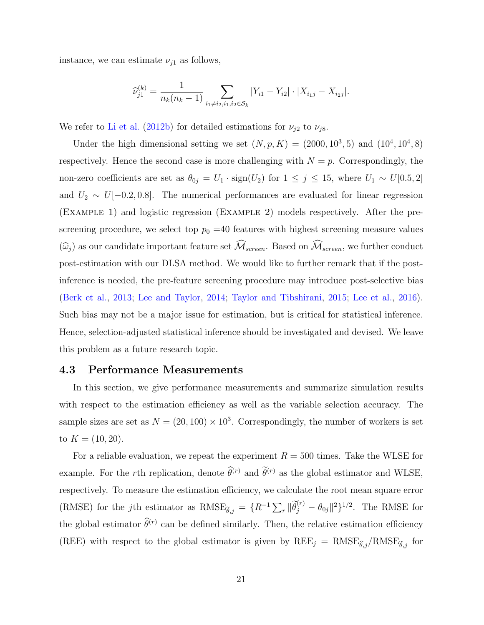instance, we can estimate  $\nu_{j1}$  as follows,

$$
\widehat{\nu}_{j1}^{(k)} = \frac{1}{n_k(n_k - 1)} \sum_{i_1 \neq i_2, i_1, i_2 \in \mathcal{S}_k} |Y_{i1} - Y_{i2}| \cdot |X_{i_1j} - X_{i_2j}|.
$$

We refer to [Li et al.](#page-34-9) [\(2012b\)](#page-34-9) for detailed estimations for  $\nu_{j2}$  to  $\nu_{j8}$ .

Under the high dimensional setting we set  $(N, p, K) = (2000, 10^3, 5)$  and  $(10^4, 10^4, 8)$ respectively. Hence the second case is more challenging with  $N = p$ . Correspondingly, the non-zero coefficients are set as  $\theta_{0j} = U_1 \cdot \text{sign}(U_2)$  for  $1 \leq j \leq 15$ , where  $U_1 \sim U[0.5, 2]$ and  $U_2 \sim U[-0.2, 0.8]$ . The numerical performances are evaluated for linear regression (Example 1) and logistic regression (Example 2) models respectively. After the prescreening procedure, we select top  $p_0 = 40$  features with highest screening measure values  $(\widehat{\omega}_j)$  as our candidate important feature set  $\widehat{\mathcal{M}}_{screen}$ . Based on  $\widehat{\mathcal{M}}_{screen}$ , we further conduct post-estimation with our DLSA method. We would like to further remark that if the postinference is needed, the pre-feature screening procedure may introduce post-selective bias [\(Berk et al.,](#page-33-10) [2013;](#page-33-10) [Lee and Taylor,](#page-34-10) [2014;](#page-34-10) [Taylor and Tibshirani,](#page-35-9) [2015;](#page-35-9) [Lee et al.,](#page-34-11) [2016\)](#page-34-11). Such bias may not be a major issue for estimation, but is critical for statistical inference. Hence, selection-adjusted statistical inference should be investigated and devised. We leave this problem as a future research topic.

#### 4.3 Performance Measurements

In this section, we give performance measurements and summarize simulation results with respect to the estimation efficiency as well as the variable selection accuracy. The sample sizes are set as  $N = (20, 100) \times 10^3$ . Correspondingly, the number of workers is set to  $K = (10, 20)$ .

For a reliable evaluation, we repeat the experiment  $R = 500$  times. Take the WLSE for example. For the rth replication, denote  $\hat{\theta}^{(r)}$  and  $\hat{\theta}^{(r)}$  as the global estimator and WLSE, respectively. To measure the estimation efficiency, we calculate the root mean square error (RMSE) for the *j*th estimator as  $RMSE_{\tilde{\theta},j} = \{R^{-1}\sum_r \|\tilde{\theta}_j^{(r)} - \theta_{0j}\|^2\}^{1/2}$ . The RMSE for the global estimator  $\hat{\theta}^{(r)}$  can be defined similarly. Then, the relative estimation efficiency (REE) with respect to the global estimator is given by  $\text{REE}_j = \text{RMSE}_{\hat{\theta},j} / \text{RMSE}_{\tilde{\theta},j}$  for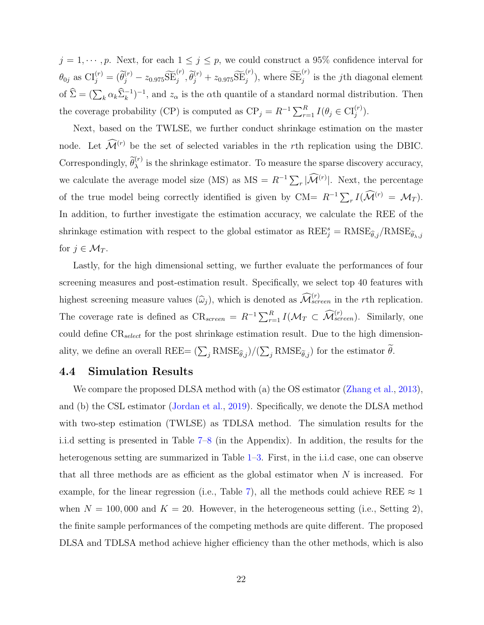$j = 1, \dots, p$ . Next, for each  $1 \leq j \leq p$ , we could construct a 95% confidence interval for  $\theta_{0j}$  as  $CI_j^{(r)} = (\tilde{\theta}_j^{(r)} - z_{0.975} \widetilde{SE}_j^{(r)}, \tilde{\theta}_j^{(r)} + z_{0.975} \widetilde{SE}_j^{(r)}),$  where  $\widetilde{SE}_j^{(r)}$  is the *j*th diagonal element of  $\hat{\Sigma} = (\sum_k \alpha_k \hat{\Sigma}_k^{-1})^{-1}$ , and  $z_\alpha$  is the  $\alpha$ th quantile of a standard normal distribution. Then the coverage probability (CP) is computed as  $\text{CP}_j = R^{-1} \sum_{r=1}^R I(\theta_j \in \text{CI}_j^{(r)})$ .

Next, based on the TWLSE, we further conduct shrinkage estimation on the master node. Let  $\widehat{\mathcal{M}}^{(r)}$  be the set of selected variables in the rth replication using the DBIC. Correspondingly,  $\tilde{\theta}_{\lambda}^{(r)}$  is the shrinkage estimator. To measure the sparse discovery accuracy, we calculate the average model size (MS) as  $MS = R^{-1} \sum_r |\mathcal{\tilde{M}}^{(r)}|$ . Next, the percentage of the true model being correctly identified is given by CM=  $R^{-1} \sum_r I(\mathcal{M}^{(r)} = \mathcal{M}_T)$ . In addition, to further investigate the estimation accuracy, we calculate the REE of the shrinkage estimation with respect to the global estimator as  $\text{REE}^s_j = \text{RMSE}_{\widehat{\theta},j} / \text{RMSE}_{\widetilde{\theta}_{\lambda},j}$ for  $j \in \mathcal{M}_T$ .

Lastly, for the high dimensional setting, we further evaluate the performances of four screening measures and post-estimation result. Specifically, we select top 40 features with highest screening measure values  $(\widehat{\omega}_j)$ , which is denoted as  $\widehat{\mathcal{M}}_{screen}^{(r)}$  in the rth replication. The coverage rate is defined as  $CR_{screen} = R^{-1} \sum_{r=1}^{R} I(\mathcal{M}_T \subset \widehat{\mathcal{M}}_{screen}^{(r)})$ . Similarly, one could define  $CR_{select}$  for the post shrinkage estimation result. Due to the high dimensionality, we define an overall  $\text{REE} = (\sum_j \text{RMSE}_{\hat{\theta},j})/(\sum_j \text{RMSE}_{\tilde{\theta},j})$  for the estimator  $\theta$ .

#### 4.4 Simulation Results

We compare the proposed DLSA method with (a) the OS estimator [\(Zhang et al.,](#page-36-1) [2013\)](#page-36-1), and (b) the CSL estimator [\(Jordan et al.,](#page-34-0) [2019\)](#page-34-0). Specifically, we denote the DLSA method with two-step estimation (TWLSE) as TDLSA method. The simulation results for the i.i.d setting is presented in Table [7](#page-48-0)[–8](#page-49-0) (in the Appendix). In addition, the results for the heterogenous setting are summarized in Table [1–](#page-23-0)[3.](#page-25-0) First, in the i.i.d case, one can observe that all three methods are as efficient as the global estimator when  $N$  is increased. For example, for the linear regression (i.e., Table [7\)](#page-48-0), all the methods could achieve REE  $\approx 1$ when  $N = 100,000$  and  $K = 20$ . However, in the heterogeneous setting (i.e., Setting 2), the finite sample performances of the competing methods are quite different. The proposed DLSA and TDLSA method achieve higher efficiency than the other methods, which is also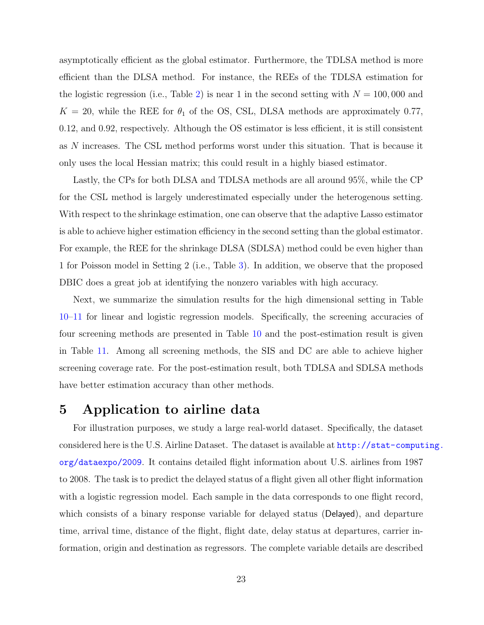asymptotically efficient as the global estimator. Furthermore, the TDLSA method is more efficient than the DLSA method. For instance, the REEs of the TDLSA estimation for the logistic regression (i.e., Table [2\)](#page-24-0) is near 1 in the second setting with  $N = 100,000$  and  $K = 20$ , while the REE for  $\theta_1$  of the OS, CSL, DLSA methods are approximately 0.77, 0.12, and 0.92, respectively. Although the OS estimator is less efficient, it is still consistent as N increases. The CSL method performs worst under this situation. That is because it only uses the local Hessian matrix; this could result in a highly biased estimator.

Lastly, the CPs for both DLSA and TDLSA methods are all around 95%, while the CP for the CSL method is largely underestimated especially under the heterogenous setting. With respect to the shrinkage estimation, one can observe that the adaptive Lasso estimator is able to achieve higher estimation efficiency in the second setting than the global estimator. For example, the REE for the shrinkage DLSA (SDLSA) method could be even higher than 1 for Poisson model in Setting 2 (i.e., Table [3\)](#page-25-0). In addition, we observe that the proposed DBIC does a great job at identifying the nonzero variables with high accuracy.

Next, we summarize the simulation results for the high dimensional setting in Table [10–](#page-50-0)[11](#page-51-0) for linear and logistic regression models. Specifically, the screening accuracies of four screening methods are presented in Table [10](#page-50-0) and the post-estimation result is given in Table [11.](#page-51-0) Among all screening methods, the SIS and DC are able to achieve higher screening coverage rate. For the post-estimation result, both TDLSA and SDLSA methods have better estimation accuracy than other methods.

## 5 Application to airline data

For illustration purposes, we study a large real-world dataset. Specifically, the dataset considered here is the U.S. Airline Dataset. The dataset is available at [http://stat-comput](http://stat-computing.org/dataexpo/2009)ing. [org/dataexpo/2009](http://stat-computing.org/dataexpo/2009). It contains detailed flight information about U.S. airlines from 1987 to 2008. The task is to predict the delayed status of a flight given all other flight information with a logistic regression model. Each sample in the data corresponds to one flight record, which consists of a binary response variable for delayed status (Delayed), and departure time, arrival time, distance of the flight, flight date, delay status at departures, carrier information, origin and destination as regressors. The complete variable details are described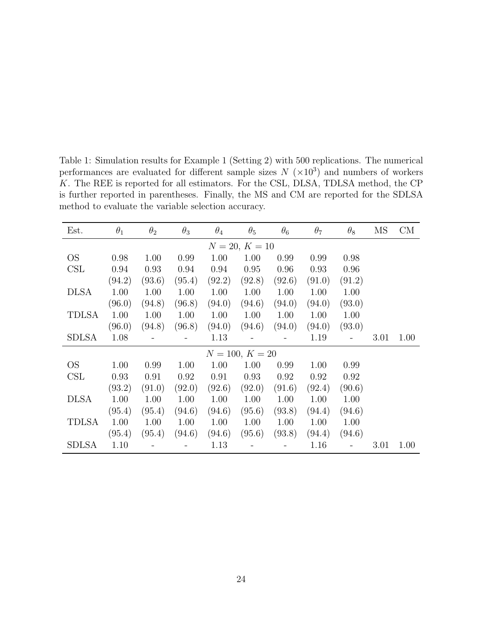<span id="page-23-0"></span>Table 1: Simulation results for Example 1 (Setting 2) with 500 replications. The numerical performances are evaluated for different sample sizes  $N \ (\times 10^3)$  and numbers of workers K. The REE is reported for all estimators. For the CSL, DLSA, TDLSA method, the CP is further reported in parentheses. Finally, the MS and CM are reported for the SDLSA method to evaluate the variable selection accuracy.

| Est.                 | $\theta_1$ | $\theta_{2}$ | $\theta_3$ | $\theta_4$ | $\theta_{5}$      | $\theta_6$ | $\theta_7$ | $\theta_8$ | MS   | CM   |
|----------------------|------------|--------------|------------|------------|-------------------|------------|------------|------------|------|------|
|                      |            |              |            |            | $N = 20, K = 10$  |            |            |            |      |      |
| <b>OS</b>            | 0.98       | 1.00         | 0.99       | 1.00       | 1.00              | 0.99       | 0.99       | 0.98       |      |      |
| $\operatorname{CSL}$ | 0.94       | 0.93         | 0.94       | 0.94       | 0.95              | 0.96       | 0.93       | 0.96       |      |      |
|                      | (94.2)     | (93.6)       | (95.4)     | (92.2)     | (92.8)            | (92.6)     | (91.0)     | (91.2)     |      |      |
| <b>DLSA</b>          | 1.00       | 1.00         | 1.00       | 1.00       | 1.00              | 1.00       | 1.00       | 1.00       |      |      |
|                      | (96.0)     | (94.8)       | (96.8)     | (94.0)     | (94.6)            | (94.0)     | (94.0)     | (93.0)     |      |      |
| TDLSA                | 1.00       | 1.00         | 1.00       | 1.00       | 1.00              | 1.00       | 1.00       | 1.00       |      |      |
|                      | (96.0)     | (94.8)       | (96.8)     | (94.0)     | (94.6)            | (94.0)     | (94.0)     | (93.0)     |      |      |
| SDLSA                | 1.08       |              |            | 1.13       |                   |            | 1.19       |            | 3.01 | 1.00 |
|                      |            |              |            |            | $N = 100, K = 20$ |            |            |            |      |      |
| OS.                  | 1.00       | 0.99         | 1.00       | 1.00       | 1.00              | 0.99       | 1.00       | 0.99       |      |      |
| CSL                  | 0.93       | 0.91         | 0.92       | 0.91       | 0.93              | 0.92       | 0.92       | 0.92       |      |      |
|                      | (93.2)     | (91.0)       | (92.0)     | (92.6)     | (92.0)            | (91.6)     | (92.4)     | (90.6)     |      |      |
| <b>DLSA</b>          | 1.00       | 1.00         | 1.00       | 1.00       | 1.00              | 1.00       | 1.00       | 1.00       |      |      |
|                      | (95.4)     | (95.4)       | (94.6)     | (94.6)     | (95.6)            | (93.8)     | (94.4)     | (94.6)     |      |      |
| <b>TDLSA</b>         | 1.00       | 1.00         | 1.00       | 1.00       | 1.00              | 1.00       | 1.00       | 1.00       |      |      |
|                      | (95.4)     | (95.4)       | (94.6)     | (94.6)     | (95.6)            | (93.8)     | (94.4)     | (94.6)     |      |      |
| <b>SDLSA</b>         | 1.10       |              |            | 1.13       |                   |            | 1.16       |            | 3.01 | 1.00 |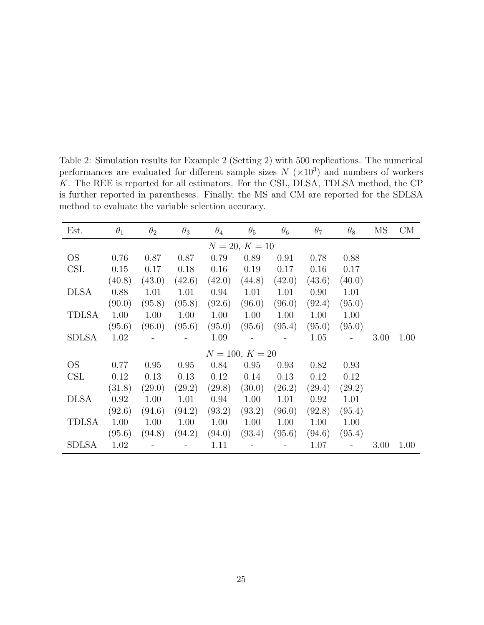<span id="page-24-0"></span>Table 2: Simulation results for Example 2 (Setting 2) with 500 replications. The numerical performances are evaluated for different sample sizes  $N \ (\times 10^3)$  and numbers of workers K. The REE is reported for all estimators. For the CSL, DLSA, TDLSA method, the CP is further reported in parentheses. Finally, the MS and CM are reported for the SDLSA method to evaluate the variable selection accuracy.

| Est.         | $\theta_1$ | $\theta_{2}$ | $\theta_3$ | $\theta_4$ | $\theta_{5}$      | $\theta_6$ | $\theta_7$ | $\theta_8$ | MS   | CM   |
|--------------|------------|--------------|------------|------------|-------------------|------------|------------|------------|------|------|
|              |            |              |            |            | $N = 20, K = 10$  |            |            |            |      |      |
| <b>OS</b>    | 0.76       | 0.87         | 0.87       | 0.79       | 0.89              | 0.91       | 0.78       | 0.88       |      |      |
| CSL          | 0.15       | 0.17         | 0.18       | 0.16       | 0.19              | 0.17       | 0.16       | 0.17       |      |      |
|              | (40.8)     | (43.0)       | (42.6)     | (42.0)     | (44.8)            | (42.0)     | (43.6)     | (40.0)     |      |      |
| <b>DLSA</b>  | 0.88       | 1.01         | 1.01       | 0.94       | 1.01              | 1.01       | 0.90       | 1.01       |      |      |
|              | (90.0)     | (95.8)       | (95.8)     | (92.6)     | (96.0)            | (96.0)     | (92.4)     | (95.0)     |      |      |
| <b>TDLSA</b> | 1.00       | 1.00         | 1.00       | 1.00       | 1.00              | 1.00       | 1.00       | 1.00       |      |      |
|              | (95.6)     | (96.0)       | (95.6)     | (95.0)     | (95.6)            | (95.4)     | (95.0)     | (95.0)     |      |      |
| SDLSA        | 1.02       |              |            | 1.09       |                   |            | 1.05       |            | 3.00 | 1.00 |
|              |            |              |            |            | $N = 100, K = 20$ |            |            |            |      |      |
| OS.          | 0.77       | 0.95         | 0.95       | 0.84       | 0.95              | 0.93       | 0.82       | 0.93       |      |      |
| CSL          | 0.12       | 0.13         | 0.13       | 0.12       | 0.14              | 0.13       | 0.12       | 0.12       |      |      |
|              | (31.8)     | (29.0)       | (29.2)     | (29.8)     | (30.0)            | (26.2)     | (29.4)     | (29.2)     |      |      |
| <b>DLSA</b>  | 0.92       | 1.00         | 1.01       | 0.94       | 1.00              | 1.01       | 0.92       | 1.01       |      |      |
|              | (92.6)     | (94.6)       | (94.2)     | (93.2)     | (93.2)            | (96.0)     | (92.8)     | (95.4)     |      |      |
| <b>TDLSA</b> | 1.00       | 1.00         | 1.00       | 1.00       | 1.00              | 1.00       | 1.00       | 1.00       |      |      |
|              | (95.6)     | (94.8)       | (94.2)     | (94.0)     | (93.4)            | (95.6)     | (94.6)     | (95.4)     |      |      |
| <b>SDLSA</b> | 1.02       |              |            | 1.11       |                   |            | 1.07       |            | 3.00 | 1.00 |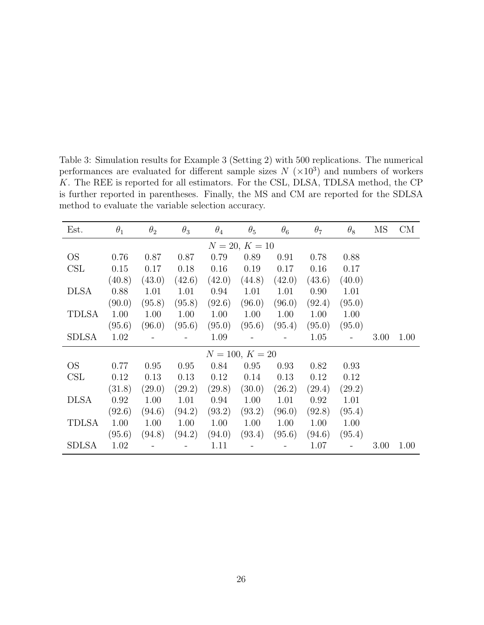<span id="page-25-0"></span>Table 3: Simulation results for Example 3 (Setting 2) with 500 replications. The numerical performances are evaluated for different sample sizes  $N \ (\times 10^3)$  and numbers of workers K. The REE is reported for all estimators. For the CSL, DLSA, TDLSA method, the CP is further reported in parentheses. Finally, the MS and CM are reported for the SDLSA method to evaluate the variable selection accuracy.

| Est.         | $\theta_1$ | $\theta_2$ | $\theta_3$ | $\theta_4$ | $\theta_{5}$      | $\theta_6$ | $\theta_7$ | $\theta_8$ | MS   | CM   |
|--------------|------------|------------|------------|------------|-------------------|------------|------------|------------|------|------|
|              |            |            |            |            | $N = 20, K = 10$  |            |            |            |      |      |
| <b>OS</b>    | 0.76       | 0.87       | 0.87       | 0.79       | 0.89              | 0.91       | 0.78       | 0.88       |      |      |
| CSL          | 0.15       | 0.17       | 0.18       | 0.16       | 0.19              | 0.17       | 0.16       | 0.17       |      |      |
|              | (40.8)     | (43.0)     | (42.6)     | (42.0)     | (44.8)            | (42.0)     | (43.6)     | (40.0)     |      |      |
| <b>DLSA</b>  | 0.88       | 1.01       | 1.01       | 0.94       | 1.01              | 1.01       | 0.90       | 1.01       |      |      |
|              | (90.0)     | (95.8)     | (95.8)     | (92.6)     | (96.0)            | (96.0)     | (92.4)     | (95.0)     |      |      |
| <b>TDLSA</b> | 1.00       | 1.00       | 1.00       | 1.00       | 1.00              | 1.00       | 1.00       | 1.00       |      |      |
|              | (95.6)     | (96.0)     | (95.6)     | (95.0)     | (95.6)            | (95.4)     | (95.0)     | (95.0)     |      |      |
| <b>SDLSA</b> | 1.02       |            |            | 1.09       |                   |            | 1.05       |            | 3.00 | 1.00 |
|              |            |            |            |            | $N = 100, K = 20$ |            |            |            |      |      |
| <b>OS</b>    | 0.77       | 0.95       | 0.95       | 0.84       | 0.95              | 0.93       | 0.82       | 0.93       |      |      |
| CSL          | 0.12       | 0.13       | 0.13       | 0.12       | 0.14              | 0.13       | 0.12       | 0.12       |      |      |
|              | (31.8)     | (29.0)     | (29.2)     | (29.8)     | (30.0)            | (26.2)     | (29.4)     | (29.2)     |      |      |
| <b>DLSA</b>  | 0.92       | 1.00       | 1.01       | 0.94       | 1.00              | 1.01       | 0.92       | 1.01       |      |      |
|              | (92.6)     | (94.6)     | (94.2)     | (93.2)     | (93.2)            | (96.0)     | (92.8)     | (95.4)     |      |      |
| <b>TDLSA</b> | 1.00       | 1.00       | 1.00       | 1.00       | 1.00              | 1.00       | 1.00       | 1.00       |      |      |
|              | (95.6)     | (94.8)     | (94.2)     | (94.0)     | (93.4)            | (95.6)     | (94.6)     | (95.4)     |      |      |
| <b>SDLSA</b> | 1.02       |            |            | 1.11       |                   |            | 1.07       |            | 3.00 | 1.00 |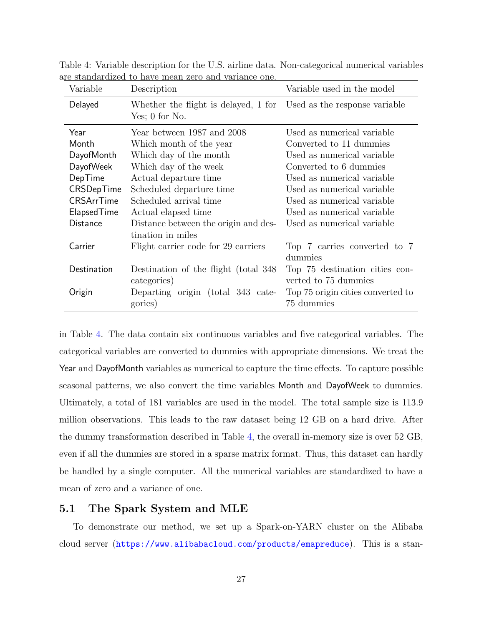| Variable        | Description                                                                            | Variable used in the model                             |
|-----------------|----------------------------------------------------------------------------------------|--------------------------------------------------------|
| Delayed         | Whether the flight is delayed, 1 for Used as the response variable<br>Yes; $0$ for No. |                                                        |
| Year            | Year between 1987 and 2008                                                             | Used as numerical variable                             |
| Month           | Which month of the year                                                                | Converted to 11 dummies                                |
| DayofMonth      | Which day of the month                                                                 | Used as numerical variable                             |
| DayofWeek       | Which day of the week                                                                  | Converted to 6 dummies                                 |
| DepTime         | Actual departure time                                                                  | Used as numerical variable                             |
| CRSDepTime      | Scheduled departure time                                                               | Used as numerical variable                             |
| CRSArrTime      | Scheduled arrival time                                                                 | Used as numerical variable                             |
| ElapsedTime     | Actual elapsed time                                                                    | Used as numerical variable                             |
| <b>Distance</b> | Distance between the origin and des-<br>tination in miles                              | Used as numerical variable                             |
| Carrier         | Flight carrier code for 29 carriers                                                    | Top 7 carries converted to 7<br>dummies                |
| Destination     | Destination of the flight (total 348)<br>categories)                                   | Top 75 destination cities con-<br>verted to 75 dummies |
| Origin          | Departing origin (total 343 cate-<br>gories)                                           | Top 75 origin cities converted to<br>75 dummies        |

<span id="page-26-0"></span>Table 4: Variable description for the U.S. airline data. Non-categorical numerical variables are standardized to have mean zero and variance one.

in Table [4.](#page-26-0) The data contain six continuous variables and five categorical variables. The categorical variables are converted to dummies with appropriate dimensions. We treat the Year and DayofMonth variables as numerical to capture the time effects. To capture possible seasonal patterns, we also convert the time variables Month and DayofWeek to dummies. Ultimately, a total of 181 variables are used in the model. The total sample size is 113.9 million observations. This leads to the raw dataset being 12 GB on a hard drive. After the dummy transformation described in Table [4,](#page-26-0) the overall in-memory size is over 52 GB, even if all the dummies are stored in a sparse matrix format. Thus, this dataset can hardly be handled by a single computer. All the numerical variables are standardized to have a mean of zero and a variance of one.

#### 5.1 The Spark System and MLE

To demonstrate our method, we set up a Spark-on-YARN cluster on the Alibaba cloud server (<https://www.alibabacloud.com/products/emapreduce>). This is a stan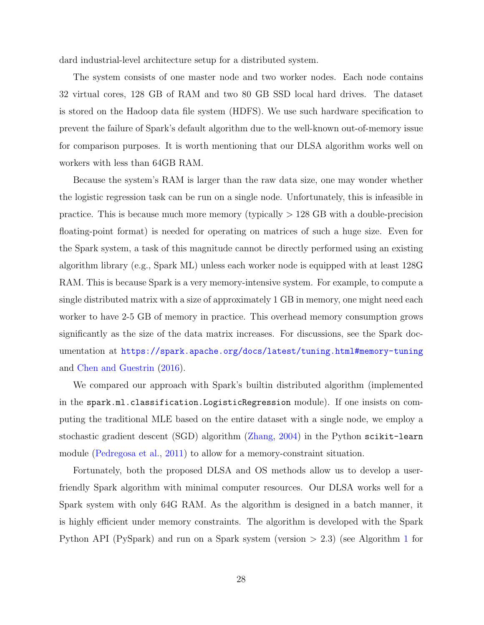dard industrial-level architecture setup for a distributed system.

The system consists of one master node and two worker nodes. Each node contains 32 virtual cores, 128 GB of RAM and two 80 GB SSD local hard drives. The dataset is stored on the Hadoop data file system (HDFS). We use such hardware specification to prevent the failure of Spark's default algorithm due to the well-known out-of-memory issue for comparison purposes. It is worth mentioning that our DLSA algorithm works well on workers with less than 64GB RAM.

Because the system's RAM is larger than the raw data size, one may wonder whether the logistic regression task can be run on a single node. Unfortunately, this is infeasible in practice. This is because much more memory (typically  $> 128$  GB with a double-precision floating-point format) is needed for operating on matrices of such a huge size. Even for the Spark system, a task of this magnitude cannot be directly performed using an existing algorithm library (e.g., Spark ML) unless each worker node is equipped with at least 128G RAM. This is because Spark is a very memory-intensive system. For example, to compute a single distributed matrix with a size of approximately 1 GB in memory, one might need each worker to have 2-5 GB of memory in practice. This overhead memory consumption grows significantly as the size of the data matrix increases. For discussions, see the Spark documentation at <https://spark.apache.org/docs/latest/tuning.html#memory-tuning> and [Chen and Guestrin](#page-33-11) [\(2016\)](#page-33-11).

We compared our approach with Spark's builtin distributed algorithm (implemented in the spark.ml.classification.LogisticRegression module). If one insists on computing the traditional MLE based on the entire dataset with a single node, we employ a stochastic gradient descent (SGD) algorithm [\(Zhang,](#page-36-9) [2004\)](#page-36-9) in the Python scikit-learn module [\(Pedregosa et al.,](#page-35-10) [2011\)](#page-35-10) to allow for a memory-constraint situation.

Fortunately, both the proposed DLSA and OS methods allow us to develop a userfriendly Spark algorithm with minimal computer resources. Our DLSA works well for a Spark system with only 64G RAM. As the algorithm is designed in a batch manner, it is highly efficient under memory constraints. The algorithm is developed with the Spark Python API (PySpark) and run on a Spark system (version > 2.3) (see Algorithm [1](#page-29-0) for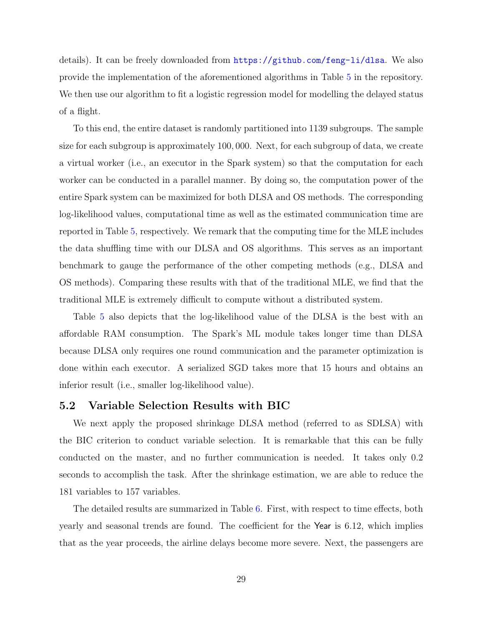details). It can be freely downloaded from <https://github.com/feng-li/dlsa>. We also provide the implementation of the aforementioned algorithms in Table [5](#page-30-0) in the repository. We then use our algorithm to fit a logistic regression model for modelling the delayed status of a flight.

To this end, the entire dataset is randomly partitioned into 1139 subgroups. The sample size for each subgroup is approximately 100, 000. Next, for each subgroup of data, we create a virtual worker (i.e., an executor in the Spark system) so that the computation for each worker can be conducted in a parallel manner. By doing so, the computation power of the entire Spark system can be maximized for both DLSA and OS methods. The corresponding log-likelihood values, computational time as well as the estimated communication time are reported in Table [5,](#page-30-0) respectively. We remark that the computing time for the MLE includes the data shuffling time with our DLSA and OS algorithms. This serves as an important benchmark to gauge the performance of the other competing methods (e.g., DLSA and OS methods). Comparing these results with that of the traditional MLE, we find that the traditional MLE is extremely difficult to compute without a distributed system.

Table [5](#page-30-0) also depicts that the log-likelihood value of the DLSA is the best with an affordable RAM consumption. The Spark's ML module takes longer time than DLSA because DLSA only requires one round communication and the parameter optimization is done within each executor. A serialized SGD takes more that 15 hours and obtains an inferior result (i.e., smaller log-likelihood value).

#### 5.2 Variable Selection Results with BIC

We next apply the proposed shrinkage DLSA method (referred to as SDLSA) with the BIC criterion to conduct variable selection. It is remarkable that this can be fully conducted on the master, and no further communication is needed. It takes only 0.2 seconds to accomplish the task. After the shrinkage estimation, we are able to reduce the 181 variables to 157 variables.

The detailed results are summarized in Table [6.](#page-32-0) First, with respect to time effects, both yearly and seasonal trends are found. The coefficient for the Year is 6.12, which implies that as the year proceeds, the airline delays become more severe. Next, the passengers are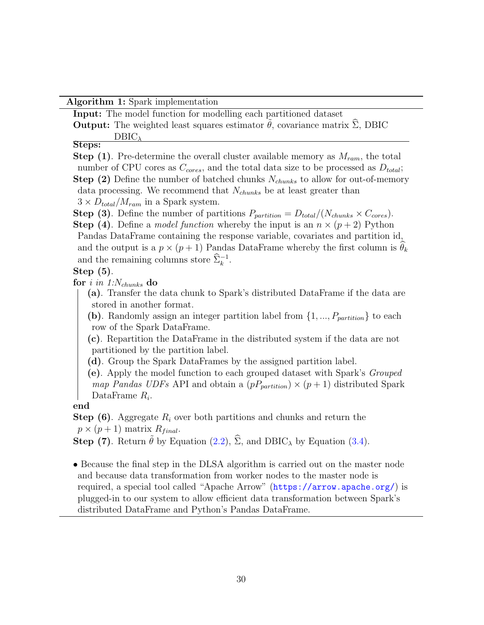Algorithm 1: Spark implementation

<span id="page-29-0"></span>Input: The model function for modelling each partitioned dataset

**Output:** The weighted least squares estimator  $\theta$ , covariance matrix  $\Sigma$ , DBIC DBIC<sub>1</sub>

#### Steps:

**Step (1)**. Pre-determine the overall cluster available memory as  $M_{ram}$ , the total number of CPU cores as  $C_{cores}$ , and the total data size to be processed as  $D_{total}$ ; **Step (2)** Define the number of batched chunks  $N_{chunks}$  to allow for out-of-memory data processing. We recommend that  $N_{chunks}$  be at least greater than  $3 \times D_{total}/M_{ram}$  in a Spark system.

**Step (3)**. Define the number of partitions  $P_{partition} = D_{total}/(N_{chunks} \times C_{cores}).$ 

**Step (4)**. Define a *model function* whereby the input is an  $n \times (p+2)$  Python Pandas DataFrame containing the response variable, covariates and partition id, and the output is a  $p \times (p+1)$  Pandas DataFrame whereby the first column is  $\theta_k$ and the remaining columns store  $\hat{\Sigma}_k^{-1}$ .

#### Step (5).

for i in 1: $N_{chunks}$  do

- (a). Transfer the data chunk to Spark's distributed DataFrame if the data are stored in another format.
- (b). Randomly assign an integer partition label from  $\{1, ..., P_{partition}\}\)$  to each row of the Spark DataFrame.

(c). Repartition the DataFrame in the distributed system if the data are not partitioned by the partition label.

- (d). Group the Spark DataFrames by the assigned partition label.
- (e). Apply the model function to each grouped dataset with Spark's Grouped map Pandas UDFs API and obtain a  $(pP_{partition}) \times (p+1)$  distributed Spark DataFrame  $R_i$ .

#### end

**Step (6).** Aggregate  $R_i$  over both partitions and chunks and return the  $p \times (p+1)$  matrix  $R_{final}$ .

Step (7). Return  $\tilde{\theta}$  by Equation [\(2.2\)](#page-8-0),  $\hat{\Sigma}$ , and DBIC<sub> $\lambda$ </sub> by Equation [\(3.4\)](#page-15-0).

• Because the final step in the DLSA algorithm is carried out on the master node and because data transformation from worker nodes to the master node is required, a special tool called "Apache Arrow" (<https://arrow.apache.org/>) is plugged-in to our system to allow efficient data transformation between Spark's distributed DataFrame and Python's Pandas DataFrame.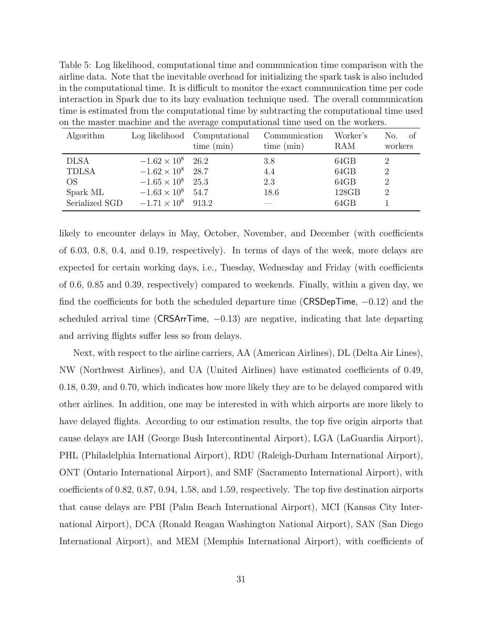<span id="page-30-0"></span>Table 5: Log likelihood, computational time and communication time comparison with the airline data. Note that the inevitable overhead for initializing the spark task is also included in the computational time. It is difficult to monitor the exact communication time per code interaction in Spark due to its lazy evaluation technique used. The overall communication time is estimated from the computational time by subtracting the computational time used on the master machine and the average computational time used on the workers.

| Algorithm      |                          | Log likelihood Computational<br>time (min) | Communication<br>time (min) | Worker's<br>RAM | No.<br>– of<br>workers |
|----------------|--------------------------|--------------------------------------------|-----------------------------|-----------------|------------------------|
| <b>DLSA</b>    | $-1.62 \times 10^8$ 26.2 |                                            | 3.8                         | 64GB            | 2                      |
| <b>TDLSA</b>   | $-1.62 \times 10^8$ 28.7 |                                            | 4.4                         | 64GB            | $\mathfrak{D}$         |
| OS.            | $-1.65 \times 10^8$      | 25.3                                       | 2.3                         | 64GB            | $\overline{2}$         |
| Spark ML       | $-1.63 \times 10^8$      | 54.7                                       | 18.6                        | 128GB           | 2                      |
| Serialized SGD | $-1.71 \times 10^{8}$    | 9132                                       |                             | 64GB            |                        |

likely to encounter delays in May, October, November, and December (with coefficients of 6.03, 0.8, 0.4, and 0.19, respectively). In terms of days of the week, more delays are expected for certain working days, i.e., Tuesday, Wednesday and Friday (with coefficients of 0.6, 0.85 and 0.39, respectively) compared to weekends. Finally, within a given day, we find the coefficients for both the scheduled departure time (CRSDepTime,  $-0.12$ ) and the scheduled arrival time (CRSArrTime,  $-0.13$ ) are negative, indicating that late departing and arriving flights suffer less so from delays.

Next, with respect to the airline carriers, AA (American Airlines), DL (Delta Air Lines), NW (Northwest Airlines), and UA (United Airlines) have estimated coefficients of 0.49, 0.18, 0.39, and 0.70, which indicates how more likely they are to be delayed compared with other airlines. In addition, one may be interested in with which airports are more likely to have delayed flights. According to our estimation results, the top five origin airports that cause delays are IAH (George Bush Intercontinental Airport), LGA (LaGuardia Airport), PHL (Philadelphia International Airport), RDU (Raleigh-Durham International Airport), ONT (Ontario International Airport), and SMF (Sacramento International Airport), with coefficients of 0.82, 0.87, 0.94, 1.58, and 1.59, respectively. The top five destination airports that cause delays are PBI (Palm Beach International Airport), MCI (Kansas City International Airport), DCA (Ronald Reagan Washington National Airport), SAN (San Diego International Airport), and MEM (Memphis International Airport), with coefficients of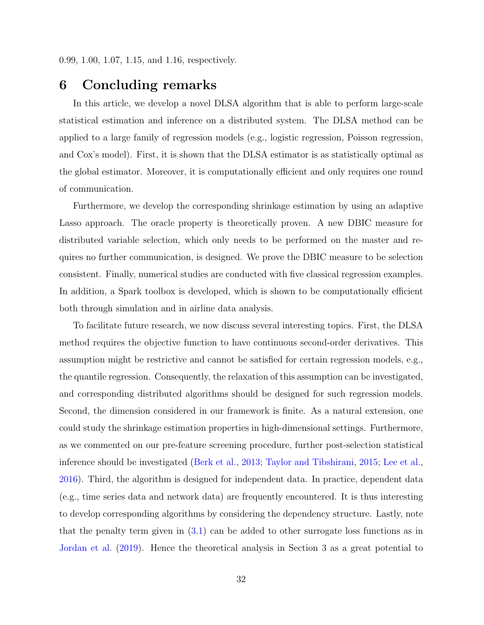# 6 Concluding remarks

In this article, we develop a novel DLSA algorithm that is able to perform large-scale statistical estimation and inference on a distributed system. The DLSA method can be applied to a large family of regression models (e.g., logistic regression, Poisson regression, and Cox's model). First, it is shown that the DLSA estimator is as statistically optimal as the global estimator. Moreover, it is computationally efficient and only requires one round of communication.

Furthermore, we develop the corresponding shrinkage estimation by using an adaptive Lasso approach. The oracle property is theoretically proven. A new DBIC measure for distributed variable selection, which only needs to be performed on the master and requires no further communication, is designed. We prove the DBIC measure to be selection consistent. Finally, numerical studies are conducted with five classical regression examples. In addition, a Spark toolbox is developed, which is shown to be computationally efficient both through simulation and in airline data analysis.

To facilitate future research, we now discuss several interesting topics. First, the DLSA method requires the objective function to have continuous second-order derivatives. This assumption might be restrictive and cannot be satisfied for certain regression models, e.g., the quantile regression. Consequently, the relaxation of this assumption can be investigated, and corresponding distributed algorithms should be designed for such regression models. Second, the dimension considered in our framework is finite. As a natural extension, one could study the shrinkage estimation properties in high-dimensional settings. Furthermore, as we commented on our pre-feature screening procedure, further post-selection statistical inference should be investigated [\(Berk et al.,](#page-33-10) [2013;](#page-33-10) [Taylor and Tibshirani,](#page-35-9) [2015;](#page-35-9) [Lee et al.,](#page-34-11) [2016\)](#page-34-11). Third, the algorithm is designed for independent data. In practice, dependent data (e.g., time series data and network data) are frequently encountered. It is thus interesting to develop corresponding algorithms by considering the dependency structure. Lastly, note that the penalty term given in [\(3.1\)](#page-12-0) can be added to other surrogate loss functions as in [Jordan et al.](#page-34-0) [\(2019\)](#page-34-0). Hence the theoretical analysis in Section 3 as a great potential to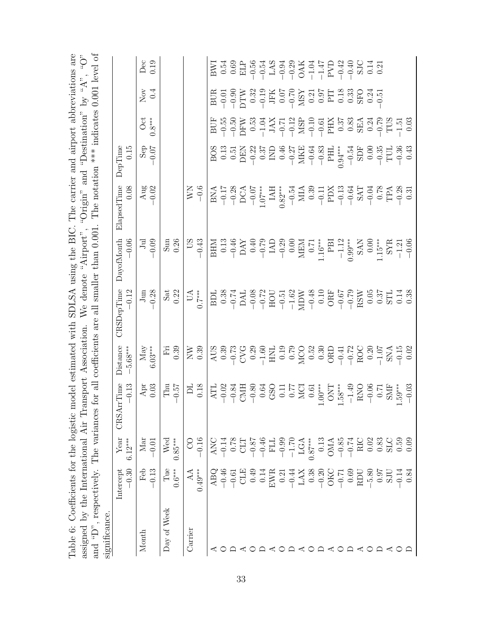| and " $D$ ".               | , respectively. The variances                                                     |                                  | assigned by the International Air Transport Association. |                                                                                   | for all coefficients are all smaller than 0.001<br>We denote                                                                                                                                                                                                         | "Airport"                                                                                                                | The notation *** indicates $0.001$ level of<br>"Origin"                                                                                                                                                                                                                                                                                                                                                                                                | and                                                                                         | "Destination" | by " $A$ ".       | «ن)                                                                                              |
|----------------------------|-----------------------------------------------------------------------------------|----------------------------------|----------------------------------------------------------|-----------------------------------------------------------------------------------|----------------------------------------------------------------------------------------------------------------------------------------------------------------------------------------------------------------------------------------------------------------------|--------------------------------------------------------------------------------------------------------------------------|--------------------------------------------------------------------------------------------------------------------------------------------------------------------------------------------------------------------------------------------------------------------------------------------------------------------------------------------------------------------------------------------------------------------------------------------------------|---------------------------------------------------------------------------------------------|---------------|-------------------|--------------------------------------------------------------------------------------------------|
| significance.              |                                                                                   |                                  |                                                          |                                                                                   |                                                                                                                                                                                                                                                                      |                                                                                                                          |                                                                                                                                                                                                                                                                                                                                                                                                                                                        |                                                                                             |               |                   |                                                                                                  |
|                            | $-0.30$<br>Intercept                                                              | Year<br>$6.12***$                | $-0.13$<br>rrTime<br><b>CRSA</b>                         | Distance<br>$-5.68***$                                                            | $CRSDe$ p $Time$<br>$-0.12$                                                                                                                                                                                                                                          | $-0.06$<br>DayofMonth                                                                                                    | 0.08<br>$El\text{a}p\text{sedTime}$                                                                                                                                                                                                                                                                                                                                                                                                                    | 0.15<br>DepTime                                                                             |               |                   |                                                                                                  |
| Month                      | Feb                                                                               | Mar                              |                                                          | $$\,{\rm May}\atop{6.03***}$                                                      |                                                                                                                                                                                                                                                                      |                                                                                                                          |                                                                                                                                                                                                                                                                                                                                                                                                                                                        |                                                                                             | Oct           | $\overline{N}$ ov | Dec                                                                                              |
|                            | $-0.13$                                                                           | $-0.01$                          | Apr $0.03$                                               |                                                                                   | $\frac{3 \text{ m}}{-0.28}$                                                                                                                                                                                                                                          | $_{\rm Jrd}^{\rm Jrd}$ $_{\rm 0.09}^{\rm -0.09}$                                                                         | $\frac{\text{Aug}}{\text{0.02}}$                                                                                                                                                                                                                                                                                                                                                                                                                       | $\frac{10}{10}$ or                                                                          | $0.8***$      | 0.4               | 0.19                                                                                             |
| Day of Week                | Tue                                                                               | Wed                              | Thu                                                      | Ë                                                                                 | $\frac{\text{Sat}}{0.22}$                                                                                                                                                                                                                                            | $\operatorname{Sum}$                                                                                                     |                                                                                                                                                                                                                                                                                                                                                                                                                                                        |                                                                                             |               |                   |                                                                                                  |
|                            | $0.6***$                                                                          | $0.85***$                        | $-0.57$                                                  | 0.39                                                                              |                                                                                                                                                                                                                                                                      | 0.26                                                                                                                     |                                                                                                                                                                                                                                                                                                                                                                                                                                                        |                                                                                             |               |                   |                                                                                                  |
| Carrier                    | AA                                                                                | S                                | <b>PL</b>                                                | $\sum_{i=1}^{n}$                                                                  | $U\Lambda$                                                                                                                                                                                                                                                           | 50 <sup>1</sup>                                                                                                          | $\frac{0.6}{-0.6}$                                                                                                                                                                                                                                                                                                                                                                                                                                     |                                                                                             |               |                   |                                                                                                  |
|                            | $0.49***$                                                                         | $-0.16$                          | 0.18                                                     | 0.39                                                                              | $0.7***$                                                                                                                                                                                                                                                             | $-0.43$                                                                                                                  |                                                                                                                                                                                                                                                                                                                                                                                                                                                        |                                                                                             |               |                   |                                                                                                  |
|                            | ABQ                                                                               | ANC                              |                                                          |                                                                                   |                                                                                                                                                                                                                                                                      | NHR                                                                                                                      |                                                                                                                                                                                                                                                                                                                                                                                                                                                        |                                                                                             |               | BUR               |                                                                                                  |
| O                          | $-0.46$                                                                           | $-0.14$                          |                                                          |                                                                                   |                                                                                                                                                                                                                                                                      |                                                                                                                          |                                                                                                                                                                                                                                                                                                                                                                                                                                                        |                                                                                             |               |                   |                                                                                                  |
|                            |                                                                                   |                                  |                                                          |                                                                                   |                                                                                                                                                                                                                                                                      |                                                                                                                          |                                                                                                                                                                                                                                                                                                                                                                                                                                                        |                                                                                             |               |                   |                                                                                                  |
| $\cap$ $\triangle$ $\circ$ | $-0.61$<br>CLE<br>CLE<br>0.49                                                     | $\frac{\text{0.78}}{\text{CLT}}$ |                                                          |                                                                                   |                                                                                                                                                                                                                                                                      |                                                                                                                          |                                                                                                                                                                                                                                                                                                                                                                                                                                                        |                                                                                             |               |                   |                                                                                                  |
|                            |                                                                                   |                                  |                                                          |                                                                                   |                                                                                                                                                                                                                                                                      | $\begin{array}{c} 0.13 \\ -0.46 \\ \text{DAY} \\ 0.40 \\ -0.79 \\ \text{LAD} \\ 0.00 \\ -0.29 \\ \text{MEM} \end{array}$ | $\begin{array}{c} {\rm BNA} \\ -0.17 \\ -0.28 \\ {\rm DCA} \\ -0.07 \\ {\rm I.AH} \\ {\rm I.AH} \\ {\rm I.AH} \\ {\rm I.AH} \\ {\rm I.AH} \\ {\rm I.AH} \\ {\rm I.AH} \\ {\rm I.AH} \\ {\rm I.AH} \\ {\rm I.AH} \\ {\rm I.AH} \\ {\rm I.AH} \\ {\rm I.AH} \\ {\rm I.AH} \\ {\rm I.AH} \\ {\rm I.AH} \\ {\rm I.AH} \\ {\rm I.AH} \\ {\rm I.AH} \\ {\rm I.AH} \\ {\rm I.AH} \\ {\rm I.AH} \\ {\rm I.AH} \\ {\rm I.AH} \\ {\rm I.AH} \\ {\rm I.AH} \\ {\$ |                                                                                             |               |                   |                                                                                                  |
|                            | 0.14                                                                              |                                  |                                                          |                                                                                   |                                                                                                                                                                                                                                                                      |                                                                                                                          |                                                                                                                                                                                                                                                                                                                                                                                                                                                        |                                                                                             |               |                   |                                                                                                  |
|                            | ${\rm EWR}$ 0.21                                                                  |                                  |                                                          |                                                                                   |                                                                                                                                                                                                                                                                      |                                                                                                                          |                                                                                                                                                                                                                                                                                                                                                                                                                                                        |                                                                                             |               |                   |                                                                                                  |
|                            |                                                                                   |                                  |                                                          |                                                                                   |                                                                                                                                                                                                                                                                      |                                                                                                                          |                                                                                                                                                                                                                                                                                                                                                                                                                                                        |                                                                                             |               |                   |                                                                                                  |
|                            |                                                                                   |                                  |                                                          |                                                                                   |                                                                                                                                                                                                                                                                      |                                                                                                                          |                                                                                                                                                                                                                                                                                                                                                                                                                                                        |                                                                                             |               |                   |                                                                                                  |
|                            | $\begin{array}{r} -0.44 \\ \text{LAX} \\ 0.38 \\ -0.20 \\ \text{OKC} \end{array}$ |                                  |                                                          |                                                                                   |                                                                                                                                                                                                                                                                      |                                                                                                                          |                                                                                                                                                                                                                                                                                                                                                                                                                                                        |                                                                                             |               |                   |                                                                                                  |
| O                          |                                                                                   |                                  |                                                          |                                                                                   |                                                                                                                                                                                                                                                                      | 0.71                                                                                                                     |                                                                                                                                                                                                                                                                                                                                                                                                                                                        |                                                                                             |               |                   |                                                                                                  |
|                            |                                                                                   | 0.13                             |                                                          |                                                                                   |                                                                                                                                                                                                                                                                      | $1.16***$                                                                                                                |                                                                                                                                                                                                                                                                                                                                                                                                                                                        |                                                                                             |               |                   |                                                                                                  |
| $\prec$                    |                                                                                   | <b>OMA</b>                       |                                                          |                                                                                   |                                                                                                                                                                                                                                                                      | $\begin{array}{c} \text{PBI} \\ -1.12 \end{array}$                                                                       |                                                                                                                                                                                                                                                                                                                                                                                                                                                        |                                                                                             |               |                   |                                                                                                  |
| $\circ$                    | $-0.71$                                                                           |                                  |                                                          |                                                                                   |                                                                                                                                                                                                                                                                      |                                                                                                                          |                                                                                                                                                                                                                                                                                                                                                                                                                                                        | $0.94***$                                                                                   |               |                   |                                                                                                  |
|                            | 0.69                                                                              | $-0.85$<br>$-0.74$               |                                                          |                                                                                   |                                                                                                                                                                                                                                                                      | $0.99***$                                                                                                                |                                                                                                                                                                                                                                                                                                                                                                                                                                                        |                                                                                             |               |                   |                                                                                                  |
| $\prec$                    | DICR                                                                              | RIC                              |                                                          | 388729892289288889389242088545393938927292893892420089729393939242008974459393939 | BD1<br>3.38<br>5.7 H 2002<br>5.7 H 2002<br>5.7 H 2002<br>7.8 H 2002<br>7.8 H 2002<br>7.8 H 2003<br>7.8 H 2003<br>7.8 H 2003<br>7.8 H 2003<br>7.8 H 2003<br>7.8 H 2003<br>7.8 H 2003<br>7.8 H 2003<br>7.8 H 2003<br>7.8 H 2003<br>7.8 H 2003<br>7.8 H 2003<br>7.8 H 2 | SAN<br>0.00                                                                                                              | $\begin{array}{l} -1.54 \\ -0.38 \\ -0.39 \\ -0.11 \\ \text{N} \rightarrow 0.39 \\ -0.13 \\ \text{N} \rightarrow 0.39 \\ -0.13 \\ -0.13 \\ -0.39 \\ -0.39 \\ -0.39 \\ -0.39 \\ -0.39 \\ -0.39 \\ -0.39 \\ -0.39 \\ -0.39 \\ -0.39 \\ -0.39 \\ -0.39 \\ -0.39 \\ -0.39 \\ -0.39 \\ -0.39 \\ -0.39 \\ -0.39 \\ -0.39 \\ -0.39 \\ -0.39 \\ -0.39 \\ -0.39 \\ -0.39 \\ -$                                                                                  | $\begin{array}{r} -0.54 \\ {\rm SDF} \\ 0.00 \\ -0.35 \\ {\rm TUL} \\ -0.36 \\ \end{array}$ |               |                   | Блан Села (1995)<br>Блан Села (1995)<br>Блан Села (1995)<br>Блан Села (1995)<br>Блан Села (1995) |
| $\circ$                    | $-5.80$<br>0.97                                                                   | $0.83$<br>$0.83$<br>$0.59$       |                                                          |                                                                                   | $0.05$<br>0.37                                                                                                                                                                                                                                                       |                                                                                                                          |                                                                                                                                                                                                                                                                                                                                                                                                                                                        |                                                                                             |               |                   |                                                                                                  |
|                            |                                                                                   |                                  |                                                          |                                                                                   |                                                                                                                                                                                                                                                                      | $1.15***$                                                                                                                |                                                                                                                                                                                                                                                                                                                                                                                                                                                        |                                                                                             |               |                   |                                                                                                  |
| ≺                          | SJU                                                                               |                                  | SMF<br>1.59***                                           |                                                                                   | STL                                                                                                                                                                                                                                                                  | $\frac{\text{SYR}}{-1.21}$                                                                                               |                                                                                                                                                                                                                                                                                                                                                                                                                                                        |                                                                                             |               |                   |                                                                                                  |
|                            | $-0.14$                                                                           |                                  |                                                          |                                                                                   | 0.14                                                                                                                                                                                                                                                                 |                                                                                                                          |                                                                                                                                                                                                                                                                                                                                                                                                                                                        |                                                                                             |               |                   |                                                                                                  |
|                            | 0.84                                                                              | 0.0                              | $-0.03$                                                  |                                                                                   | 0.38                                                                                                                                                                                                                                                                 |                                                                                                                          |                                                                                                                                                                                                                                                                                                                                                                                                                                                        |                                                                                             |               |                   |                                                                                                  |

<span id="page-32-0"></span>Table 6: Coefficients for the logistic model estimated with SDLSA using the BIC. The carrier and airport abbreviations are Table 6: Coefficients for the logistic model estimated with SDLSA using the BIC. The carrier and airport abbreviations are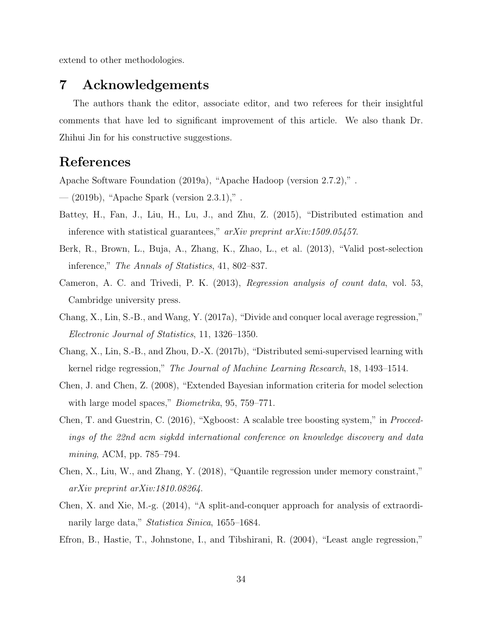extend to other methodologies.

### 7 Acknowledgements

The authors thank the editor, associate editor, and two referees for their insightful comments that have led to significant improvement of this article. We also thank Dr. Zhihui Jin for his constructive suggestions.

## <span id="page-33-0"></span>References

<span id="page-33-1"></span>Apache Software Foundation (2019a), "Apache Hadoop (version 2.7.2)," .

<span id="page-33-2"></span>— (2019b), "Apache Spark (version 2.3.1)," .

- Battey, H., Fan, J., Liu, H., Lu, J., and Zhu, Z. (2015), "Distributed estimation and inference with statistical guarantees," arXiv preprint arXiv:1509.05457.
- <span id="page-33-10"></span>Berk, R., Brown, L., Buja, A., Zhang, K., Zhao, L., et al. (2013), "Valid post-selection inference," The Annals of Statistics, 41, 802–837.
- <span id="page-33-9"></span>Cameron, A. C. and Trivedi, P. K. (2013), Regression analysis of count data, vol. 53, Cambridge university press.
- <span id="page-33-4"></span>Chang, X., Lin, S.-B., and Wang, Y. (2017a), "Divide and conquer local average regression," Electronic Journal of Statistics, 11, 1326–1350.
- <span id="page-33-3"></span>Chang, X., Lin, S.-B., and Zhou, D.-X. (2017b), "Distributed semi-supervised learning with kernel ridge regression," The Journal of Machine Learning Research, 18, 1493–1514.
- <span id="page-33-8"></span>Chen, J. and Chen, Z. (2008), "Extended Bayesian information criteria for model selection with large model spaces," *Biometrika*, 95, 759–771.
- <span id="page-33-11"></span>Chen, T. and Guestrin, C. (2016), "Xgboost: A scalable tree boosting system," in Proceedings of the 22nd acm sigkdd international conference on knowledge discovery and data mining, ACM, pp. 785–794.
- <span id="page-33-7"></span>Chen, X., Liu, W., and Zhang, Y. (2018), "Quantile regression under memory constraint," arXiv preprint arXiv:1810.08264.
- <span id="page-33-5"></span>Chen, X. and Xie, M.-g. (2014), "A split-and-conquer approach for analysis of extraordinarily large data," Statistica Sinica, 1655–1684.
- <span id="page-33-6"></span>Efron, B., Hastie, T., Johnstone, I., and Tibshirani, R. (2004), "Least angle regression,"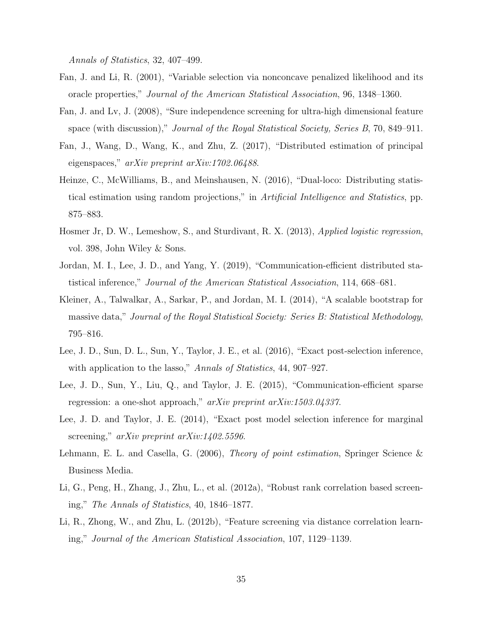Annals of Statistics, 32, 407–499.

- <span id="page-34-4"></span>Fan, J. and Li, R. (2001), "Variable selection via nonconcave penalized likelihood and its oracle properties," Journal of the American Statistical Association, 96, 1348–1360.
- <span id="page-34-8"></span>Fan, J. and Lv, J. (2008), "Sure independence screening for ultra-high dimensional feature space (with discussion)," Journal of the Royal Statistical Society, Series B, 70, 849–911.
- <span id="page-34-2"></span>Fan, J., Wang, D., Wang, K., and Zhu, Z. (2017), "Distributed estimation of principal eigenspaces," arXiv preprint arXiv:1702.06488.
- <span id="page-34-3"></span>Heinze, C., McWilliams, B., and Meinshausen, N. (2016), "Dual-loco: Distributing statistical estimation using random projections," in Artificial Intelligence and Statistics, pp. 875–883.
- <span id="page-34-6"></span>Hosmer Jr, D. W., Lemeshow, S., and Sturdivant, R. X. (2013), Applied logistic regression, vol. 398, John Wiley & Sons.
- <span id="page-34-0"></span>Jordan, M. I., Lee, J. D., and Yang, Y. (2019), "Communication-efficient distributed statistical inference," Journal of the American Statistical Association, 114, 668–681.
- <span id="page-34-12"></span>Kleiner, A., Talwalkar, A., Sarkar, P., and Jordan, M. I. (2014), "A scalable bootstrap for massive data," Journal of the Royal Statistical Society: Series B: Statistical Methodology, 795–816.
- <span id="page-34-11"></span>Lee, J. D., Sun, D. L., Sun, Y., Taylor, J. E., et al. (2016), "Exact post-selection inference, with application to the lasso," Annals of Statistics, 44, 907–927.
- <span id="page-34-1"></span>Lee, J. D., Sun, Y., Liu, Q., and Taylor, J. E. (2015), "Communication-efficient sparse regression: a one-shot approach," arXiv preprint arXiv:1503.04337.
- <span id="page-34-10"></span>Lee, J. D. and Taylor, J. E. (2014), "Exact post model selection inference for marginal screening," arXiv preprint arXiv:1402.5596.
- <span id="page-34-5"></span>Lehmann, E. L. and Casella, G. (2006), *Theory of point estimation*, Springer Science & Business Media.
- <span id="page-34-7"></span>Li, G., Peng, H., Zhang, J., Zhu, L., et al. (2012a), "Robust rank correlation based screening," The Annals of Statistics, 40, 1846–1877.
- <span id="page-34-9"></span>Li, R., Zhong, W., and Zhu, L. (2012b), "Feature screening via distance correlation learning," Journal of the American Statistical Association, 107, 1129–1139.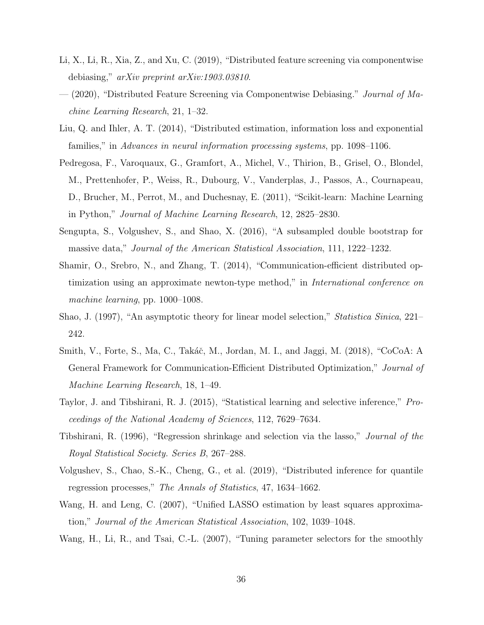- <span id="page-35-3"></span>Li, X., Li, R., Xia, Z., and Xu, C. (2019), "Distributed feature screening via componentwise debiasing," arXiv preprint arXiv:1903.03810.
- <span id="page-35-5"></span>— (2020), "Distributed Feature Screening via Componentwise Debiasing." *Journal of Ma*chine Learning Research, 21, 1–32.
- <span id="page-35-1"></span>Liu, Q. and Ihler, A. T. (2014), "Distributed estimation, information loss and exponential families," in Advances in neural information processing systems, pp. 1098–1106.
- <span id="page-35-10"></span>Pedregosa, F., Varoquaux, G., Gramfort, A., Michel, V., Thirion, B., Grisel, O., Blondel, M., Prettenhofer, P., Weiss, R., Dubourg, V., Vanderplas, J., Passos, A., Cournapeau, D., Brucher, M., Perrot, M., and Duchesnay, E. (2011), "Scikit-learn: Machine Learning in Python," Journal of Machine Learning Research, 12, 2825–2830.
- <span id="page-35-11"></span>Sengupta, S., Volgushev, S., and Shao, X. (2016), "A subsampled double bootstrap for massive data," Journal of the American Statistical Association, 111, 1222–1232.
- <span id="page-35-0"></span>Shamir, O., Srebro, N., and Zhang, T. (2014), "Communication-efficient distributed optimization using an approximate newton-type method," in International conference on machine learning, pp. 1000–1008.
- <span id="page-35-8"></span>Shao, J. (1997), "An asymptotic theory for linear model selection," Statistica Sinica, 221– 242.
- <span id="page-35-2"></span>Smith, V., Forte, S., Ma, C., Takáč, M., Jordan, M. I., and Jaggi, M. (2018), "CoCoA: A General Framework for Communication-Efficient Distributed Optimization," Journal of Machine Learning Research, 18, 1–49.
- <span id="page-35-9"></span>Taylor, J. and Tibshirani, R. J. (2015), "Statistical learning and selective inference," Proceedings of the National Academy of Sciences, 112, 7629–7634.
- <span id="page-35-7"></span>Tibshirani, R. (1996), "Regression shrinkage and selection via the lasso," Journal of the Royal Statistical Society. Series B, 267–288.
- <span id="page-35-12"></span>Volgushev, S., Chao, S.-K., Cheng, G., et al. (2019), "Distributed inference for quantile regression processes," The Annals of Statistics, 47, 1634–1662.
- <span id="page-35-6"></span>Wang, H. and Leng, C. (2007), "Unified LASSO estimation by least squares approximation," Journal of the American Statistical Association, 102, 1039–1048.
- <span id="page-35-4"></span>Wang, H., Li, R., and Tsai, C.-L. (2007), "Tuning parameter selectors for the smoothly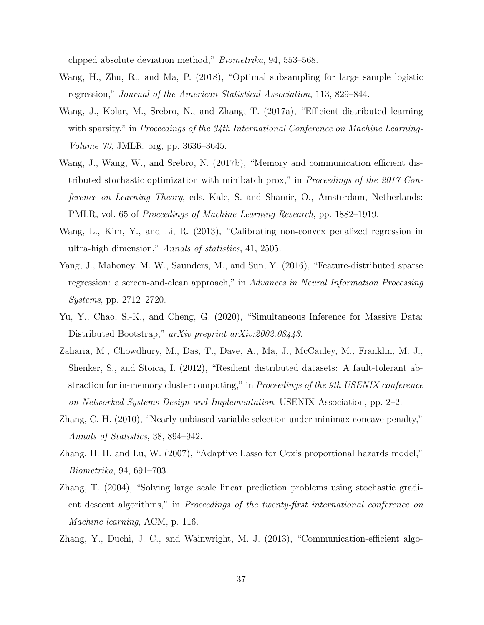clipped absolute deviation method," Biometrika, 94, 553–568.

- <span id="page-36-6"></span>Wang, H., Zhu, R., and Ma, P. (2018), "Optimal subsampling for large sample logistic regression," Journal of the American Statistical Association, 113, 829–844.
- <span id="page-36-2"></span>Wang, J., Kolar, M., Srebro, N., and Zhang, T. (2017a), "Efficient distributed learning with sparsity," in Proceedings of the 34th International Conference on Machine Learning-Volume 70, JMLR. org, pp. 3636–3645.
- <span id="page-36-3"></span>Wang, J., Wang, W., and Srebro, N. (2017b), "Memory and communication efficient distributed stochastic optimization with minibatch prox," in Proceedings of the 2017 Conference on Learning Theory, eds. Kale, S. and Shamir, O., Amsterdam, Netherlands: PMLR, vol. 65 of Proceedings of Machine Learning Research, pp. 1882–1919.
- <span id="page-36-8"></span>Wang, L., Kim, Y., and Li, R. (2013), "Calibrating non-convex penalized regression in ultra-high dimension," Annals of statistics, 41, 2505.
- <span id="page-36-4"></span>Yang, J., Mahoney, M. W., Saunders, M., and Sun, Y. (2016), "Feature-distributed sparse regression: a screen-and-clean approach," in Advances in Neural Information Processing Systems, pp. 2712–2720.
- <span id="page-36-10"></span>Yu, Y., Chao, S.-K., and Cheng, G. (2020), "Simultaneous Inference for Massive Data: Distributed Bootstrap," arXiv preprint arXiv:2002.08443.
- <span id="page-36-0"></span>Zaharia, M., Chowdhury, M., Das, T., Dave, A., Ma, J., McCauley, M., Franklin, M. J., Shenker, S., and Stoica, I. (2012), "Resilient distributed datasets: A fault-tolerant abstraction for in-memory cluster computing," in Proceedings of the 9th USENIX conference on Networked Systems Design and Implementation, USENIX Association, pp. 2–2.
- <span id="page-36-7"></span>Zhang, C.-H. (2010), "Nearly unbiased variable selection under minimax concave penalty," Annals of Statistics, 38, 894–942.
- <span id="page-36-5"></span>Zhang, H. H. and Lu, W. (2007), "Adaptive Lasso for Cox's proportional hazards model," Biometrika, 94, 691–703.
- <span id="page-36-9"></span>Zhang, T. (2004), "Solving large scale linear prediction problems using stochastic gradient descent algorithms," in Proceedings of the twenty-first international conference on Machine learning, ACM, p. 116.
- <span id="page-36-1"></span>Zhang, Y., Duchi, J. C., and Wainwright, M. J. (2013), "Communication-efficient algo-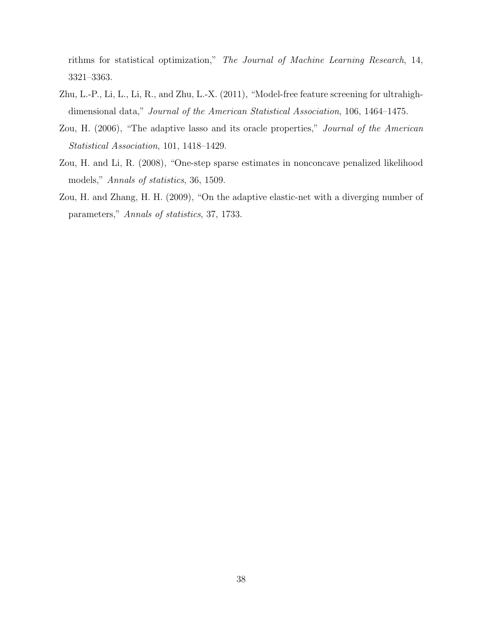rithms for statistical optimization," The Journal of Machine Learning Research, 14, 3321–3363.

- <span id="page-37-3"></span>Zhu, L.-P., Li, L., Li, R., and Zhu, L.-X. (2011), "Model-free feature screening for ultrahighdimensional data," Journal of the American Statistical Association, 106, 1464–1475.
- <span id="page-37-0"></span>Zou, H. (2006), "The adaptive lasso and its oracle properties," Journal of the American Statistical Association, 101, 1418–1429.
- <span id="page-37-1"></span>Zou, H. and Li, R. (2008), "One-step sparse estimates in nonconcave penalized likelihood models," Annals of statistics, 36, 1509.
- <span id="page-37-2"></span>Zou, H. and Zhang, H. H. (2009), "On the adaptive elastic-net with a diverging number of parameters," Annals of statistics, 37, 1733.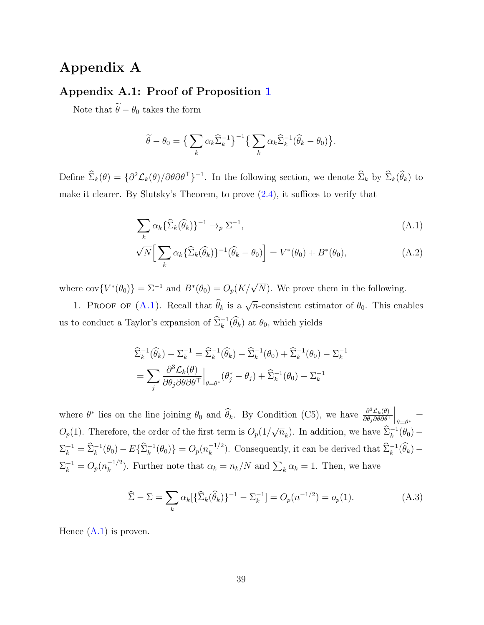# Appendix A

### Appendix A.1: Proof of Proposition [1](#page-9-0)

Note that  $\widetilde{\theta}-\theta_0$  takes the form

<span id="page-38-0"></span>
$$
\widetilde{\theta} - \theta_0 = \Big\{ \sum_k \alpha_k \widehat{\Sigma}_k^{-1} \Big\}^{-1} \Big\{ \sum_k \alpha_k \widehat{\Sigma}_k^{-1} (\widehat{\theta}_k - \theta_0) \Big\}.
$$

Define  $\hat{\Sigma}_k(\theta) = \{\partial^2 \mathcal{L}_k(\theta) / \partial \theta \partial \theta^\top\}^{-1}$ . In the following section, we denote  $\hat{\Sigma}_k$  by  $\hat{\Sigma}_k(\hat{\theta}_k)$  to make it clearer. By Slutsky's Theorem, to prove [\(2.4\)](#page-9-1), it suffices to verify that

<span id="page-38-1"></span>
$$
\sum_{k} \alpha_k \{\widehat{\Sigma}_k(\widehat{\theta}_k)\}^{-1} \to_p \Sigma^{-1},\tag{A.1}
$$

$$
\sqrt{N} \Big[ \sum_{k} \alpha_k \{ \widehat{\Sigma}_k(\widehat{\theta}_k) \}^{-1} (\widehat{\theta}_k - \theta_0) \Big] = V^*(\theta_0) + B^*(\theta_0), \tag{A.2}
$$

where  $cov\{V^*(\theta_0)\} = \Sigma^{-1}$  and  $B^*(\theta_0) = O_p(K/\sqrt{N})$ . We prove them in the following.

1. PROOF OF [\(A.1\)](#page-38-0). Recall that  $\hat{\theta}_k$  is a  $\sqrt{n}$ -consistent estimator of  $\theta_0$ . This enables us to conduct a Taylor's expansion of  $\hat{\Sigma}_k^{-1}(\hat{\theta}_k)$  at  $\theta_0$ , which yields

$$
\begin{split} &\widehat{\Sigma}_{k}^{-1}(\widehat{\theta}_{k}) - \Sigma_{k}^{-1} = \widehat{\Sigma}_{k}^{-1}(\widehat{\theta}_{k}) - \widehat{\Sigma}_{k}^{-1}(\theta_{0}) + \widehat{\Sigma}_{k}^{-1}(\theta_{0}) - \Sigma_{k}^{-1} \\ &= \sum_{j} \frac{\partial^{3} \mathcal{L}_{k}(\theta)}{\partial \theta_{j} \partial \theta \partial \theta^{\top}} \Big|_{\theta = \theta^{*}} (\theta_{j}^{*} - \theta_{j}) + \widehat{\Sigma}_{k}^{-1}(\theta_{0}) - \Sigma_{k}^{-1} \end{split}
$$

where  $\theta^*$  lies on the line joining  $\theta_0$  and  $\hat{\theta}_k$ . By Condition (C5), we have  $\frac{\partial^3 \mathcal{L}_k(\theta)}{\partial \theta_j \partial \theta \partial \theta}$  $\overline{\partial \theta_j \partial \theta \partial \theta^\top}$  $\Big|_{\theta=\theta^*} =$  $O_p(1)$ . Therefore, the order of the first term is  $O_p(1)$ √  $\overline{n}_k$ ). In addition, we have  $\widehat{\Sigma}_k^{-1}(\theta_0)$  –  $\Sigma_k^{-1} = \widehat{\Sigma}_k^{-1}(\theta_0) - E\{\widehat{\Sigma}_k^{-1}(\theta_0)\} = O_p(n_k^{-1/2})$  $\binom{-1/2}{k}$ . Consequently, it can be derived that  $\widehat{\Sigma}_k^{-1}(\widehat{\theta}_k)$  –  $\Sigma_k^{-1} = O_p(n_k^{-1/2})$  $\binom{-1}{k}$ . Further note that  $\alpha_k = n_k/N$  and  $\sum_k \alpha_k = 1$ . Then, we have

<span id="page-38-2"></span>
$$
\widehat{\Sigma} - \Sigma = \sum_{k} \alpha_{k} [\{\widehat{\Sigma}_{k}(\widehat{\theta}_{k})\}^{-1} - \Sigma_{k}^{-1}] = O_{p}(n^{-1/2}) = o_{p}(1).
$$
\n(A.3)

Hence  $(A.1)$  is proven.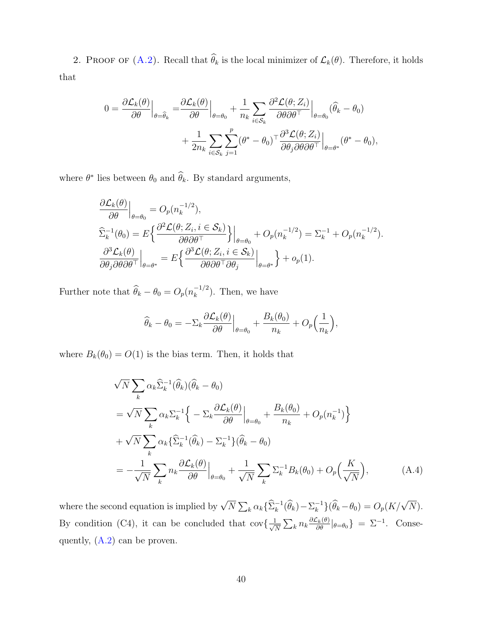2. PROOF OF  $(A.2)$ . Recall that  $\widehat{\theta}_k$  is the local minimizer of  $\mathcal{L}_k(\theta)$ . Therefore, it holds that

$$
0 = \frac{\partial \mathcal{L}_k(\theta)}{\partial \theta}\Big|_{\theta = \widehat{\theta}_k} = \frac{\partial \mathcal{L}_k(\theta)}{\partial \theta}\Big|_{\theta = \theta_0} + \frac{1}{n_k} \sum_{i \in S_k} \frac{\partial^2 \mathcal{L}(\theta; Z_i)}{\partial \theta \partial \theta^\top}\Big|_{\theta = \theta_0} (\widehat{\theta}_k - \theta_0) + \frac{1}{2n_k} \sum_{i \in S_k} \sum_{j=1}^p (\theta^* - \theta_0)^\top \frac{\partial^3 \mathcal{L}(\theta; Z_i)}{\partial \theta_j \partial \theta \partial \theta^\top}\Big|_{\theta = \theta^*} (\theta^* - \theta_0),
$$

where  $\theta^*$  lies between  $\theta_0$  and  $\hat{\theta}_k$ . By standard arguments,

$$
\frac{\partial \mathcal{L}_k(\theta)}{\partial \theta}\Big|_{\theta=\theta_0} = O_p(n_k^{-1/2}),
$$
\n
$$
\hat{\Sigma}_k^{-1}(\theta_0) = E\left\{\frac{\partial^2 \mathcal{L}(\theta; Z_i, i \in \mathcal{S}_k)}{\partial \theta \partial \theta^{\top}}\right\}\Big|_{\theta=\theta_0} + O_p(n_k^{-1/2}) = \Sigma_k^{-1} + O_p(n_k^{-1/2}).
$$
\n
$$
\frac{\partial^3 \mathcal{L}_k(\theta)}{\partial \theta_j \partial \theta \partial \theta^{\top}}\Big|_{\theta=\theta^*} = E\left\{\frac{\partial^3 \mathcal{L}(\theta; Z_i, i \in \mathcal{S}_k)}{\partial \theta \partial \theta^{\top} \partial \theta_j}\Big|_{\theta=\theta^*}\right\} + o_p(1).
$$

Further note that  $\widehat{\theta}_k - \theta_0 = O_p(n_k^{-1/2})$  $\binom{-1}{k}$ . Then, we have

<span id="page-39-0"></span>
$$
\widehat{\theta}_k - \theta_0 = -\Sigma_k \frac{\partial \mathcal{L}_k(\theta)}{\partial \theta}\Big|_{\theta = \theta_0} + \frac{B_k(\theta_0)}{n_k} + O_p\Big(\frac{1}{n_k}\Big),
$$

where  $B_k(\theta_0) = O(1)$  is the bias term. Then, it holds that

$$
\sqrt{N} \sum_{k} \alpha_{k} \widehat{\Sigma}_{k}^{-1}(\widehat{\theta}_{k})(\widehat{\theta}_{k} - \theta_{0})
$$
\n
$$
= \sqrt{N} \sum_{k} \alpha_{k} \Sigma_{k}^{-1} \Big\{ - \Sigma_{k} \frac{\partial \mathcal{L}_{k}(\theta)}{\partial \theta} \Big|_{\theta = \theta_{0}} + \frac{B_{k}(\theta_{0})}{n_{k}} + O_{p}(n_{k}^{-1}) \Big\}
$$
\n
$$
+ \sqrt{N} \sum_{k} \alpha_{k} \{ \widehat{\Sigma}_{k}^{-1}(\widehat{\theta}_{k}) - \Sigma_{k}^{-1} \} (\widehat{\theta}_{k} - \theta_{0})
$$
\n
$$
= -\frac{1}{\sqrt{N}} \sum_{k} n_{k} \frac{\partial \mathcal{L}_{k}(\theta)}{\partial \theta} \Big|_{\theta = \theta_{0}} + \frac{1}{\sqrt{N}} \sum_{k} \Sigma_{k}^{-1} B_{k}(\theta_{0}) + O_{p}\Big(\frac{K}{\sqrt{N}}\Big), \tag{A.4}
$$

where the second equation is implied by  $\sqrt{N} \sum_k \alpha_k \{\widehat{\Sigma}_k^{-1}(\widehat{\theta}_k) - \Sigma_k^{-1}\}$  $\bigcap_{k=0}^{n-1} \{ \widehat{\theta}_k - \theta_0 \} = O_p(K/\sqrt{N}).$ By condition (C4), it can be concluded that  $\text{cov}\left\{\frac{1}{\sqrt{2}}\right\}$  $\frac{1}{N} \sum_{k} n_k \frac{\partial \mathcal{L}_k(\theta)}{\partial \theta} |_{\theta = \theta_0}$  =  $\Sigma^{-1}$ . Consequently, [\(A.2\)](#page-38-1) can be proven.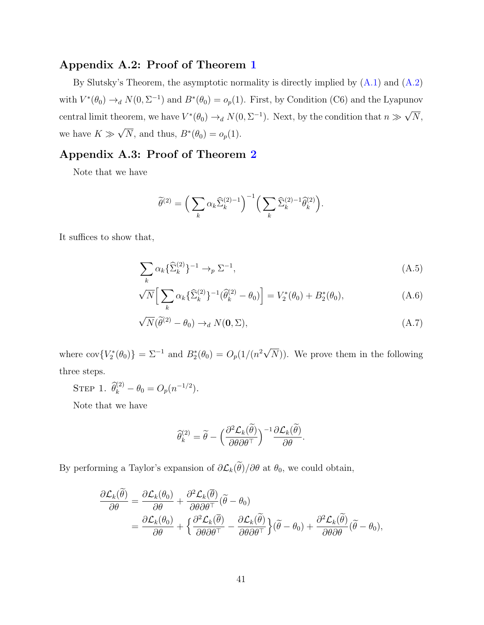### Appendix A.2: Proof of Theorem [1](#page-10-0)

By Slutsky's Theorem, the asymptotic normality is directly implied by [\(A.1\)](#page-38-0) and [\(A.2\)](#page-38-1) with  $V^*(\theta_0) \to_d N(0, \Sigma^{-1})$  and  $B^*(\theta_0) = o_p(1)$ . First, by Condition (C6) and the Lyapunov central limit theorem, we have  $V^*(\theta_0) \to_d N(0, \Sigma^{-1})$ . Next, by the condition that  $n \gg$ √  $N,$ we have  $K \gg \sqrt{N}$ , and thus,  $B^*(\theta_0) = o_p(1)$ . √

# Appendix A.3: Proof of Theorem [2](#page-11-0)

Note that we have

<span id="page-40-1"></span><span id="page-40-0"></span>
$$
\widetilde{\theta}^{(2)} = \left(\sum_k \alpha_k \widehat{\Sigma}_k^{(2)-1}\right)^{-1} \left(\sum_k \widehat{\Sigma}_k^{(2)-1} \widehat{\theta}_k^{(2)}\right).
$$

It suffices to show that,

$$
\sum_{k} \alpha_k \{\widehat{\Sigma}_k^{(2)}\}^{-1} \to_p \Sigma^{-1},\tag{A.5}
$$

$$
\sqrt{N} \Big[ \sum_{k} \alpha_{k} \{ \widehat{\Sigma}_{k}^{(2)} \}^{-1} (\widehat{\theta}_{k}^{(2)} - \theta_{0}) \Big] = V_{2}^{*}(\theta_{0}) + B_{2}^{*}(\theta_{0}), \tag{A.6}
$$

$$
\sqrt{N}(\widetilde{\theta}^{(2)} - \theta_0) \to_d N(\mathbf{0}, \Sigma), \tag{A.7}
$$

where  $\text{cov}\{V_2^*(\theta_0)\} = \Sigma^{-1}$  and  $B_2^*(\theta_0) = O_p(1/(n^2\sqrt{\frac{n^2}{n}}))$  $(N)$ ). We prove them in the following three steps.

STEP 1.  $\hat{\theta}_k^{(2)} - \theta_0 = O_p(n^{-1/2}).$ 

Note that we have

<span id="page-40-2"></span>
$$
\widehat{\theta}_k^{(2)} = \widetilde{\theta} - \Big(\frac{\partial^2 \mathcal{L}_k(\widetilde{\theta})}{\partial \theta \partial \theta^\top}\Big)^{-1} \frac{\partial \mathcal{L}_k(\widetilde{\theta})}{\partial \theta}.
$$

By performing a Taylor's expansion of  $\partial \mathcal{L}_k(\tilde{\theta})/\partial \theta$  at  $\theta_0$ , we could obtain,

$$
\frac{\partial \mathcal{L}_k(\tilde{\theta})}{\partial \theta} = \frac{\partial \mathcal{L}_k(\theta_0)}{\partial \theta} + \frac{\partial^2 \mathcal{L}_k(\bar{\theta})}{\partial \theta \partial \theta^{\top}} (\tilde{\theta} - \theta_0) \n= \frac{\partial \mathcal{L}_k(\theta_0)}{\partial \theta} + \left\{ \frac{\partial^2 \mathcal{L}_k(\bar{\theta})}{\partial \theta \partial \theta^{\top}} - \frac{\partial \mathcal{L}_k(\tilde{\theta})}{\partial \theta \partial \theta^{\top}} \right\} (\tilde{\theta} - \theta_0) + \frac{\partial^2 \mathcal{L}_k(\tilde{\theta})}{\partial \theta \partial \theta} (\tilde{\theta} - \theta_0),
$$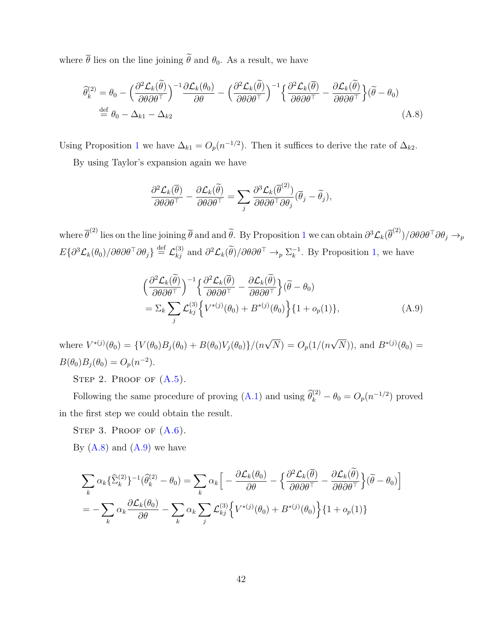where  $\bar{\theta}$  lies on the line joining  $\tilde{\theta}$  and  $\theta_0$ . As a result, we have

$$
\widehat{\theta}_{k}^{(2)} = \theta_{0} - \left(\frac{\partial^{2} \mathcal{L}_{k}(\widehat{\theta})}{\partial \theta \partial \theta^{T}}\right)^{-1} \frac{\partial \mathcal{L}_{k}(\theta_{0})}{\partial \theta} - \left(\frac{\partial^{2} \mathcal{L}_{k}(\widehat{\theta})}{\partial \theta \partial \theta^{T}}\right)^{-1} \left\{\frac{\partial^{2} \mathcal{L}_{k}(\overline{\theta})}{\partial \theta \partial \theta^{T}} - \frac{\partial \mathcal{L}_{k}(\widehat{\theta})}{\partial \theta \partial \theta^{T}}\right\} (\widetilde{\theta} - \theta_{0})
$$
\n
$$
\stackrel{\text{def}}{=} \theta_{0} - \Delta_{k1} - \Delta_{k2} \tag{A.8}
$$

Using Proposition [1](#page-9-0) we have  $\Delta_{k1} = O_p(n^{-1/2})$ . Then it suffices to derive the rate of  $\Delta_{k2}$ .

By using Taylor's expansion again we have

<span id="page-41-0"></span>
$$
\frac{\partial^2 \mathcal{L}_k(\overline{\theta})}{\partial \theta \partial \theta^\top} - \frac{\partial \mathcal{L}_k(\widetilde{\theta})}{\partial \theta \partial \theta^\top} = \sum_j \frac{\partial^3 \mathcal{L}_k(\overline{\theta}^{(2)})}{\partial \theta \partial \theta^\top \partial \theta_j} (\overline{\theta}_j - \widetilde{\theta}_j),
$$

where  $\bar{\theta}^{(2)}$  lies on the line joining  $\bar{\theta}$  and and  $\tilde{\theta}$ . By Proposition [1](#page-9-0) we can obtain  $\partial^3 \mathcal{L}_k(\bar{\theta}^{(2)})/\partial \theta \partial \theta^{\top} \partial \theta_j \rightarrow_p$  $E\{\partial^3 \mathcal{L}_k(\theta_0)/\partial \theta \partial \theta^\top \partial \theta_j\} \stackrel{\text{def}}{=} \mathcal{L}_{kj}^{(3)}$  and  $\partial^2 \mathcal{L}_k(\widetilde{\theta})/\partial \theta \partial \theta^\top \rightarrow_p \Sigma_k^{-1}$  $\overline{k}^1$ . By Proposition [1,](#page-9-0) we have

<span id="page-41-1"></span>
$$
\begin{split}\n&\left(\frac{\partial^2 \mathcal{L}_k(\tilde{\theta})}{\partial \theta \partial \theta^{\top}}\right)^{-1} \left\{\frac{\partial^2 \mathcal{L}_k(\bar{\theta})}{\partial \theta \partial \theta^{\top}} - \frac{\partial \mathcal{L}_k(\tilde{\theta})}{\partial \theta \partial \theta^{\top}}\right\} (\tilde{\theta} - \theta_0) \\
&= \Sigma_k \sum_j \mathcal{L}_{kj}^{(3)} \left\{ V^{*(j)}(\theta_0) + B^{*(j)}(\theta_0) \right\} \{1 + o_p(1)\},\n\end{split} \tag{A.9}
$$

where  $V^{*(j)}(\theta_0) = \{V(\theta_0)B_j(\theta_0) + B(\theta_0)V_j(\theta_0)\}/(n)$ √  $(N) = O_p(1/(n))$ √  $\overline{N}$ ), and  $B^{*(j)}(\theta_0) =$  $B(\theta_0)B_j(\theta_0) = O_p(n^{-2}).$ 

STEP 2. PROOF OF  $(A.5)$ .

Following the same procedure of proving [\(A.1\)](#page-38-0) and using  $\hat{\theta}_k^{(2)} - \theta_0 = O_p(n^{-1/2})$  proved in the first step we could obtain the result.

STEP 3. PROOF OF  $(A.6)$ .

By  $(A.8)$  and  $(A.9)$  we have

$$
\sum_{k} \alpha_{k} \{\hat{\Sigma}_{k}^{(2)}\}^{-1}(\hat{\theta}_{k}^{(2)} - \theta_{0}) = \sum_{k} \alpha_{k} \Big[ -\frac{\partial \mathcal{L}_{k}(\theta_{0})}{\partial \theta} - \Big\{\frac{\partial^{2} \mathcal{L}_{k}(\overline{\theta})}{\partial \theta \partial \theta^{T}} - \frac{\partial \mathcal{L}_{k}(\overline{\theta})}{\partial \theta \partial \theta^{T}}\Big\} (\widetilde{\theta} - \theta_{0}) \Big]
$$
  
=  $-\sum_{k} \alpha_{k} \frac{\partial \mathcal{L}_{k}(\theta_{0})}{\partial \theta} - \sum_{k} \alpha_{k} \sum_{j} \mathcal{L}_{kj}^{(3)} \Big\{ V^{*(j)}(\theta_{0}) + B^{*(j)}(\theta_{0}) \Big\} \{1 + o_{p}(1)\}$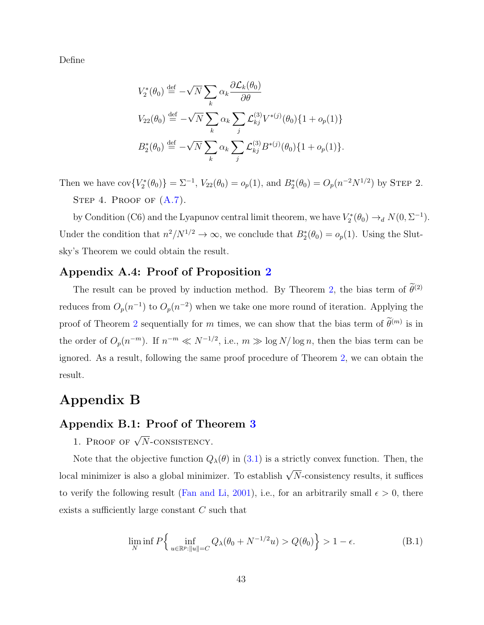Define

$$
V_2^*(\theta_0) \stackrel{\text{def}}{=} -\sqrt{N} \sum_k \alpha_k \frac{\partial \mathcal{L}_k(\theta_0)}{\partial \theta}
$$
  
\n
$$
V_{22}(\theta_0) \stackrel{\text{def}}{=} -\sqrt{N} \sum_k \alpha_k \sum_j \mathcal{L}_{kj}^{(3)} V^{*(j)}(\theta_0) \{1 + o_p(1)\}
$$
  
\n
$$
B_2^*(\theta_0) \stackrel{\text{def}}{=} -\sqrt{N} \sum_k \alpha_k \sum_j \mathcal{L}_{kj}^{(3)} B^{*(j)}(\theta_0) \{1 + o_p(1)\}.
$$

Then we have  $cov{V_2^*(\theta_0)} = \Sigma^{-1}$ ,  $V_{22}(\theta_0) = o_p(1)$ , and  $B_2^*(\theta_0) = O_p(n^{-2}N^{1/2})$  by STEP 2. STEP 4. PROOF OF  $(A.7)$ .

by Condition (C6) and the Lyapunov central limit theorem, we have  $V_2^*(\theta_0) \to_d N(0, \Sigma^{-1})$ . Under the condition that  $n^2/N^{1/2} \to \infty$ , we conclude that  $B_2^*(\theta_0) = o_p(1)$ . Using the Slutsky's Theorem we could obtain the result.

### Appendix A.4: Proof of Proposition [2](#page-11-2)

The result can be proved by induction method. By Theorem [2,](#page-11-0) the bias term of  $\tilde{\theta}^{(2)}$ reduces from  $O_p(n^{-1})$  to  $O_p(n^{-2})$  when we take one more round of iteration. Applying the proof of Theorem [2](#page-11-0) sequentially for m times, we can show that the bias term of  $\tilde{\theta}^{(m)}$  is in the order of  $O_p(n^{-m})$ . If  $n^{-m} \ll N^{-1/2}$ , i.e.,  $m \gg \log N/\log n$ , then the bias term can be ignored. As a result, following the same proof procedure of Theorem [2,](#page-11-0) we can obtain the result.

# Appendix B

### Appendix B.1: Proof of Theorem [3](#page-13-0)

1. Proof of  $\sqrt{N}$ -consistency.

Note that the objective function  $Q_{\lambda}(\theta)$  in [\(3.1\)](#page-12-0) is a strictly convex function. Then, the local minimizer is also a global minimizer. To establish  $\sqrt{N}$ -consistency results, it suffices to verify the following result [\(Fan and Li,](#page-34-4) [2001\)](#page-34-4), i.e., for an arbitrarily small  $\epsilon > 0$ , there exists a sufficiently large constant C such that

$$
\lim_{N} \inf P\left\{\inf_{u \in \mathbb{R}^p: ||u|| = C} Q_{\lambda}(\theta_0 + N^{-1/2}u) > Q(\theta_0) \right\} > 1 - \epsilon.
$$
 (B.1)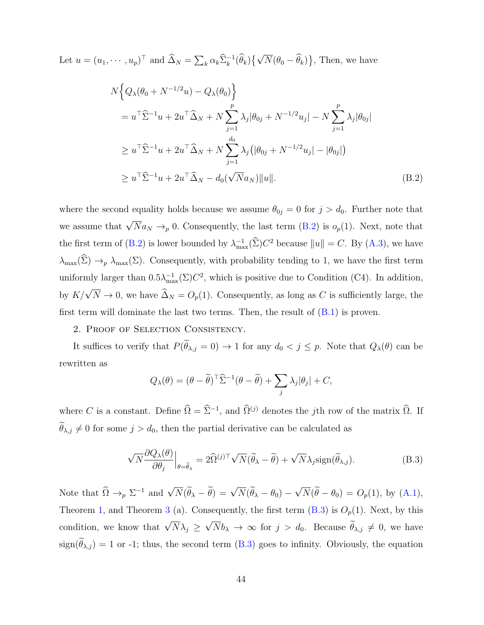Let  $u = (u_1, \dots, u_p)^\top$  and  $\widehat{\Delta}_N = \sum_k \alpha_k \widehat{\Sigma}_k^{-1}(\widehat{\theta}_k) \{ \sqrt{N}(\theta_0 - \widehat{\theta}_k) \},\$ Then, we have

$$
N\Big\{Q_{\lambda}(\theta_{0} + N^{-1/2}u) - Q_{\lambda}(\theta_{0})\Big\}= u^{\top}\hat{\Sigma}^{-1}u + 2u^{\top}\hat{\Delta}_{N} + N\sum_{j=1}^{p} \lambda_{j}|\theta_{0j} + N^{-1/2}u_{j}| - N\sum_{j=1}^{p} \lambda_{j}|\theta_{0j}|\geq u^{\top}\hat{\Sigma}^{-1}u + 2u^{\top}\hat{\Delta}_{N} + N\sum_{j=1}^{d_{0}} \lambda_{j}(|\theta_{0j} + N^{-1/2}u_{j}| - |\theta_{0j}|)\geq u^{\top}\hat{\Sigma}^{-1}u + 2u^{\top}\hat{\Delta}_{N} - d_{0}(\sqrt{N}a_{N})||u||.
$$
\n(B.2)

where the second equality holds because we assume  $\theta_{0j} = 0$  for  $j > d_0$ . Further note that we assume that  $\sqrt{N}a_N \rightarrow_p 0$ . Consequently, the last term [\(B.2\)](#page-38-1) is  $o_p(1)$ . Next, note that the first term of [\(B.2\)](#page-38-1) is lower bounded by  $\lambda_{\max}^{-1}(\hat{\Sigma})C^2$  because  $||u|| = C$ . By [\(A.3\)](#page-38-2), we have  $\lambda_{\max}(\hat{\Sigma}) \to_p \lambda_{\max}(\Sigma)$ . Consequently, with probability tending to 1, we have the first term uniformly larger than  $0.5\lambda_{\max}^{-1}(\Sigma)C^2$ , which is positive due to Condition (C4). In addition, by  $K/\sqrt{N} \to 0$ , we have  $\widehat{\Delta}_N = O_p(1)$ . Consequently, as long as C is sufficiently large, the first term will dominate the last two terms. Then, the result of  $(B.1)$  is proven.

2. Proof of Selection Consistency.

It suffices to verify that  $P(\widetilde{\theta}_{\lambda,j} = 0) \to 1$  for any  $d_0 < j \leq p$ . Note that  $Q_{\lambda}(\theta)$  can be rewritten as

$$
Q_{\lambda}(\theta) = (\theta - \widetilde{\theta})^{\top} \widehat{\Sigma}^{-1} (\theta - \widetilde{\theta}) + \sum_{j} \lambda_{j} |\theta_{j}| + C,
$$

where C is a constant. Define  $\hat{\Omega} = \hat{\Sigma}^{-1}$ , and  $\hat{\Omega}^{(j)}$  denotes the jth row of the matrix  $\hat{\Omega}$ . If  $\widetilde{\theta}_{\lambda,j} \neq 0$  for some  $j > d_0$ , then the partial derivative can be calculated as

$$
\sqrt{N} \frac{\partial Q_{\lambda}(\theta)}{\partial \theta_j} \Big|_{\theta = \widetilde{\theta}_{\lambda}} = 2 \widehat{\Omega}^{(j)\top} \sqrt{N} (\widetilde{\theta}_{\lambda} - \widetilde{\theta}) + \sqrt{N} \lambda_j \text{sign}(\widetilde{\theta}_{\lambda,j}). \tag{B.3}
$$

Note that  $\widehat{\Omega} \to_p \Sigma^{-1}$  and  $\sqrt{N}(\widetilde{\theta}_{\lambda} - \widetilde{\theta}) = \sqrt{N}(\widetilde{\theta}_{\lambda} - \theta_0)$  – √  $N(\theta - \theta_0) = O_p(1)$ , by  $(A.1)$ , Theorem [1,](#page-10-0) and Theorem [3](#page-13-0) (a). Consequently, the first term  $(B.3)$  is  $O_p(1)$ . Next, by this condition, we know that  $\sqrt{N}\lambda_j \geq$ √  $Nb_{\lambda} \rightarrow \infty$  for  $j > d_0$ . Because  $\theta_{\lambda,j} \neq 0$ , we have  $sign(\tilde{\theta}_{\lambda,j}) = 1$  or -1; thus, the second term [\(B.3\)](#page-38-2) goes to infinity. Obviously, the equation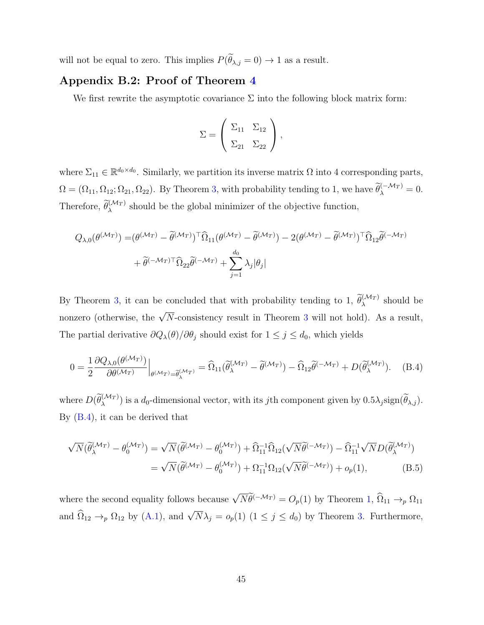will not be equal to zero. This implies  $P(\widetilde{\theta}_{\lambda,j} = 0) \to 1$  as a result.

### Appendix B.2: Proof of Theorem [4](#page-14-0)

We first rewrite the asymptotic covariance  $\Sigma$  into the following block matrix form:

$$
\Sigma = \left(\begin{array}{cc} \Sigma_{11} & \Sigma_{12} \\ \Sigma_{21} & \Sigma_{22} \end{array}\right),
$$

where  $\Sigma_{11} \in \mathbb{R}^{d_0 \times d_0}$ . Similarly, we partition its inverse matrix  $\Omega$  into 4 corresponding parts,  $\Omega = (\Omega_{11}, \Omega_{12}; \Omega_{21}, \Omega_{22})$ . By Theorem [3,](#page-13-0) with probability tending to 1, we have  $\widetilde{\theta}_{\lambda}^{(-\mathcal{M}_T)} = 0$ . Therefore,  $\widetilde{\theta}_{\lambda}^{(\mathcal{M}_T)}$  should be the global minimizer of the objective function,

$$
Q_{\lambda,0}(\theta^{(\mathcal{M}_T)}) = (\theta^{(\mathcal{M}_T)} - \widetilde{\theta}^{(\mathcal{M}_T)})^{\top} \widehat{\Omega}_{11} (\theta^{(\mathcal{M}_T)} - \widetilde{\theta}^{(\mathcal{M}_T)}) - 2(\theta^{(\mathcal{M}_T)} - \widetilde{\theta}^{(\mathcal{M}_T)})^{\top} \widehat{\Omega}_{12} \widetilde{\theta}^{(-\mathcal{M}_T)}
$$
  
+  $\widetilde{\theta}^{(-\mathcal{M}_T)\top} \widehat{\Omega}_{22} \widetilde{\theta}^{(-\mathcal{M}_T)} + \sum_{j=1}^{d_0} \lambda_j |\theta_j|$ 

By Theorem [3,](#page-13-0) it can be concluded that with probability tending to 1,  $\widetilde{\theta}_{\lambda}^{(\mathcal{M}_T)}$  should be nonzero (otherwise, the  $\sqrt{N}$ -consistency result in Theorem [3](#page-13-0) will not hold). As a result, The partial derivative  $\partial Q_{\lambda}(\theta)/\partial \theta_j$  should exist for  $1 \leq j \leq d_0$ , which yields

$$
0 = \frac{1}{2} \frac{\partial Q_{\lambda,0}(\theta^{(\mathcal{M}_T)})}{\partial \theta^{(\mathcal{M}_T)}} \Big|_{\theta^{(\mathcal{M}_T)} = \widetilde{\theta}_{\lambda}^{(\mathcal{M}_T)}} = \widehat{\Omega}_{11}(\widetilde{\theta}_{\lambda}^{(\mathcal{M}_T)} - \widetilde{\theta}^{(\mathcal{M}_T)}) - \widehat{\Omega}_{12}\widetilde{\theta}^{(-\mathcal{M}_T)} + D(\widetilde{\theta}_{\lambda}^{(\mathcal{M}_T)}). \quad (B.4)
$$

where  $D(\widetilde{\theta}_{\lambda}^{(\mathcal{M}_T)})$  is a  $d_0$ -dimensional vector, with its jth component given by  $0.5\lambda_j sign(\widetilde{\theta}_{\lambda,j})$ . By [\(B.4\)](#page-39-0), it can be derived that

$$
\sqrt{N}(\widetilde{\theta}_{\lambda}^{(\mathcal{M}_T)} - \theta_0^{(\mathcal{M}_T)}) = \sqrt{N}(\widetilde{\theta}^{(\mathcal{M}_T)} - \theta_0^{(\mathcal{M}_T)}) + \widehat{\Omega}_{11}^{-1}\widehat{\Omega}_{12}(\sqrt{N}\widetilde{\theta}^{(-\mathcal{M}_T)}) - \widehat{\Omega}_{11}^{-1}\sqrt{N}D(\widetilde{\theta}_{\lambda}^{(\mathcal{M}_T)})
$$
  
=  $\sqrt{N}(\widetilde{\theta}^{(\mathcal{M}_T)} - \theta_0^{(\mathcal{M}_T)}) + \Omega_{11}^{-1}\Omega_{12}(\sqrt{N}\widetilde{\theta}^{(-\mathcal{M}_T)}) + o_p(1),$  (B.5)

where the second equality follows because  $\sqrt{N}\widetilde{\theta}^{(-\mathcal{M}_T)} = O_p(1)$  by Theorem [1,](#page-10-0)  $\widehat{\Omega}_{11} \to_p \Omega_{11}$ and  $\widehat{\Omega}_{12} \to_p \Omega_{12}$  by [\(A.1\)](#page-38-0), and  $\sqrt{N}\lambda_j = o_p(1)$  ( $1 \le j \le d_0$ ) by Theorem [3.](#page-13-0) Furthermore,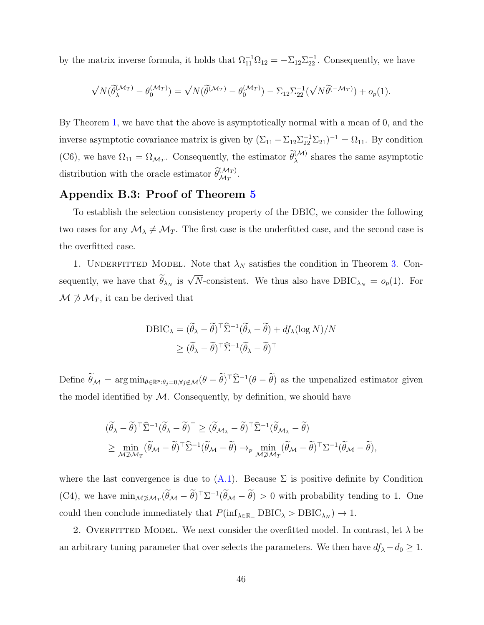by the matrix inverse formula, it holds that  $\Omega_{11}^{-1}\Omega_{12} = -\Sigma_{12}\Sigma_{22}^{-1}$ . Consequently, we have

$$
\sqrt{N}(\widetilde{\theta}_{\lambda}^{(\mathcal{M}_T)} - \theta_0^{(\mathcal{M}_T)}) = \sqrt{N}(\widetilde{\theta}^{(\mathcal{M}_T)} - \theta_0^{(\mathcal{M}_T)}) - \Sigma_{12}\Sigma_{22}^{-1}(\sqrt{N}\widetilde{\theta}^{(-\mathcal{M}_T)}) + o_p(1).
$$

By Theorem [1,](#page-10-0) we have that the above is asymptotically normal with a mean of 0, and the inverse asymptotic covariance matrix is given by  $(\Sigma_{11} - \Sigma_{12} \Sigma_{22}^{-1} \Sigma_{21})^{-1} = \Omega_{11}$ . By condition (C6), we have  $\Omega_{11} = \Omega_{\mathcal{M}_T}$ . Consequently, the estimator  $\widetilde{\theta}_{\lambda}^{(\mathcal{M})}$  shares the same asymptotic distribution with the oracle estimator  $\widehat{\theta}_{\mathcal{M}_T}^{(\mathcal{M}_T)}$ .

### Appendix B.3: Proof of Theorem [5](#page-16-0)

To establish the selection consistency property of the DBIC, we consider the following two cases for any  $\mathcal{M}_{\lambda} \neq \mathcal{M}_T$ . The first case is the underfitted case, and the second case is the overfitted case.

1. UNDERFITTED MODEL. Note that  $\lambda_N$  satisfies the condition in Theorem [3.](#page-13-0) Consequently, we have that  $\widetilde{\theta}_{\lambda_N}$  is  $\sqrt{N}$ -consistent. We thus also have  $DBIC_{\lambda_N} = o_p(1)$ . For  $\mathcal{M} \not\supset \mathcal{M}_T$ , it can be derived that

$$
DBIC_{\lambda} = (\widetilde{\theta}_{\lambda} - \widetilde{\theta})^{\top} \widehat{\Sigma}^{-1} (\widetilde{\theta}_{\lambda} - \widetilde{\theta}) + df_{\lambda} (\log N) / N
$$
  
 
$$
\geq (\widetilde{\theta}_{\lambda} - \widetilde{\theta})^{\top} \widehat{\Sigma}^{-1} (\widetilde{\theta}_{\lambda} - \widetilde{\theta})^{\top}
$$

Define  $\theta_{\mathcal{M}} = \arg \min_{\theta \in \mathbb{R}^p : \theta_j = 0, \forall j \notin \mathcal{M}} (\theta - \theta)^{\top} \widehat{\Sigma}^{-1} (\theta - \theta)$  as the unpenalized estimator given the model identified by  $M$ . Consequently, by definition, we should have

$$
\begin{aligned} &(\widetilde{\theta}_{\lambda}-\widetilde{\theta})^{\top} \widehat{\Sigma}^{-1}(\widetilde{\theta}_{\lambda}-\widetilde{\theta})^{\top} \geq (\widetilde{\theta}_{\mathcal{M}_{\lambda}}-\widetilde{\theta})^{\top} \widehat{\Sigma}^{-1}(\widetilde{\theta}_{\mathcal{M}_{\lambda}}-\widetilde{\theta}) \\ &\geq \min_{\mathcal{M} \not \sup \mathcal{M}_T} (\widetilde{\theta}_{\mathcal{M}}-\widetilde{\theta})^{\top} \widehat{\Sigma}^{-1}(\widetilde{\theta}_{\mathcal{M}}-\widetilde{\theta}) \rightarrow_p \min_{\mathcal{M} \not \sup \mathcal{M}_T} (\widetilde{\theta}_{\mathcal{M}}-\widetilde{\theta})^{\top} \Sigma^{-1}(\widetilde{\theta}_{\mathcal{M}}-\widetilde{\theta}), \end{aligned}
$$

where the last convergence is due to  $(A.1)$ . Because  $\Sigma$  is positive definite by Condition (C4), we have  $\min_{\mathcal{M}\neq\mathcal{M}_T}(\tilde{\theta}_{\mathcal{M}} - \tilde{\theta})^T \Sigma^{-1}(\tilde{\theta}_{\mathcal{M}} - \tilde{\theta}) > 0$  with probability tending to 1. One could then conclude immediately that  $P(\inf_{\lambda \in \mathbb{R}_+} DBIC_{\lambda} > DBIC_{\lambda_N}) \to 1$ .

2. OVERFITTED MODEL. We next consider the overfitted model. In contrast, let  $\lambda$  be an arbitrary tuning parameter that over selects the parameters. We then have  $df_{\lambda}-d_0 \geq 1$ .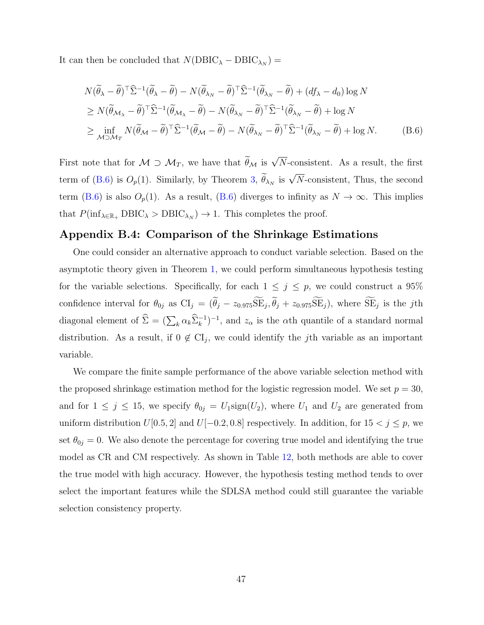It can then be concluded that  $N(\text{DBIC}_{\lambda} - \text{DBIC}_{\lambda_N}) =$ 

$$
N(\widetilde{\theta}_{\lambda} - \widetilde{\theta})^{\top} \widehat{\Sigma}^{-1}(\widetilde{\theta}_{\lambda} - \widetilde{\theta}) - N(\widetilde{\theta}_{\lambda_N} - \widetilde{\theta})^{\top} \widehat{\Sigma}^{-1}(\widetilde{\theta}_{\lambda_N} - \widetilde{\theta}) + (df_{\lambda} - d_0) \log N
$$
  
\n
$$
\geq N(\widetilde{\theta}_{\mathcal{M}_{\lambda}} - \widetilde{\theta})^{\top} \widehat{\Sigma}^{-1}(\widetilde{\theta}_{\mathcal{M}_{\lambda}} - \widetilde{\theta}) - N(\widetilde{\theta}_{\lambda_N} - \widetilde{\theta})^{\top} \widehat{\Sigma}^{-1}(\widetilde{\theta}_{\lambda_N} - \widetilde{\theta}) + \log N
$$
  
\n
$$
\geq \inf_{\mathcal{M} \supset \mathcal{M}_T} N(\widetilde{\theta}_{\mathcal{M}} - \widetilde{\theta})^{\top} \widehat{\Sigma}^{-1}(\widetilde{\theta}_{\mathcal{M}} - \widetilde{\theta}) - N(\widetilde{\theta}_{\lambda_N} - \widetilde{\theta})^{\top} \widehat{\Sigma}^{-1}(\widetilde{\theta}_{\lambda_N} - \widetilde{\theta}) + \log N.
$$
 (B.6)

First note that for  $M \supset M_T$ , we have that  $\widetilde{\theta}_M$  is  $\sqrt{N}$ -consistent. As a result, the first term of [\(B.6\)](#page-40-1) is  $O_p(1)$ . Similarly, by Theorem [3,](#page-13-0)  $\widetilde{\theta}_{\lambda_N}$  is  $\sqrt{N}$ -consistent, Thus, the second term [\(B.6\)](#page-40-1) is also  $O_p(1)$ . As a result, (B.6) diverges to infinity as  $N \to \infty$ . This implies that  $P(\inf_{\lambda \in \mathbb{R}_+} DBIC_{\lambda} > DBIC_{\lambda_N}) \to 1$ . This completes the proof.

### Appendix B.4: Comparison of the Shrinkage Estimations

One could consider an alternative approach to conduct variable selection. Based on the asymptotic theory given in Theorem [1,](#page-10-0) we could perform simultaneous hypothesis testing for the variable selections. Specifically, for each  $1 \leq j \leq p$ , we could construct a 95% confidence interval for  $\theta_{0j}$  as  $CI_j = (\theta_j - z_{0.975}SE_j, \theta_j + z_{0.975}SE_j)$ , where  $SE_j$  is the *j*th diagonal element of  $\hat{\Sigma} = (\sum_k \alpha_k \hat{\Sigma}_k^{-1})^{-1}$ , and  $z_\alpha$  is the  $\alpha$ th quantile of a standard normal distribution. As a result, if  $0 \notin CI_j$ , we could identify the *j*th variable as an important variable.

We compare the finite sample performance of the above variable selection method with the proposed shrinkage estimation method for the logistic regression model. We set  $p = 30$ , and for  $1 \leq j \leq 15$ , we specify  $\theta_{0j} = U_1 \text{sign}(U_2)$ , where  $U_1$  and  $U_2$  are generated from uniform distribution  $U[0.5, 2]$  and  $U[-0.2, 0.8]$  respectively. In addition, for  $15 < j \le p$ , we set  $\theta_{0j} = 0$ . We also denote the percentage for covering true model and identifying the true model as CR and CM respectively. As shown in Table [12,](#page-51-1) both methods are able to cover the true model with high accuracy. However, the hypothesis testing method tends to over select the important features while the SDLSA method could still guarantee the variable selection consistency property.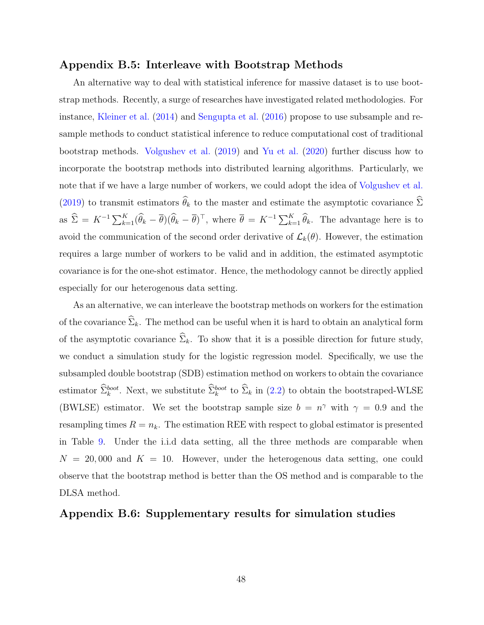#### Appendix B.5: Interleave with Bootstrap Methods

An alternative way to deal with statistical inference for massive dataset is to use bootstrap methods. Recently, a surge of researches have investigated related methodologies. For instance, [Kleiner et al.](#page-34-12) [\(2014\)](#page-34-12) and [Sengupta et al.](#page-35-11) [\(2016\)](#page-35-11) propose to use subsample and resample methods to conduct statistical inference to reduce computational cost of traditional bootstrap methods. [Volgushev et al.](#page-35-12) [\(2019\)](#page-35-12) and [Yu et al.](#page-36-10) [\(2020\)](#page-36-10) further discuss how to incorporate the bootstrap methods into distributed learning algorithms. Particularly, we note that if we have a large number of workers, we could adopt the idea of [Volgushev et al.](#page-35-12) [\(2019\)](#page-35-12) to transmit estimators  $\widehat{\theta}_k$  to the master and estimate the asymptotic covariance  $\widehat{\Sigma}$ as  $\hat{\Sigma} = K^{-1} \sum_{k=1}^{K} (\hat{\theta}_k - \overline{\theta}) (\hat{\theta}_k - \overline{\theta})^{\top}$ , where  $\overline{\theta} = K^{-1} \sum_{k=1}^{K} \hat{\theta}_k$ . The advantage here is to avoid the communication of the second order derivative of  $\mathcal{L}_k(\theta)$ . However, the estimation requires a large number of workers to be valid and in addition, the estimated asymptotic covariance is for the one-shot estimator. Hence, the methodology cannot be directly applied especially for our heterogenous data setting.

As an alternative, we can interleave the bootstrap methods on workers for the estimation of the covariance  $\widehat{\Sigma}_k$ . The method can be useful when it is hard to obtain an analytical form of the asymptotic covariance  $\widehat{\Sigma}_k$ . To show that it is a possible direction for future study, we conduct a simulation study for the logistic regression model. Specifically, we use the subsampled double bootstrap (SDB) estimation method on workers to obtain the covariance estimator  $\hat{\Sigma}_k^{boot}$ . Next, we substitute  $\hat{\Sigma}_k^{boot}$  to  $\hat{\Sigma}_k$  in [\(2.2\)](#page-8-0) to obtain the bootstraped-WLSE (BWLSE) estimator. We set the bootstrap sample size  $b = n^{\gamma}$  with  $\gamma = 0.9$  and the resampling times  $R = n_k$ . The estimation REE with respect to global estimator is presented in Table [9.](#page-50-1) Under the i.i.d data setting, all the three methods are comparable when  $N = 20,000$  and  $K = 10$ . However, under the heterogenous data setting, one could observe that the bootstrap method is better than the OS method and is comparable to the DLSA method.

#### Appendix B.6: Supplementary results for simulation studies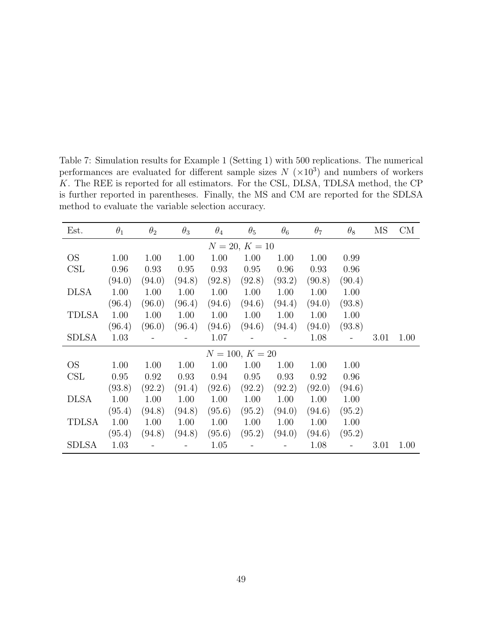<span id="page-48-0"></span>Table 7: Simulation results for Example 1 (Setting 1) with 500 replications. The numerical performances are evaluated for different sample sizes  $N \ (\times 10^3)$  and numbers of workers K. The REE is reported for all estimators. For the CSL, DLSA, TDLSA method, the CP is further reported in parentheses. Finally, the MS and CM are reported for the SDLSA method to evaluate the variable selection accuracy.

| Est.         | $\theta_1$ | $\theta_{2}$ | $\theta_3$ | $\theta_4$ | $\theta_{5}$      | $\theta_6$ | $\theta_7$ | $\theta_8$ | MS   | CM   |
|--------------|------------|--------------|------------|------------|-------------------|------------|------------|------------|------|------|
|              |            |              |            |            | $N = 20, K = 10$  |            |            |            |      |      |
| <b>OS</b>    | 1.00       | 1.00         | 1.00       | 1.00       | 1.00              | 1.00       | 1.00       | 0.99       |      |      |
| CSL          | 0.96       | 0.93         | 0.95       | 0.93       | 0.95              | 0.96       | 0.93       | 0.96       |      |      |
|              | (94.0)     | (94.0)       | (94.8)     | (92.8)     | (92.8)            | (93.2)     | (90.8)     | (90.4)     |      |      |
| <b>DLSA</b>  | 1.00       | 1.00         | 1.00       | 1.00       | 1.00              | 1.00       | 1.00       | 1.00       |      |      |
|              | (96.4)     | (96.0)       | (96.4)     | (94.6)     | (94.6)            | (94.4)     | (94.0)     | (93.8)     |      |      |
| <b>TDLSA</b> | 1.00       | 1.00         | 1.00       | 1.00       | 1.00              | 1.00       | 1.00       | 1.00       |      |      |
|              | (96.4)     | (96.0)       | (96.4)     | (94.6)     | (94.6)            | (94.4)     | (94.0)     | (93.8)     |      |      |
| SDLSA        | 1.03       |              |            | 1.07       |                   |            | 1.08       |            | 3.01 | 1.00 |
|              |            |              |            |            | $N = 100, K = 20$ |            |            |            |      |      |
| <b>OS</b>    | 1.00       | 1.00         | 1.00       | 1.00       | 1.00              | 1.00       | 1.00       | 1.00       |      |      |
| CSL          | 0.95       | 0.92         | 0.93       | 0.94       | 0.95              | 0.93       | 0.92       | 0.96       |      |      |
|              | (93.8)     | (92.2)       | (91.4)     | (92.6)     | (92.2)            | (92.2)     | (92.0)     | (94.6)     |      |      |
| <b>DLSA</b>  | 1.00       | 1.00         | 1.00       | 1.00       | 1.00              | 1.00       | 1.00       | 1.00       |      |      |
|              | (95.4)     | (94.8)       | (94.8)     | (95.6)     | (95.2)            | (94.0)     | (94.6)     | (95.2)     |      |      |
| <b>TDLSA</b> | 1.00       | 1.00         | 1.00       | 1.00       | 1.00              | 1.00       | 1.00       | 1.00       |      |      |
|              | (95.4)     | (94.8)       | (94.8)     | (95.6)     | (95.2)            | (94.0)     | (94.6)     | (95.2)     |      |      |
| <b>SDLSA</b> | 1.03       |              |            | 1.05       |                   |            | 1.08       |            | 3.01 | 1.00 |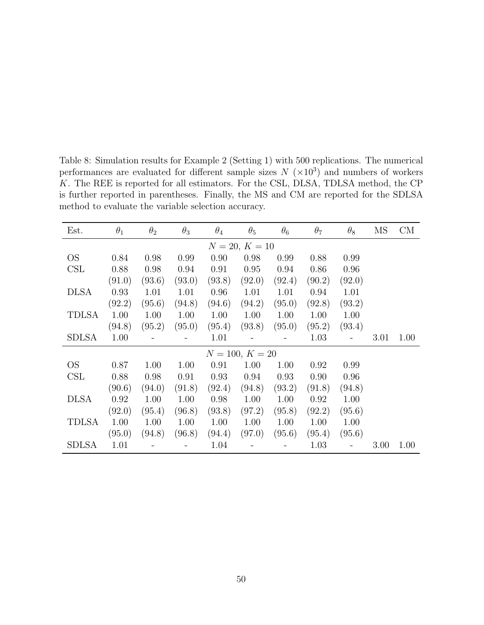<span id="page-49-0"></span>Table 8: Simulation results for Example 2 (Setting 1) with 500 replications. The numerical performances are evaluated for different sample sizes  $N \ (\times 10^3)$  and numbers of workers K. The REE is reported for all estimators. For the CSL, DLSA, TDLSA method, the CP is further reported in parentheses. Finally, the MS and CM are reported for the SDLSA method to evaluate the variable selection accuracy.

| Est.         | $\theta_1$ | $\theta_{2}$ | $\theta_3$ | $\theta_4$ | $\theta_{5}$      | $\theta_6$ | $\theta_7$ | $\theta_8$ | MS   | CM   |
|--------------|------------|--------------|------------|------------|-------------------|------------|------------|------------|------|------|
|              |            |              |            |            | $N = 20, K = 10$  |            |            |            |      |      |
| <b>OS</b>    | 0.84       | 0.98         | 0.99       | 0.90       | 0.98              | 0.99       | 0.88       | 0.99       |      |      |
| CSL          | 0.88       | 0.98         | 0.94       | 0.91       | 0.95              | 0.94       | 0.86       | 0.96       |      |      |
|              | (91.0)     | (93.6)       | (93.0)     | (93.8)     | (92.0)            | (92.4)     | (90.2)     | (92.0)     |      |      |
| <b>DLSA</b>  | 0.93       | 1.01         | 1.01       | 0.96       | 1.01              | 1.01       | 0.94       | 1.01       |      |      |
|              | (92.2)     | (95.6)       | (94.8)     | (94.6)     | (94.2)            | (95.0)     | (92.8)     | (93.2)     |      |      |
| <b>TDLSA</b> | 1.00       | 1.00         | 1.00       | 1.00       | 1.00              | 1.00       | 1.00       | 1.00       |      |      |
|              | (94.8)     | (95.2)       | (95.0)     | (95.4)     | (93.8)            | (95.0)     | (95.2)     | (93.4)     |      |      |
| SDLSA        | 1.00       |              |            | 1.01       |                   |            | 1.03       |            | 3.01 | 1.00 |
|              |            |              |            |            | $N = 100, K = 20$ |            |            |            |      |      |
| OS.          | 0.87       | 1.00         | 1.00       | 0.91       | 1.00              | 1.00       | 0.92       | 0.99       |      |      |
| CSL          | 0.88       | 0.98         | 0.91       | 0.93       | 0.94              | 0.93       | 0.90       | 0.96       |      |      |
|              | (90.6)     | (94.0)       | (91.8)     | (92.4)     | (94.8)            | (93.2)     | (91.8)     | (94.8)     |      |      |
| <b>DLSA</b>  | 0.92       | 1.00         | 1.00       | 0.98       | 1.00              | 1.00       | 0.92       | 1.00       |      |      |
|              | (92.0)     | (95.4)       | (96.8)     | (93.8)     | (97.2)            | (95.8)     | (92.2)     | (95.6)     |      |      |
| <b>TDLSA</b> | 1.00       | 1.00         | 1.00       | 1.00       | 1.00              | 1.00       | 1.00       | 1.00       |      |      |
|              | (95.0)     | (94.8)       | (96.8)     | (94.4)     | (97.0)            | (95.6)     | (95.4)     | (95.6)     |      |      |
| <b>SDLSA</b> | 1.01       |              |            | 1.04       |                   |            | 1.03       |            | 3.00 | 1.00 |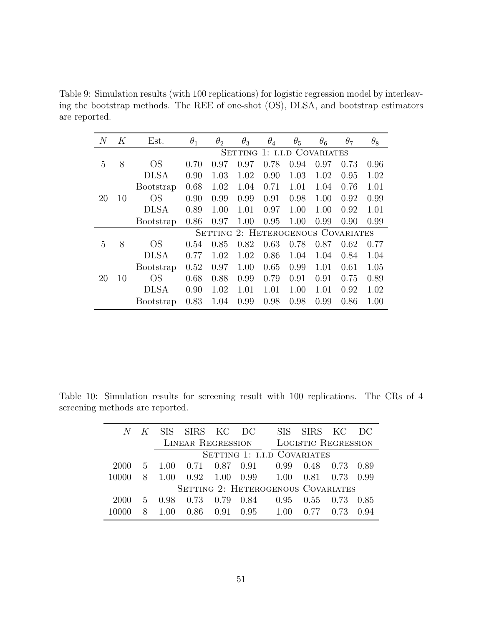<span id="page-50-1"></span>Table 9: Simulation results (with 100 replications) for logistic regression model by interleaving the bootstrap methods. The REE of one-shot (OS), DLSA, and bootstrap estimators are reported.

| N            | Κ  | Est.             | $\theta_1$ | $\theta_2$ | $\theta_3$                         | $\theta_4$ | $\theta_5$ | $\theta_6$          | $\theta_7$ | $\theta_8$ |
|--------------|----|------------------|------------|------------|------------------------------------|------------|------------|---------------------|------------|------------|
|              |    |                  |            |            | <b>SETTING</b>                     |            |            | 1: I.I.D COVARIATES |            |            |
| 5            | 8  | OS               | 0.70       | 0.97       | 0.97                               | 0.78       | 0.94       | 0.97                | 0.73       | 0.96       |
|              |    | <b>DLSA</b>      | 0.90       | 1.03       | 1.02                               | 0.90       | 1.03       | 1.02                | 0.95       | 1.02       |
|              |    | Bootstrap        | 0.68       | 1.02       | 1.04                               | 0.71       | 1.01       | 1.04                | 0.76       | 1.01       |
| 20           | 10 | <b>OS</b>        | 0.90       | 0.99       | 0.99                               | 0.91       | 0.98       | 1.00                | 0.92       | 0.99       |
|              |    | <b>DLSA</b>      | 0.89       | 1.00       | 1.01                               | 0.97       | 1.00       | 1.00                | 0.92       | 1.01       |
|              |    | <b>Bootstrap</b> | 0.86       | 0.97       | 1.00                               | 0.95       | 1.00       | 0.99                | 0.90       | 0.99       |
|              |    |                  |            |            | SETTING 2: HETEROGENOUS COVARIATES |            |            |                     |            |            |
| $\mathbf{5}$ | 8  | OS               | 0.54       | 0.85       | 0.82                               | 0.63       | 0.78       | 0.87                | 0.62       | 0.77       |
|              |    | <b>DLSA</b>      | 0.77       | 1.02       | 1.02                               | 0.86       | 1.04       | 1.04                | 0.84       | 1.04       |
|              |    | Bootstrap        | 0.52       | 0.97       | 1.00                               | 0.65       | 0.99       | 1.01                | 0.61       | 1.05       |
| 20           | 10 | <b>OS</b>        | 0.68       | 0.88       | 0.99                               | 0.79       | 0.91       | 0.91                | 0.75       | 0.89       |
|              |    | <b>DLSA</b>      | 0.90       | 1.02       | 1.01                               | 1.01       | 1.00       | 1.01                | 0.92       | 1.02       |
|              |    | <b>Bootstrap</b> | 0.83       | 1.04       | 0.99                               | 0.98       | 0.98       | 0.99                | 0.86       | 1.00       |

Table 10: Simulation results for screening result with 100 replications. The CRs of 4 screening methods are reported.

<span id="page-50-0"></span>

|       |               |                | K SIS SIRS KC DC         |                      |      |                                           | SIS SIRS KC                |      | DC   |
|-------|---------------|----------------|--------------------------|----------------------|------|-------------------------------------------|----------------------------|------|------|
|       |               |                | <b>LINEAR REGRESSION</b> |                      |      |                                           | <b>LOGISTIC REGRESSION</b> |      |      |
|       |               |                |                          |                      |      | SETTING 1: I.I.D COVARIATES               |                            |      |      |
| 2000  |               | $5 \quad 1.00$ |                          | $0.71$ $0.87$ $0.91$ |      | 0.99                                      | 0.48                       | 0.73 | 0.89 |
| 10000 | $8^{\circ}$   | 1.00           | $0.92 \quad 1.00$        |                      |      | 0.99 1.00                                 | 0.81                       | 0.73 | 0.99 |
|       |               |                |                          |                      |      | <b>SETTING 2: HETEROGENOUS COVARIATES</b> |                            |      |      |
| 2000  | $\mathcal{D}$ | 0.98           | 0.73                     | 0.79                 | 0.84 | 0.95                                      | 0.55                       | 0.73 | 0.85 |
|       |               |                | 0.86                     | (1.91)               | 0.95 | 100                                       |                            |      | 0.94 |